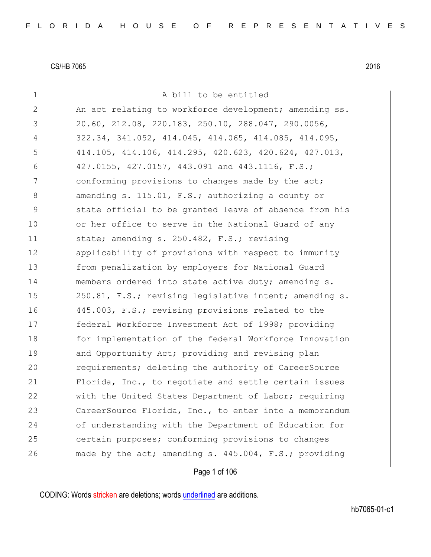|              | Page 1 of 106                                          |
|--------------|--------------------------------------------------------|
| 26           | made by the act; amending s. 445.004, F.S.; providing  |
| 25           | certain purposes; conforming provisions to changes     |
| 24           | of understanding with the Department of Education for  |
| 23           | CareerSource Florida, Inc., to enter into a memorandum |
| 22           | with the United States Department of Labor; requiring  |
| 21           | Florida, Inc., to negotiate and settle certain issues  |
| 20           | requirements; deleting the authority of CareerSource   |
| 19           | and Opportunity Act; providing and revising plan       |
| 18           | for implementation of the federal Workforce Innovation |
| 17           | federal Workforce Investment Act of 1998; providing    |
| 16           | 445.003, F.S.; revising provisions related to the      |
| 15           | 250.81, F.S.; revising legislative intent; amending s. |
| 14           | members ordered into state active duty; amending s.    |
| 13           | from penalization by employers for National Guard      |
| 12           | applicability of provisions with respect to immunity   |
| 11           | state; amending s. 250.482, F.S.; revising             |
| 10           | or her office to serve in the National Guard of any    |
| 9            | state official to be granted leave of absence from his |
| 8            | amending s. 115.01, F.S.; authorizing a county or      |
| 7            | conforming provisions to changes made by the act;      |
| 6            | 427.0155, 427.0157, 443.091 and 443.1116, F.S.;        |
| 5            | 414.105, 414.106, 414.295, 420.623, 420.624, 427.013,  |
| 4            | 322.34, 341.052, 414.045, 414.065, 414.085, 414.095,   |
| 3            | 20.60, 212.08, 220.183, 250.10, 288.047, 290.0056,     |
| $\mathbf{2}$ | An act relating to workforce development; amending ss. |
| 1            | A bill to be entitled                                  |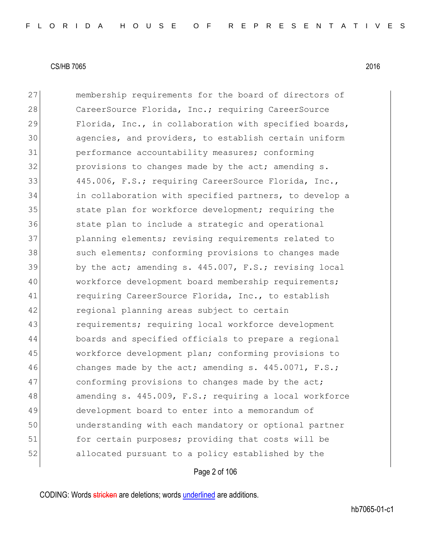27 membership requirements for the board of directors of 28 CareerSource Florida, Inc.; requiring CareerSource 29 Florida, Inc., in collaboration with specified boards, 30 agencies, and providers, to establish certain uniform 31 performance accountability measures; conforming 32 **provisions to changes made by the act; amending s.** 33 445.006, F.S.; requiring CareerSource Florida, Inc., 34 in collaboration with specified partners, to develop a 35 state plan for workforce development; requiring the 36 state plan to include a strategic and operational 37 planning elements; revising requirements related to 38 such elements; conforming provisions to changes made  $39$  by the act; amending s. 445.007, F.S.; revising local 40 workforce development board membership requirements; 41 requiring CareerSource Florida, Inc., to establish 42 regional planning areas subject to certain 43 **requirements;** requiring local workforce development 44 boards and specified officials to prepare a regional 45 workforce development plan; conforming provisions to 46 changes made by the act; amending s. 445.0071, F.S.; 47 conforming provisions to changes made by the act; 48 amending s. 445.009, F.S.; requiring a local workforce 49 development board to enter into a memorandum of 50 understanding with each mandatory or optional partner 51 for certain purposes; providing that costs will be 52 allocated pursuant to a policy established by the

## Page 2 of 106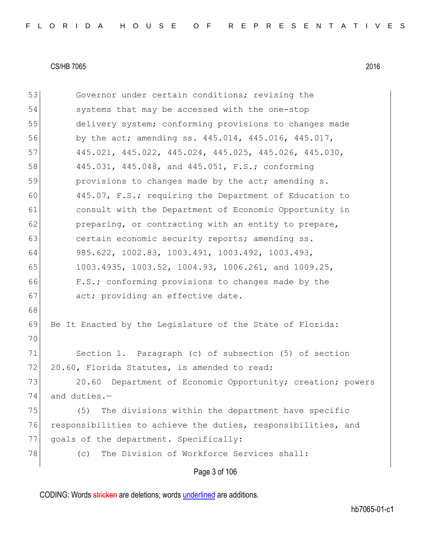| 53 | Governor under certain conditions; revising the               |
|----|---------------------------------------------------------------|
| 54 | systems that may be accessed with the one-stop                |
| 55 | delivery system; conforming provisions to changes made        |
| 56 | by the act; amending ss. 445.014, 445.016, 445.017,           |
| 57 | 445.021, 445.022, 445.024, 445.025, 445.026, 445.030,         |
| 58 | 445.031, 445.048, and 445.051, F.S.; conforming               |
| 59 | provisions to changes made by the act; amending s.            |
| 60 | 445.07, F.S.; requiring the Department of Education to        |
| 61 | consult with the Department of Economic Opportunity in        |
| 62 | preparing, or contracting with an entity to prepare,          |
| 63 | certain economic security reports; amending ss.               |
| 64 | 985.622, 1002.83, 1003.491, 1003.492, 1003.493,               |
| 65 | 1003.4935, 1003.52, 1004.93, 1006.261, and 1009.25,           |
| 66 | F.S.; conforming provisions to changes made by the            |
| 67 | act; providing an effective date.                             |
| 68 |                                                               |
| 69 | Be It Enacted by the Legislature of the State of Florida:     |
| 70 |                                                               |
| 71 | Section 1. Paragraph (c) of subsection (5) of section         |
| 72 | 20.60, Florida Statutes, is amended to read:                  |
| 73 | 20.60<br>Department of Economic Opportunity; creation; powers |
| 74 | and duties.-                                                  |
| 75 | The divisions within the department have specific<br>(5)      |
| 76 | responsibilities to achieve the duties, responsibilities, and |
| 77 | goals of the department. Specifically:                        |
| 78 | The Division of Workforce Services shall:<br>(c)              |
|    | Page 3 of 106                                                 |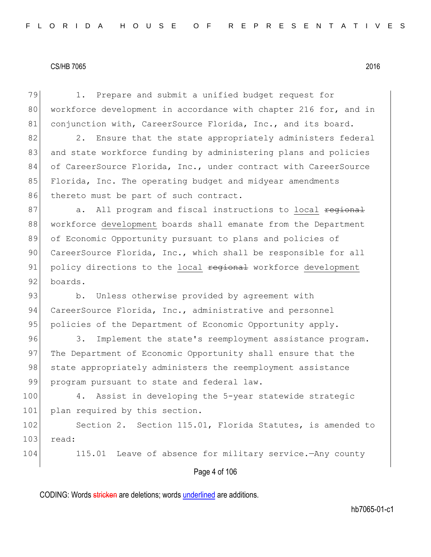Page 4 of 106 79 1. Prepare and submit a unified budget request for 80 workforce development in accordance with chapter 216 for, and in 81 conjunction with, CareerSource Florida, Inc., and its board. 82 2. Ensure that the state appropriately administers federal 83 and state workforce funding by administering plans and policies 84 of CareerSource Florida, Inc., under contract with CareerSource 85 Florida, Inc. The operating budget and midyear amendments 86 thereto must be part of such contract. 87 a. All program and fiscal instructions to local regional 88 workforce development boards shall emanate from the Department 89 of Economic Opportunity pursuant to plans and policies of 90 CareerSource Florida, Inc., which shall be responsible for all 91 policy directions to the local regional workforce development 92 boards. 93 b. Unless otherwise provided by agreement with 94 CareerSource Florida, Inc., administrative and personnel 95 policies of the Department of Economic Opportunity apply. 96 3. Implement the state's reemployment assistance program. 97 The Department of Economic Opportunity shall ensure that the 98 state appropriately administers the reemployment assistance 99 program pursuant to state and federal law. 100 4. Assist in developing the 5-year statewide strategic 101 plan required by this section. 102 Section 2. Section 115.01, Florida Statutes, is amended to 103 read: 104 115.01 Leave of absence for military service.—Any county

CODING: Words stricken are deletions; words underlined are additions.

hb7065-01-c1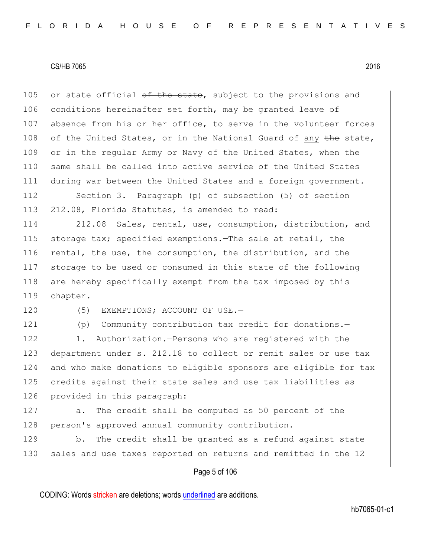105 or state official  $\theta$  the state, subject to the provisions and 106 conditions hereinafter set forth, may be granted leave of 107 absence from his or her office, to serve in the volunteer forces 108 of the United States, or in the National Guard of any the state, 109 or in the regular Army or Navy of the United States, when the 110 same shall be called into active service of the United States 111 during war between the United States and a foreign government.

112 Section 3. Paragraph (p) of subsection (5) of section 113 212.08, Florida Statutes, is amended to read:

114 212.08 Sales, rental, use, consumption, distribution, and 115 storage tax; specified exemptions. The sale at retail, the 116 rental, the use, the consumption, the distribution, and the 117 storage to be used or consumed in this state of the following 118 are hereby specifically exempt from the tax imposed by this 119 chapter.

120 (5) EXEMPTIONS; ACCOUNT OF USE.

121 (p) Community contribution tax credit for donations.-

122 1. Authorization.—Persons who are registered with the 123 department under s. 212.18 to collect or remit sales or use tax 124 and who make donations to eligible sponsors are eligible for tax 125 credits against their state sales and use tax liabilities as 126 provided in this paragraph:

127 a. The credit shall be computed as 50 percent of the 128 person's approved annual community contribution.

129 b. The credit shall be granted as a refund against state 130 sales and use taxes reported on returns and remitted in the 12

## Page 5 of 106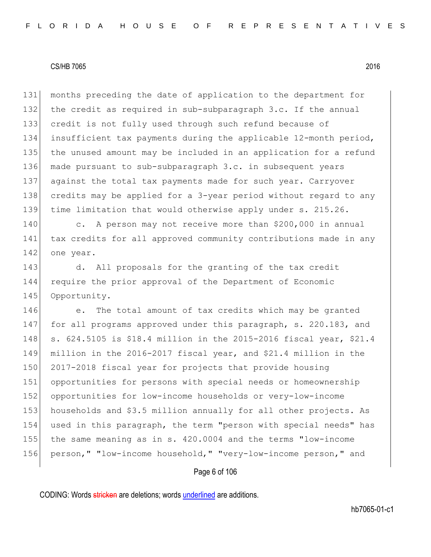months preceding the date of application to the department for 132 the credit as required in sub-subparagraph 3.c. If the annual credit is not fully used through such refund because of insufficient tax payments during the applicable 12-month period, the unused amount may be included in an application for a refund made pursuant to sub-subparagraph 3.c. in subsequent years against the total tax payments made for such year. Carryover credits may be applied for a 3-year period without regard to any time limitation that would otherwise apply under s. 215.26.

140 c. A person may not receive more than \$200,000 in annual 141 tax credits for all approved community contributions made in any 142 one year.

143 d. All proposals for the granting of the tax credit 144 require the prior approval of the Department of Economic 145 Opportunity.

146 e. The total amount of tax credits which may be granted 147 for all programs approved under this paragraph, s. 220.183, and s. 624.5105 is \$18.4 million in the 2015-2016 fiscal year, \$21.4 million in the 2016-2017 fiscal year, and \$21.4 million in the 150 2017-2018 fiscal year for projects that provide housing opportunities for persons with special needs or homeownership opportunities for low-income households or very-low-income households and \$3.5 million annually for all other projects. As 154 used in this paragraph, the term "person with special needs" has the same meaning as in s. 420.0004 and the terms "low-income person," "low-income household," "very-low-income person," and

## Page 6 of 106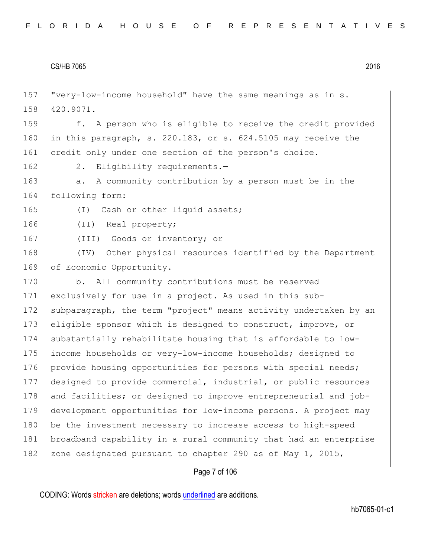157 "very-low-income household" have the same meanings as in s. 158 420.9071. 159 f. A person who is eligible to receive the credit provided 160 in this paragraph, s.  $220.183$ , or s.  $624.5105$  may receive the 161 credit only under one section of the person's choice. 162 2. Eligibility requirements.-163 a. A community contribution by a person must be in the 164 following form: 165 (I) Cash or other liquid assets; 166 (II) Real property; 167 (III) Goods or inventory; or 168 (IV) Other physical resources identified by the Department 169 of Economic Opportunity. 170 b. All community contributions must be reserved 171 exclusively for use in a project. As used in this sub-172 subparagraph, the term "project" means activity undertaken by an 173 eligible sponsor which is designed to construct, improve, or 174 substantially rehabilitate housing that is affordable to low-175 income households or very-low-income households; designed to 176 provide housing opportunities for persons with special needs; 177 designed to provide commercial, industrial, or public resources 178 and facilities; or designed to improve entrepreneurial and job-179 development opportunities for low-income persons. A project may 180 be the investment necessary to increase access to high-speed 181 broadband capability in a rural community that had an enterprise 182 zone designated pursuant to chapter 290 as of May 1, 2015,

# Page 7 of 106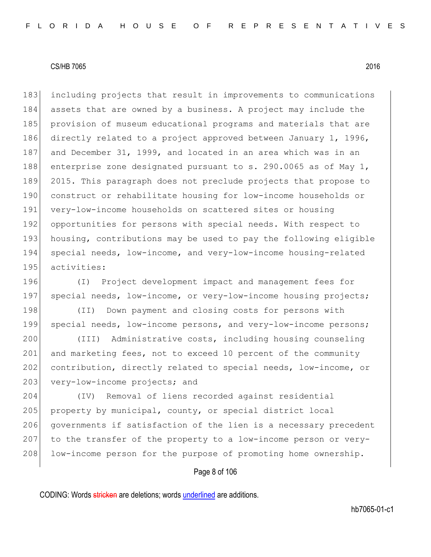183 including projects that result in improvements to communications 184 assets that are owned by a business. A project may include the 185 provision of museum educational programs and materials that are 186 directly related to a project approved between January 1, 1996, 187 and December 31, 1999, and located in an area which was in an 188 enterprise zone designated pursuant to s. 290.0065 as of May 1, 189 2015. This paragraph does not preclude projects that propose to 190 construct or rehabilitate housing for low-income households or 191 very-low-income households on scattered sites or housing 192 opportunities for persons with special needs. With respect to 193 housing, contributions may be used to pay the following eligible 194 special needs, low-income, and very-low-income housing-related 195 activities:

196 (I) Project development impact and management fees for 197 special needs, low-income, or very-low-income housing projects;

198 (II) Down payment and closing costs for persons with 199 special needs, low-income persons, and very-low-income persons;

200 (III) Administrative costs, including housing counseling 201 and marketing fees, not to exceed 10 percent of the community 202 contribution, directly related to special needs, low-income, or 203 very-low-income projects; and

204 (IV) Removal of liens recorded against residential 205 property by municipal, county, or special district local 206 governments if satisfaction of the lien is a necessary precedent 207 to the transfer of the property to a low-income person or very-208 low-income person for the purpose of promoting home ownership.

# Page 8 of 106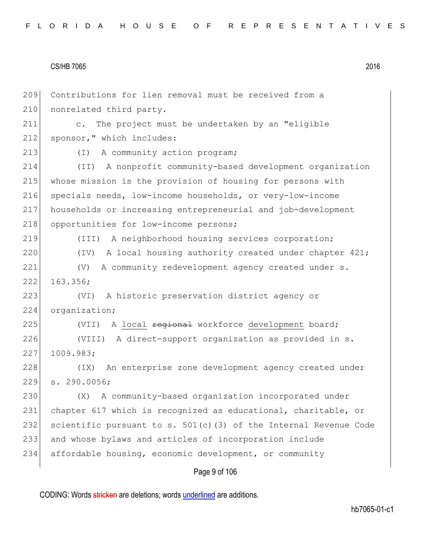Contributions for lien removal must be received from a 210 nonrelated third party. c. The project must be undertaken by an "eligible 212 sponsor," which includes: 213 (I) A community action program; (II) A nonprofit community-based development organization whose mission is the provision of housing for persons with specials needs, low-income households, or very-low-income households or increasing entrepreneurial and job-development 218 opportunities for low-income persons; (III) A neighborhood housing services corporation; 220 (IV) A local housing authority created under chapter 421; (V) A community redevelopment agency created under s. 222 163.356; (VI) A historic preservation district agency or 224 organization; 225 (VII) A local <del>regional</del> workforce development board; (VIII) A direct-support organization as provided in s. 1009.983; 228 (IX) An enterprise zone development agency created under s. 290.0056; (X) A community-based organization incorporated under chapter 617 which is recognized as educational, charitable, or 232 scientific pursuant to s. 501(c)(3) of the Internal Revenue Code and whose bylaws and articles of incorporation include affordable housing, economic development, or community

Page 9 of 106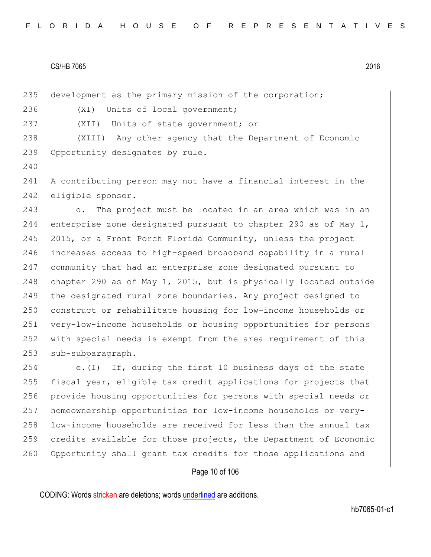235 development as the primary mission of the corporation;

236 (XI) Units of local government;

240

237 (XII) Units of state government; or

238 (XIII) Any other agency that the Department of Economic 239 Opportunity designates by rule.

241 A contributing person may not have a financial interest in the 242 eligible sponsor.

243 d. The project must be located in an area which was in an 244 enterprise zone designated pursuant to chapter 290 as of May  $1$ , 245 2015, or a Front Porch Florida Community, unless the project 246 increases access to high-speed broadband capability in a rural 247 community that had an enterprise zone designated pursuant to 248 chapter 290 as of May 1, 2015, but is physically located outside 249 the designated rural zone boundaries. Any project designed to 250 construct or rehabilitate housing for low-income households or 251 very-low-income households or housing opportunities for persons 252 with special needs is exempt from the area requirement of this 253 sub-subparagraph.

254 e.(I) If, during the first 10 business days of the state 255 fiscal year, eligible tax credit applications for projects that 256 provide housing opportunities for persons with special needs or 257 homeownership opportunities for low-income households or very-258 low-income households are received for less than the annual tax 259 credits available for those projects, the Department of Economic 260 Opportunity shall grant tax credits for those applications and

## Page 10 of 106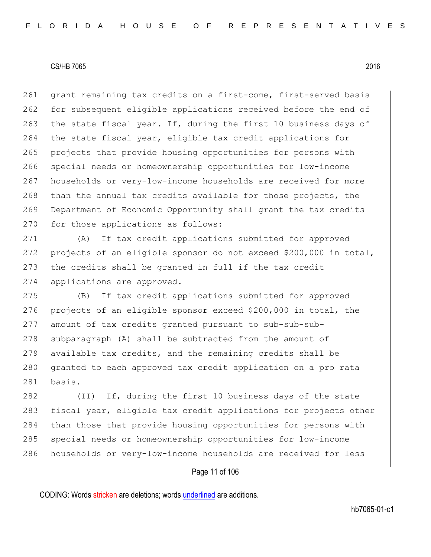261 grant remaining tax credits on a first-come, first-served basis 262 for subsequent eligible applications received before the end of 263 the state fiscal year. If, during the first 10 business days of 264 the state fiscal year, eligible tax credit applications for 265 projects that provide housing opportunities for persons with 266 special needs or homeownership opportunities for low-income 267 households or very-low-income households are received for more 268 than the annual tax credits available for those projects, the 269 Department of Economic Opportunity shall grant the tax credits 270 for those applications as follows:

271 (A) If tax credit applications submitted for approved 272 projects of an eligible sponsor do not exceed \$200,000 in total, 273 the credits shall be granted in full if the tax credit 274 applications are approved.

 (B) If tax credit applications submitted for approved projects of an eligible sponsor exceed \$200,000 in total, the amount of tax credits granted pursuant to sub-sub-sub- subparagraph (A) shall be subtracted from the amount of available tax credits, and the remaining credits shall be 280 granted to each approved tax credit application on a pro rata 281 basis.

282 (II) If, during the first 10 business days of the state 283 fiscal year, eligible tax credit applications for projects other 284 than those that provide housing opportunities for persons with 285 special needs or homeownership opportunities for low-income 286 households or very-low-income households are received for less

# Page 11 of 106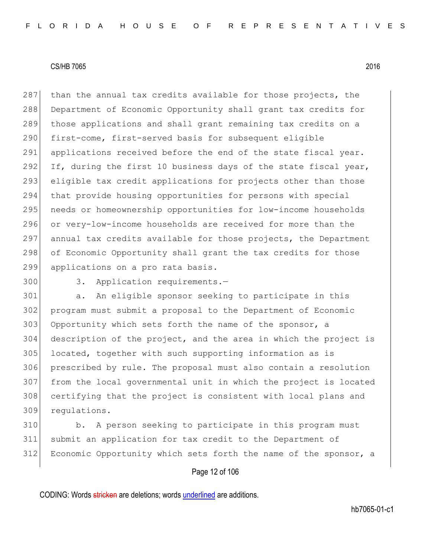287 than the annual tax credits available for those projects, the 288 Department of Economic Opportunity shall grant tax credits for 289 those applications and shall grant remaining tax credits on a 290 first-come, first-served basis for subsequent eligible 291 applications received before the end of the state fiscal year. 292 If, during the first 10 business days of the state fiscal year, 293 eligible tax credit applications for projects other than those 294 that provide housing opportunities for persons with special 295 needs or homeownership opportunities for low-income households 296 or very-low-income households are received for more than the 297 annual tax credits available for those projects, the Department 298 of Economic Opportunity shall grant the tax credits for those 299 applications on a pro rata basis.

300 3. Application requirements.-

 a. An eligible sponsor seeking to participate in this program must submit a proposal to the Department of Economic 303 Opportunity which sets forth the name of the sponsor, a description of the project, and the area in which the project is located, together with such supporting information as is prescribed by rule. The proposal must also contain a resolution from the local governmental unit in which the project is located certifying that the project is consistent with local plans and regulations.

310 b. A person seeking to participate in this program must 311 submit an application for tax credit to the Department of 312 Economic Opportunity which sets forth the name of the sponsor, a

## Page 12 of 106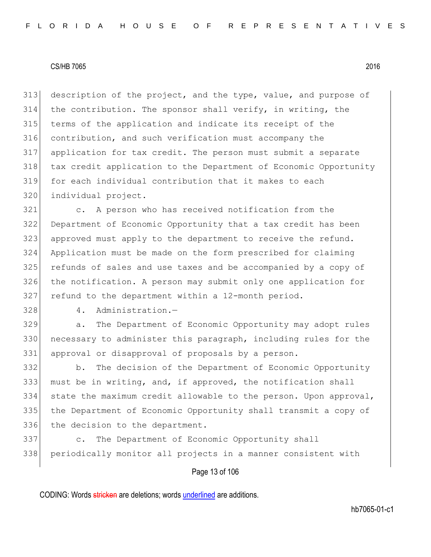description of the project, and the type, value, and purpose of the contribution. The sponsor shall verify, in writing, the terms of the application and indicate its receipt of the contribution, and such verification must accompany the application for tax credit. The person must submit a separate tax credit application to the Department of Economic Opportunity for each individual contribution that it makes to each individual project.

 c. A person who has received notification from the Department of Economic Opportunity that a tax credit has been approved must apply to the department to receive the refund. Application must be made on the form prescribed for claiming refunds of sales and use taxes and be accompanied by a copy of the notification. A person may submit only one application for 327 refund to the department within a 12-month period.

328 4. Administration.-

 a. The Department of Economic Opportunity may adopt rules 330 necessary to administer this paragraph, including rules for the approval or disapproval of proposals by a person.

 b. The decision of the Department of Economic Opportunity must be in writing, and, if approved, the notification shall state the maximum credit allowable to the person. Upon approval, the Department of Economic Opportunity shall transmit a copy of 336 the decision to the department.

 c. The Department of Economic Opportunity shall periodically monitor all projects in a manner consistent with

## Page 13 of 106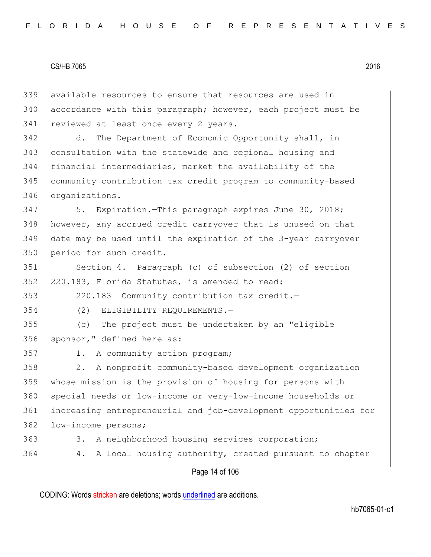Page 14 of 106 339 available resources to ensure that resources are used in 340 accordance with this paragraph; however, each project must be 341 reviewed at least once every 2 years. 342 d. The Department of Economic Opportunity shall, in 343 consultation with the statewide and regional housing and 344 financial intermediaries, market the availability of the 345 community contribution tax credit program to community-based 346 organizations. 347 5. Expiration.—This paragraph expires June 30, 2018; 348 however, any accrued credit carryover that is unused on that 349 date may be used until the expiration of the 3-year carryover 350 period for such credit. 351 Section 4. Paragraph (c) of subsection (2) of section 352 220.183, Florida Statutes, is amended to read: 353 220.183 Community contribution tax credit.— 354 (2) ELIGIBILITY REQUIREMENTS.— 355 (c) The project must be undertaken by an "eligible 356 sponsor," defined here as: 357 1. A community action program; 358 2. A nonprofit community-based development organization 359 whose mission is the provision of housing for persons with 360 special needs or low-income or very-low-income households or 361 increasing entrepreneurial and job-development opportunities for 362 low-income persons; 363 3. A neighborhood housing services corporation; 364 4. A local housing authority, created pursuant to chapter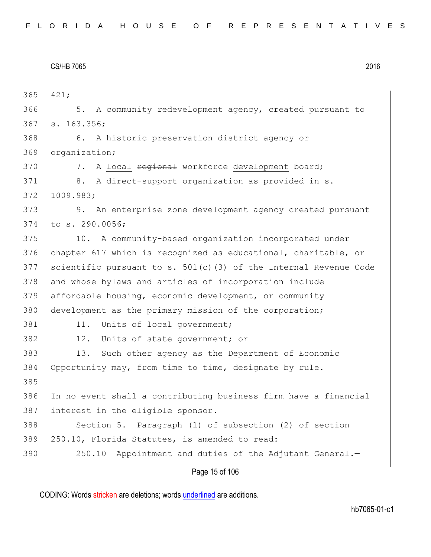Page 15 of 106 365 421; 366 5. A community redevelopment agency, created pursuant to 367 s. 163.356; 368 6. A historic preservation district agency or 369 organization; 370 7. A local regional workforce development board; 371 8. A direct-support organization as provided in s. 372 1009.983; 373 9. An enterprise zone development agency created pursuant 374 to s. 290.0056; 375 10. A community-based organization incorporated under 376 chapter 617 which is recognized as educational, charitable, or 377 scientific pursuant to s.  $501(c)$  (3) of the Internal Revenue Code 378 and whose bylaws and articles of incorporation include 379 affordable housing, economic development, or community 380 development as the primary mission of the corporation; 381 11. Units of local government; 382 12. Units of state government; or 383 13. Such other agency as the Department of Economic 384 Opportunity may, from time to time, designate by rule. 385 386 In no event shall a contributing business firm have a financial 387 interest in the eligible sponsor. 388 Section 5. Paragraph (1) of subsection (2) of section 389 250.10, Florida Statutes, is amended to read: 390 250.10 Appointment and duties of the Adjutant General.-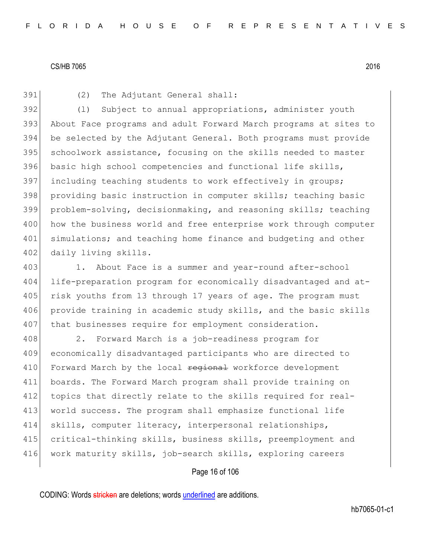391 (2) The Adjutant General shall:

392 (l) Subject to annual appropriations, administer youth 393 About Face programs and adult Forward March programs at sites to 394 be selected by the Adjutant General. Both programs must provide 395 schoolwork assistance, focusing on the skills needed to master 396 basic high school competencies and functional life skills, 397 including teaching students to work effectively in groups; 398 providing basic instruction in computer skills; teaching basic 399 problem-solving, decisionmaking, and reasoning skills; teaching 400 how the business world and free enterprise work through computer 401 simulations; and teaching home finance and budgeting and other 402 daily living skills.

403 1. About Face is a summer and year-round after-school 404 life-preparation program for economically disadvantaged and at-405 risk youths from 13 through 17 years of age. The program must 406 provide training in academic study skills, and the basic skills 407 that businesses require for employment consideration.

408 2. Forward March is a job-readiness program for 409 economically disadvantaged participants who are directed to 410 Forward March by the local regional workforce development 411 boards. The Forward March program shall provide training on 412 topics that directly relate to the skills required for real-413 world success. The program shall emphasize functional life 414 skills, computer literacy, interpersonal relationships, 415 critical-thinking skills, business skills, preemployment and 416 work maturity skills, job-search skills, exploring careers

## Page 16 of 106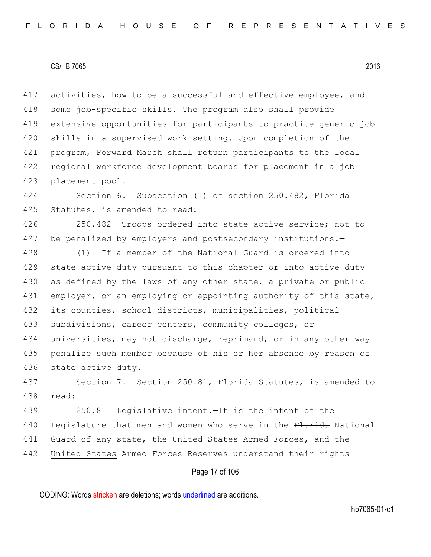417 activities, how to be a successful and effective employee, and 418 some job-specific skills. The program also shall provide 419 extensive opportunities for participants to practice generic job 420 skills in a supervised work setting. Upon completion of the 421 program, Forward March shall return participants to the local 422 **regional** workforce development boards for placement in a job 423 placement pool.

424 Section 6. Subsection (1) of section 250.482, Florida 425 Statutes, is amended to read:

426 250.482 Troops ordered into state active service; not to 427 be penalized by employers and postsecondary institutions.-

428 (1) If a member of the National Guard is ordered into 429 state active duty pursuant to this chapter or into active duty 430 as defined by the laws of any other state, a private or public 431 employer, or an employing or appointing authority of this state, 432 its counties, school districts, municipalities, political 433 subdivisions, career centers, community colleges, or 434 universities, may not discharge, reprimand, or in any other way 435 penalize such member because of his or her absence by reason of 436 state active duty.

437 Section 7. Section 250.81, Florida Statutes, is amended to 438 read:

439 250.81 Legislative intent.—It is the intent of the 440 Legislature that men and women who serve in the Florida National 441 Guard of any state, the United States Armed Forces, and the 442 United States Armed Forces Reserves understand their rights

# Page 17 of 106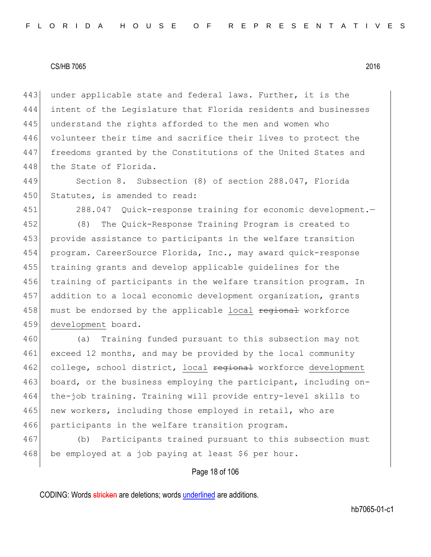443 under applicable state and federal laws. Further, it is the 444 intent of the Legislature that Florida residents and businesses 445 understand the rights afforded to the men and women who 446 volunteer their time and sacrifice their lives to protect the 447 freedoms granted by the Constitutions of the United States and 448 the State of Florida.

449 Section 8. Subsection (8) of section 288.047, Florida 450 Statutes, is amended to read:

451 288.047 Quick-response training for economic development.—

 (8) The Quick-Response Training Program is created to provide assistance to participants in the welfare transition program. CareerSource Florida, Inc., may award quick-response training grants and develop applicable guidelines for the 456 training of participants in the welfare transition program. In addition to a local economic development organization, grants 458 must be endorsed by the applicable local regional workforce development board.

460 (a) Training funded pursuant to this subsection may not 461 exceed 12 months, and may be provided by the local community 462 college, school district, local regional workforce development 463 board, or the business employing the participant, including on-464 the-job training. Training will provide entry-level skills to 465 new workers, including those employed in retail, who are 466 participants in the welfare transition program.

467 (b) Participants trained pursuant to this subsection must 468 be employed at a job paying at least \$6 per hour.

# Page 18 of 106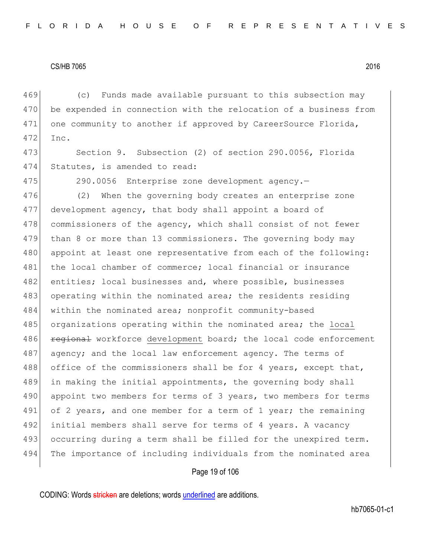469 (c) Funds made available pursuant to this subsection may 470 be expended in connection with the relocation of a business from 471 one community to another if approved by CareerSource Florida, 472 Inc.

473 Section 9. Subsection (2) of section 290.0056, Florida 474 Statutes, is amended to read:

475 290.0056 Enterprise zone development agency.—

476 (2) When the governing body creates an enterprise zone 477 development agency, that body shall appoint a board of 478 commissioners of the agency, which shall consist of not fewer 479 than 8 or more than 13 commissioners. The governing body may 480 appoint at least one representative from each of the following: 481 the local chamber of commerce; local financial or insurance 482 entities; local businesses and, where possible, businesses 483 operating within the nominated area; the residents residing 484 within the nominated area; nonprofit community-based 485 organizations operating within the nominated area; the local 486 **regional** workforce development board; the local code enforcement 487 agency; and the local law enforcement agency. The terms of 488 office of the commissioners shall be for 4 years, except that, 489 in making the initial appointments, the governing body shall 490 appoint two members for terms of 3 years, two members for terms 491 of 2 years, and one member for a term of 1 year; the remaining 492 initial members shall serve for terms of 4 years. A vacancy 493 occurring during a term shall be filled for the unexpired term. 494 The importance of including individuals from the nominated area

# Page 19 of 106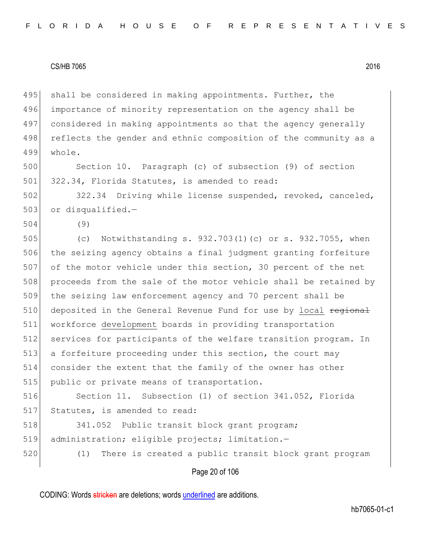495 shall be considered in making appointments. Further, the 496 importance of minority representation on the agency shall be 497 considered in making appointments so that the agency generally 498 reflects the gender and ethnic composition of the community as a 499 whole.

500 Section 10. Paragraph (c) of subsection (9) of section 501 322.34, Florida Statutes, is amended to read:

502 322.34 Driving while license suspended, revoked, canceled,  $503$  or disqualified.-

504 (9)

505 (c) Notwithstanding s. 932.703(1)(c) or s. 932.7055, when 506 the seizing agency obtains a final judgment granting forfeiture 507 of the motor vehicle under this section, 30 percent of the net 508 proceeds from the sale of the motor vehicle shall be retained by 509 the seizing law enforcement agency and 70 percent shall be 510 deposited in the General Revenue Fund for use by local regional 511 workforce development boards in providing transportation 512 services for participants of the welfare transition program. In 513 a forfeiture proceeding under this section, the court may 514 consider the extent that the family of the owner has other 515 public or private means of transportation.

516 Section 11. Subsection (1) of section 341.052, Florida 517 Statutes, is amended to read:

518 341.052 Public transit block grant program; 519 administration; eligible projects; limitation.—

520 (1) There is created a public transit block grant program

Page 20 of 106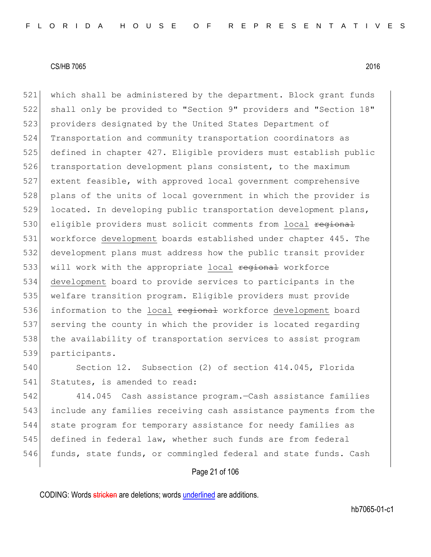521 which shall be administered by the department. Block grant funds 522 shall only be provided to "Section 9" providers and "Section 18" 523 providers designated by the United States Department of 524 Transportation and community transportation coordinators as 525 defined in chapter 427. Eligible providers must establish public 526 transportation development plans consistent, to the maximum 527 extent feasible, with approved local government comprehensive 528 plans of the units of local government in which the provider is 529 located. In developing public transportation development plans, 530 eligible providers must solicit comments from local regional 531 workforce development boards established under chapter 445. The 532 development plans must address how the public transit provider 533 will work with the appropriate local regional workforce 534 development board to provide services to participants in the 535 welfare transition program. Eligible providers must provide 536 information to the local regional workforce development board 537 serving the county in which the provider is located regarding 538 the availability of transportation services to assist program 539 participants.

540 Section 12. Subsection (2) of section 414.045, Florida 541 Statutes, is amended to read:

 414.045 Cash assistance program.—Cash assistance families include any families receiving cash assistance payments from the state program for temporary assistance for needy families as defined in federal law, whether such funds are from federal 546 funds, state funds, or commingled federal and state funds. Cash

## Page 21 of 106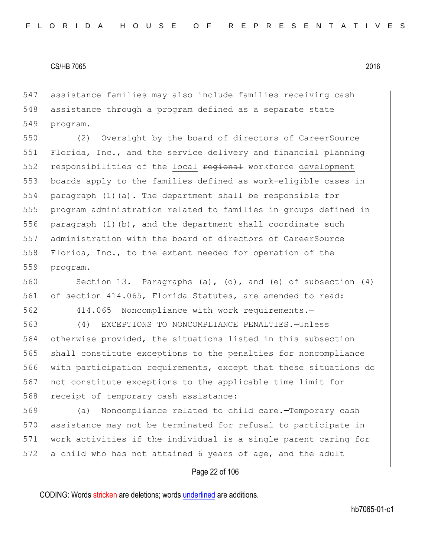547 assistance families may also include families receiving cash 548 assistance through a program defined as a separate state 549 program.

550 (2) Oversight by the board of directors of CareerSource 551 Florida, Inc., and the service delivery and financial planning 552 responsibilities of the local regional workforce development 553 boards apply to the families defined as work-eligible cases in 554 paragraph  $(1)(a)$ . The department shall be responsible for 555 program administration related to families in groups defined in 556 paragraph (1)(b), and the department shall coordinate such 557 administration with the board of directors of CareerSource 558 Florida, Inc., to the extent needed for operation of the 559 program.

560 Section 13. Paragraphs (a), (d), and (e) of subsection (4) 561 of section 414.065, Florida Statutes, are amended to read:

562 414.065 Noncompliance with work requirements.—

 (4) EXCEPTIONS TO NONCOMPLIANCE PENALTIES.—Unless otherwise provided, the situations listed in this subsection shall constitute exceptions to the penalties for noncompliance with participation requirements, except that these situations do not constitute exceptions to the applicable time limit for 568 receipt of temporary cash assistance:

 (a) Noncompliance related to child care.—Temporary cash assistance may not be terminated for refusal to participate in work activities if the individual is a single parent caring for 572 a child who has not attained 6 years of age, and the adult

#### Page 22 of 106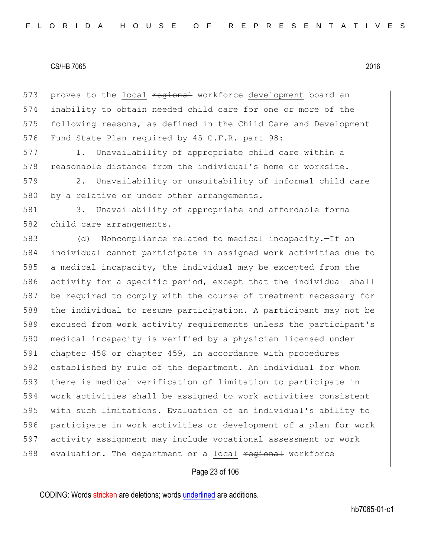573 proves to the local regional workforce development board an 574 inability to obtain needed child care for one or more of the 575 following reasons, as defined in the Child Care and Development 576 Fund State Plan required by 45 C.F.R. part 98:

577 1. Unavailability of appropriate child care within a 578 reasonable distance from the individual's home or worksite.

579 2. Unavailability or unsuitability of informal child care 580 by a relative or under other arrangements.

581 3. Unavailability of appropriate and affordable formal 582 child care arrangements.

 (d) Noncompliance related to medical incapacity.—If an individual cannot participate in assigned work activities due to a medical incapacity, the individual may be excepted from the activity for a specific period, except that the individual shall 587 be required to comply with the course of treatment necessary for the individual to resume participation. A participant may not be excused from work activity requirements unless the participant's 590 medical incapacity is verified by a physician licensed under chapter 458 or chapter 459, in accordance with procedures established by rule of the department. An individual for whom there is medical verification of limitation to participate in work activities shall be assigned to work activities consistent with such limitations. Evaluation of an individual's ability to participate in work activities or development of a plan for work activity assignment may include vocational assessment or work 598 evaluation. The department or a local regional workforce

# Page 23 of 106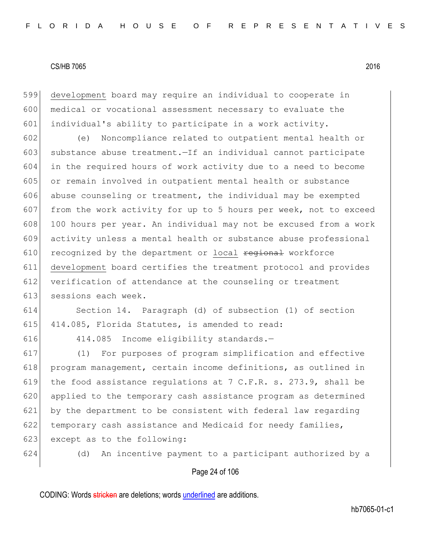599 development board may require an individual to cooperate in 600 medical or vocational assessment necessary to evaluate the 601 individual's ability to participate in a work activity.

602 (e) Noncompliance related to outpatient mental health or 603 substance abuse treatment.—If an individual cannot participate 604 in the required hours of work activity due to a need to become 605 or remain involved in outpatient mental health or substance 606 abuse counseling or treatment, the individual may be exempted 607 from the work activity for up to 5 hours per week, not to exceed 608 100 hours per year. An individual may not be excused from a work 609 activity unless a mental health or substance abuse professional  $610$  recognized by the department or local regional workforce 611 development board certifies the treatment protocol and provides 612 verification of attendance at the counseling or treatment 613 sessions each week.

614 Section 14. Paragraph (d) of subsection (1) of section 615 414.085, Florida Statutes, is amended to read:

616 414.085 Income eligibility standards.—

617 (1) For purposes of program simplification and effective 618 program management, certain income definitions, as outlined in 619 the food assistance regulations at 7 C.F.R. s. 273.9, shall be 620 applied to the temporary cash assistance program as determined 621 by the department to be consistent with federal law regarding 622 temporary cash assistance and Medicaid for needy families, 623 except as to the following:

624 (d) An incentive payment to a participant authorized by a

# Page 24 of 106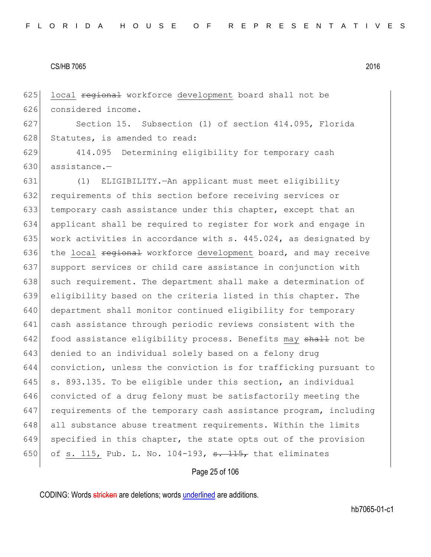625 local regional workforce development board shall not be 626 considered income.

627 Section 15. Subsection (1) of section 414.095, Florida 628 Statutes, is amended to read:

629 414.095 Determining eligibility for temporary cash 630 assistance.—

631 (1) ELIGIBILITY.—An applicant must meet eligibility 632 requirements of this section before receiving services or 633 temporary cash assistance under this chapter, except that an 634 applicant shall be required to register for work and engage in 635 work activities in accordance with s.  $445.024$ , as designated by 636 the local  $\frac{1}{100}$  regional workforce development board, and may receive 637 support services or child care assistance in conjunction with 638 such requirement. The department shall make a determination of 639 eligibility based on the criteria listed in this chapter. The 640 department shall monitor continued eligibility for temporary 641 cash assistance through periodic reviews consistent with the 642 food assistance eligibility process. Benefits may shall not be 643 denied to an individual solely based on a felony drug 644 conviction, unless the conviction is for trafficking pursuant to 645  $\vert$  s. 893.135. To be eligible under this section, an individual 646 convicted of a drug felony must be satisfactorily meeting the 647 requirements of the temporary cash assistance program, including 648 all substance abuse treatment requirements. Within the limits 649 specified in this chapter, the state opts out of the provision 650 of s. 115, Pub. L. No. 104-193,  $\frac{115}{100}$  that eliminates

Page 25 of 106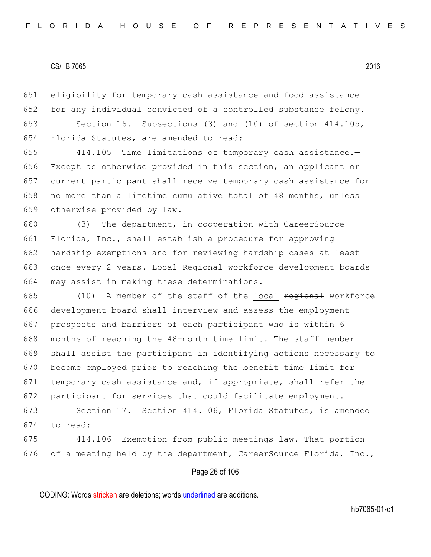651 eligibility for temporary cash assistance and food assistance 652 for any individual convicted of a controlled substance felony.

653 Section 16. Subsections (3) and (10) of section 414.105, 654 Florida Statutes, are amended to read:

 414.105 Time limitations of temporary cash assistance.— Except as otherwise provided in this section, an applicant or current participant shall receive temporary cash assistance for 658 no more than a lifetime cumulative total of 48 months, unless otherwise provided by law.

660 (3) The department, in cooperation with CareerSource 661 Florida, Inc., shall establish a procedure for approving 662 hardship exemptions and for reviewing hardship cases at least 663 once every 2 years. Local Regional workforce development boards 664 may assist in making these determinations.

665  $(10)$  A member of the staff of the local  $\frac{1}{2}$  regional workforce 666 development board shall interview and assess the employment 667 prospects and barriers of each participant who is within 6 668 months of reaching the 48-month time limit. The staff member 669 shall assist the participant in identifying actions necessary to 670 become employed prior to reaching the benefit time limit for 671 temporary cash assistance and, if appropriate, shall refer the 672 participant for services that could facilitate employment.

673 Section 17. Section 414.106, Florida Statutes, is amended 674 to read:

675 414.106 Exemption from public meetings law.—That portion 676 of a meeting held by the department, CareerSource Florida, Inc.,

# Page 26 of 106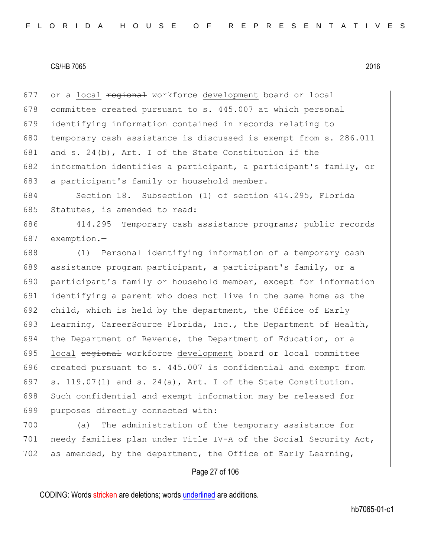677 or a local <del>regional</del> workforce development board or local 678 committee created pursuant to s. 445.007 at which personal 679 identifying information contained in records relating to 680 temporary cash assistance is discussed is exempt from s. 286.011 681 and s. 24(b), Art. I of the State Constitution if the 682 information identifies a participant, a participant's family, or 683 a participant's family or household member.

684 Section 18. Subsection (1) of section 414.295, Florida 685 Statutes, is amended to read:

686 414.295 Temporary cash assistance programs; public records 687 exemption.—

688 (1) Personal identifying information of a temporary cash 689 assistance program participant, a participant's family, or a 690 participant's family or household member, except for information 691 identifying a parent who does not live in the same home as the 692 child, which is held by the department, the Office of Early 693 Learning, CareerSource Florida, Inc., the Department of Health, 694 the Department of Revenue, the Department of Education, or a 695 local regional workforce development board or local committee 696 created pursuant to s. 445.007 is confidential and exempt from 697 s. 119.07(1) and s. 24(a), Art. I of the State Constitution. 698 Such confidential and exempt information may be released for 699 purposes directly connected with:

700 (a) The administration of the temporary assistance for 701 | needy families plan under Title IV-A of the Social Security Act, 702 as amended, by the department, the Office of Early Learning,

# Page 27 of 106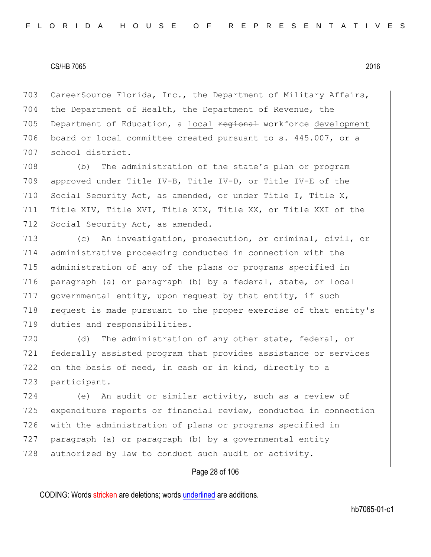703 CareerSource Florida, Inc., the Department of Military Affairs, 704 the Department of Health, the Department of Revenue, the 705 Department of Education, a local regional workforce development 706 board or local committee created pursuant to s. 445.007, or a 707 school district.

708 (b) The administration of the state's plan or program 709 approved under Title IV-B, Title IV-D, or Title IV-E of the 710 Social Security Act, as amended, or under Title I, Title X, 711 Title XIV, Title XVI, Title XIX, Title XX, or Title XXI of the 712 Social Security Act, as amended.

713 (c) An investigation, prosecution, or criminal, civil, or 714 administrative proceeding conducted in connection with the 715 administration of any of the plans or programs specified in 716 paragraph (a) or paragraph (b) by a federal, state, or local 717 governmental entity, upon request by that entity, if such 718 request is made pursuant to the proper exercise of that entity's 719 duties and responsibilities.

720 (d) The administration of any other state, federal, or 721 federally assisted program that provides assistance or services 722 on the basis of need, in cash or in kind, directly to a 723 participant.

 (e) An audit or similar activity, such as a review of expenditure reports or financial review, conducted in connection with the administration of plans or programs specified in paragraph (a) or paragraph (b) by a governmental entity 728 authorized by law to conduct such audit or activity.

## Page 28 of 106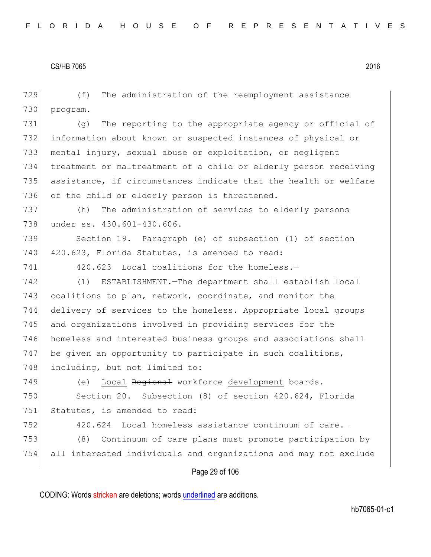Page 29 of 106 729 (f) The administration of the reemployment assistance 730 program. 731 (g) The reporting to the appropriate agency or official of 732 information about known or suspected instances of physical or 733 mental injury, sexual abuse or exploitation, or negligent 734 treatment or maltreatment of a child or elderly person receiving 735 assistance, if circumstances indicate that the health or welfare 736 of the child or elderly person is threatened. 737 (h) The administration of services to elderly persons 738 under ss. 430.601-430.606. 739 Section 19. Paragraph (e) of subsection (1) of section 740 420.623, Florida Statutes, is amended to read: 741 420.623 Local coalitions for the homeless.-742 (1) ESTABLISHMENT.—The department shall establish local 743 coalitions to plan, network, coordinate, and monitor the 744 delivery of services to the homeless. Appropriate local groups 745 and organizations involved in providing services for the 746 homeless and interested business groups and associations shall 747 be given an opportunity to participate in such coalitions, 748 including, but not limited to: 749 (e) Local Regional workforce development boards. 750 Section 20. Subsection (8) of section 420.624, Florida 751 Statutes, is amended to read: 752 420.624 Local homeless assistance continuum of care.-753 (8) Continuum of care plans must promote participation by 754 all interested individuals and organizations and may not exclude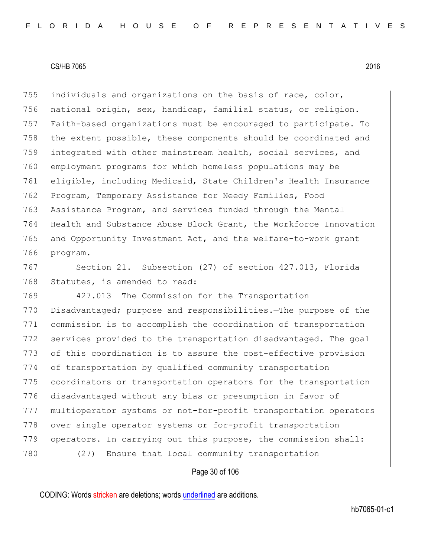755 individuals and organizations on the basis of race, color, national origin, sex, handicap, familial status, or religion. Faith-based organizations must be encouraged to participate. To 758 the extent possible, these components should be coordinated and integrated with other mainstream health, social services, and employment programs for which homeless populations may be eligible, including Medicaid, State Children's Health Insurance Program, Temporary Assistance for Needy Families, Food Assistance Program, and services funded through the Mental Health and Substance Abuse Block Grant, the Workforce Innovation 765 and Opportunity <del>Investment</del> Act, and the welfare-to-work grant 766 program.

767 Section 21. Subsection (27) of section 427.013, Florida 768 Statutes, is amended to read:

769 427.013 The Commission for the Transportation 770 Disadvantaged; purpose and responsibilities.—The purpose of the 771 commission is to accomplish the coordination of transportation 772 services provided to the transportation disadvantaged. The goal 773 of this coordination is to assure the cost-effective provision 774 of transportation by qualified community transportation 775 coordinators or transportation operators for the transportation 776 disadvantaged without any bias or presumption in favor of 777 multioperator systems or not-for-profit transportation operators 778 over single operator systems or for-profit transportation 779 operators. In carrying out this purpose, the commission shall: 780 (27) Ensure that local community transportation

# Page 30 of 106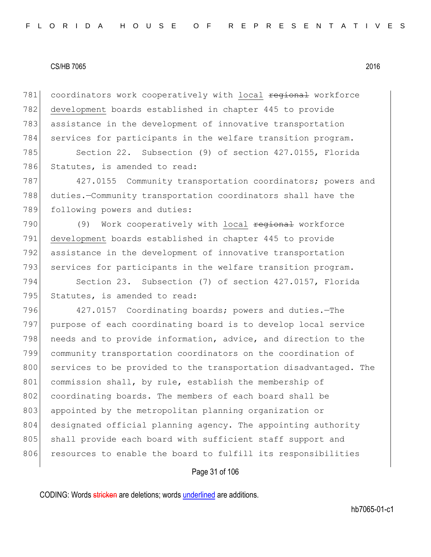781 coordinators work cooperatively with local regional workforce 782 development boards established in chapter 445 to provide 783 assistance in the development of innovative transportation 784 services for participants in the welfare transition program.

785 Section 22. Subsection (9) of section 427.0155, Florida 786 Statutes, is amended to read:

787 427.0155 Community transportation coordinators; powers and 788 duties.—Community transportation coordinators shall have the 789 following powers and duties:

790 (9) Work cooperatively with local regional workforce 791 development boards established in chapter 445 to provide 792 assistance in the development of innovative transportation 793 services for participants in the welfare transition program.

794 Section 23. Subsection (7) of section 427.0157, Florida 795 Statutes, is amended to read:

796 427.0157 Coordinating boards; powers and duties. The 797 purpose of each coordinating board is to develop local service 798 needs and to provide information, advice, and direction to the 799 community transportation coordinators on the coordination of 800 services to be provided to the transportation disadvantaged. The 801 commission shall, by rule, establish the membership of 802 coordinating boards. The members of each board shall be 803 appointed by the metropolitan planning organization or 804 designated official planning agency. The appointing authority 805 shall provide each board with sufficient staff support and 806 resources to enable the board to fulfill its responsibilities

#### Page 31 of 106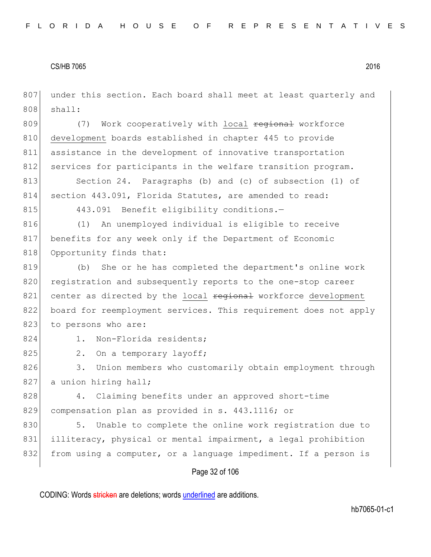Page 32 of 106 807 under this section. Each board shall meet at least quarterly and  $808$  shall: 809 (7) Work cooperatively with local regional workforce 810 development boards established in chapter 445 to provide 811 assistance in the development of innovative transportation 812 services for participants in the welfare transition program. 813 Section 24. Paragraphs (b) and (c) of subsection (1) of 814 section 443.091, Florida Statutes, are amended to read: 815 443.091 Benefit eligibility conditions.-816 (1) An unemployed individual is eligible to receive 817 benefits for any week only if the Department of Economic 818 Opportunity finds that: 819 (b) She or he has completed the department's online work 820 registration and subsequently reports to the one-stop career 821 center as directed by the local regional workforce development 822 board for reemployment services. This requirement does not apply 823 to persons who are: 824 1. Non-Florida residents; 825 2. On a temporary layoff; 826 3. Union members who customarily obtain employment through 827 a union hiring hall; 828 4. Claiming benefits under an approved short-time 829 compensation plan as provided in s. 443.1116; or 830 5. Unable to complete the online work registration due to 831 illiteracy, physical or mental impairment, a legal prohibition 832 from using a computer, or a language impediment. If a person is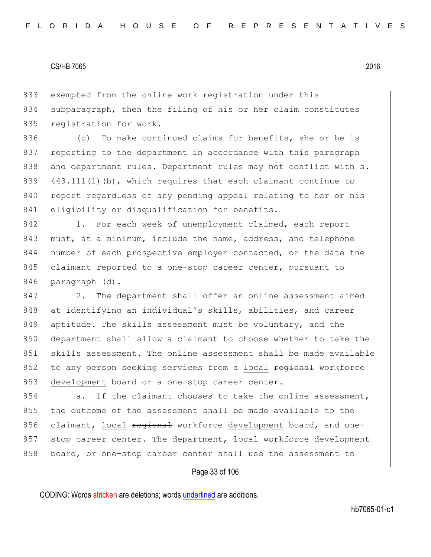833 exempted from the online work registration under this 834 subparagraph, then the filing of his or her claim constitutes 835 registration for work.

836 (c) To make continued claims for benefits, she or he is 837 reporting to the department in accordance with this paragraph 838 and department rules. Department rules may not conflict with s. 839  $443.111(1)$  (b), which requires that each claimant continue to 840 report regardless of any pending appeal relating to her or his 841 eligibility or disqualification for benefits.

842 1. For each week of unemployment claimed, each report 843 must, at a minimum, include the name, address, and telephone 844 number of each prospective employer contacted, or the date the 845 claimant reported to a one-stop career center, pursuant to 846 paragraph (d).

847 2. The department shall offer an online assessment aimed 848 at identifying an individual's skills, abilities, and career 849 aptitude. The skills assessment must be voluntary, and the 850 department shall allow a claimant to choose whether to take the 851 skills assessment. The online assessment shall be made available 852 to any person seeking services from a local regional workforce 853 development board or a one-stop career center.

854 a. If the claimant chooses to take the online assessment, 855 the outcome of the assessment shall be made available to the 856 claimant, local regional workforce development board, and one-857 stop career center. The department, local workforce development 858 board, or one-stop career center shall use the assessment to

## Page 33 of 106

CODING: Words stricken are deletions; words underlined are additions.

hb7065-01-c1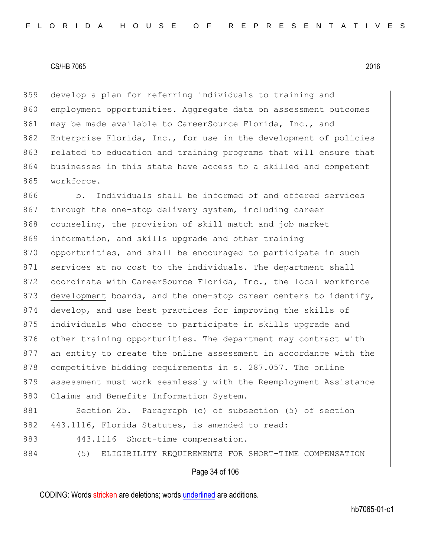859 develop a plan for referring individuals to training and 860 employment opportunities. Aggregate data on assessment outcomes 861 may be made available to CareerSource Florida, Inc., and 862 Enterprise Florida, Inc., for use in the development of policies 863 related to education and training programs that will ensure that 864 businesses in this state have access to a skilled and competent 865 workforce.

866 b. Individuals shall be informed of and offered services 867 through the one-stop delivery system, including career 868 counseling, the provision of skill match and job market 869 information, and skills upgrade and other training 870 opportunities, and shall be encouraged to participate in such 871 services at no cost to the individuals. The department shall 872 coordinate with CareerSource Florida, Inc., the local workforce 873 development boards, and the one-stop career centers to identify, 874 develop, and use best practices for improving the skills of 875 individuals who choose to participate in skills upgrade and 876 other training opportunities. The department may contract with 877 an entity to create the online assessment in accordance with the 878 competitive bidding requirements in s. 287.057. The online 879 assessment must work seamlessly with the Reemployment Assistance 880 Claims and Benefits Information System.

881 Section 25. Paragraph (c) of subsection (5) of section 882 443.1116, Florida Statutes, is amended to read:

883 443.1116 Short-time compensation.-

884 (5) ELIGIBILITY REQUIREMENTS FOR SHORT-TIME COMPENSATION

#### Page 34 of 106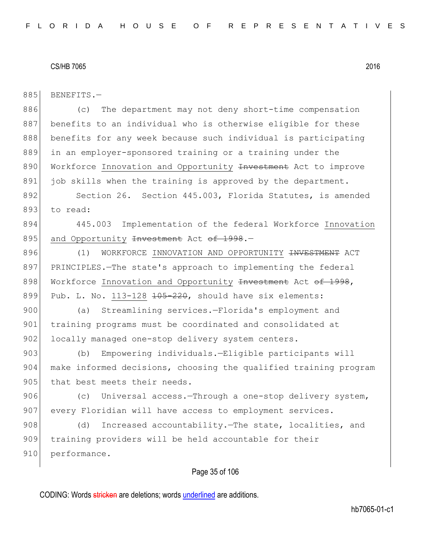885 BENEFITS.-886 (c) The department may not deny short-time compensation 887 benefits to an individual who is otherwise eligible for these 888 benefits for any week because such individual is participating 889 in an employer-sponsored training or a training under the 890 Workforce Innovation and Opportunity Investment Act to improve 891 job skills when the training is approved by the department. 892 Section 26. Section 445.003, Florida Statutes, is amended 893 to read: 894 445.003 Implementation of the federal Workforce Innovation 895 and Opportunity Investment Act of 1998.-896 (1) WORKFORCE INNOVATION AND OPPORTUNITY <del>INVESTMENT</del> ACT 897 PRINCIPLES.—The state's approach to implementing the federal 898 Workforce Innovation and Opportunity Investment Act of 1998, 899 Pub. L. No. 113-128  $105-220$ , should have six elements: 900 (a) Streamlining services.-Florida's employment and 901 training programs must be coordinated and consolidated at 902 locally managed one-stop delivery system centers. 903 (b) Empowering individuals.—Eligible participants will 904 make informed decisions, choosing the qualified training program 905 that best meets their needs. 906 (c) Universal access. Through a one-stop delivery system, 907 every Floridian will have access to employment services. 908 (d) Increased accountability.—The state, localities, and 909 training providers will be held accountable for their 910 performance.

Page 35 of 106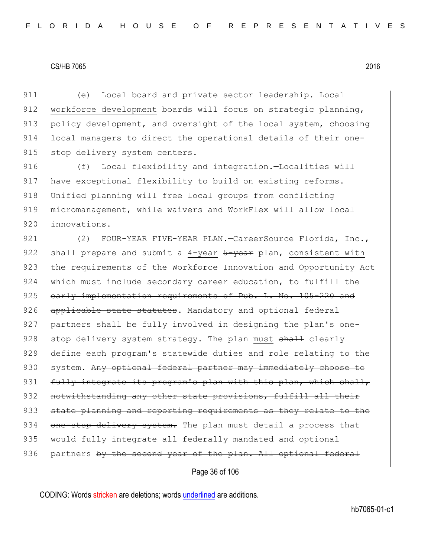911 (e) Local board and private sector leadership.—Local 912 workforce development boards will focus on strategic planning, 913 policy development, and oversight of the local system, choosing 914 local managers to direct the operational details of their one-915 stop delivery system centers.

916 (f) Local flexibility and integration.—Localities will 917 have exceptional flexibility to build on existing reforms. 918 Unified planning will free local groups from conflicting 919 micromanagement, while waivers and WorkFlex will allow local 920 innovations.

921 (2) FOUR-YEAR FIVE-YEAR PLAN.-CareerSource Florida, Inc., 922 shall prepare and submit a 4-year  $\frac{5-\text{year}}{2}$  plan, consistent with 923 the requirements of the Workforce Innovation and Opportunity Act 924 which must include secondary career education, to fulfill the 925 early implementation requirements of Pub. L. No. 105-220 and 926 applicable state statutes. Mandatory and optional federal 927 partners shall be fully involved in designing the plan's one-928 stop delivery system strategy. The plan must  $shath$  clearly 929 define each program's statewide duties and role relating to the 930 system. Any optional federal partner may immediately choose to 931 fully integrate its program's plan with this plan, which shall, 932 notwithstanding any other state provisions, fulfill all their 933 state planning and reporting requirements as they relate to the 934 one-stop delivery system. The plan must detail a process that 935 | would fully integrate all federally mandated and optional 936 partners by the second year of the plan. All optional federal

Page 36 of 106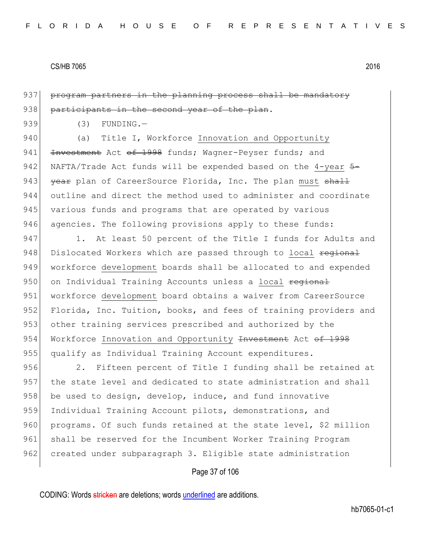937 program partners in the planning process shall be mandatory 938 participants in the second year of the plan.

 $939$  (3) FUNDING.

940 (a) Title I, Workforce Innovation and Opportunity 941 <del>Investment</del> Act of 1998 funds; Wagner-Peyser funds; and 942 NAFTA/Trade Act funds will be expended based on the 4-year  $5-$ 943 year plan of CareerSource Florida, Inc. The plan must shall 944 outline and direct the method used to administer and coordinate 945 various funds and programs that are operated by various 946 agencies. The following provisions apply to these funds:

947 1. At least 50 percent of the Title I funds for Adults and 948 Dislocated Workers which are passed through to local regional 949 workforce development boards shall be allocated to and expended 950 on Individual Training Accounts unless a local regional 951 workforce development board obtains a waiver from CareerSource 952 Florida, Inc. Tuition, books, and fees of training providers and 953 other training services prescribed and authorized by the 954 Workforce Innovation and Opportunity Investment Act of 1998 955 qualify as Individual Training Account expenditures.

956 2. Fifteen percent of Title I funding shall be retained at 957 the state level and dedicated to state administration and shall 958 be used to design, develop, induce, and fund innovative 959 Individual Training Account pilots, demonstrations, and 960 programs. Of such funds retained at the state level, \$2 million 961 shall be reserved for the Incumbent Worker Training Program 962 created under subparagraph 3. Eligible state administration

# Page 37 of 106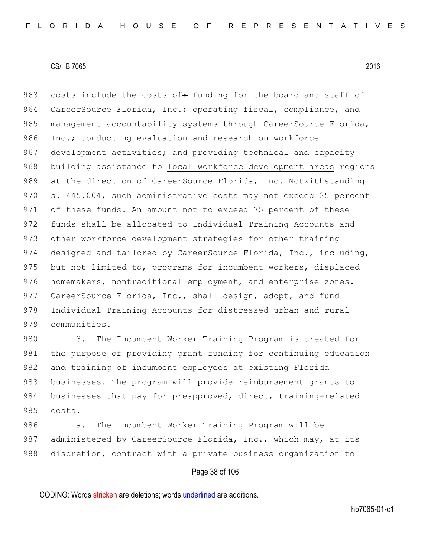963 costs include the costs of: funding for the board and staff of 964 CareerSource Florida, Inc.; operating fiscal, compliance, and 965 management accountability systems through CareerSource Florida, 966 Inc.; conducting evaluation and research on workforce 967 development activities; and providing technical and capacity 968 building assistance to local workforce development areas regions 969 at the direction of CareerSource Florida, Inc. Notwithstanding 970 s. 445.004, such administrative costs may not exceed 25 percent 971 of these funds. An amount not to exceed 75 percent of these 972 funds shall be allocated to Individual Training Accounts and 973 other workforce development strategies for other training 974 designed and tailored by CareerSource Florida, Inc., including, 975 but not limited to, programs for incumbent workers, displaced 976 homemakers, nontraditional employment, and enterprise zones. 977 CareerSource Florida, Inc., shall design, adopt, and fund 978 Individual Training Accounts for distressed urban and rural 979 communities.

980 3. The Incumbent Worker Training Program is created for 981 the purpose of providing grant funding for continuing education 982 and training of incumbent employees at existing Florida 983 businesses. The program will provide reimbursement grants to 984 businesses that pay for preapproved, direct, training-related 985 costs.

986 a. The Incumbent Worker Training Program will be 987 administered by CareerSource Florida, Inc., which may, at its 988 discretion, contract with a private business organization to

## Page 38 of 106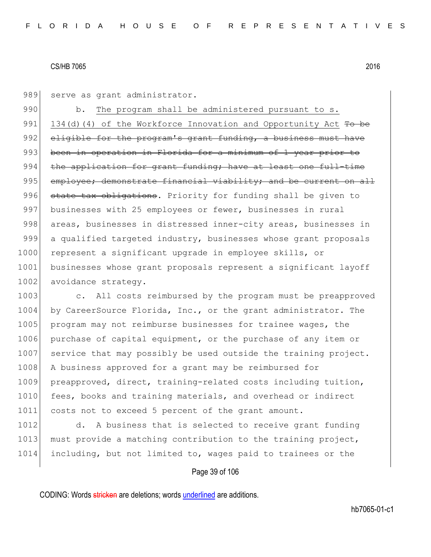989 serve as grant administrator.

990 b. The program shall be administered pursuant to s. 991 134(d)(4) of the Workforce Innovation and Opportunity Act  $T_0$  be 992 eligible for the program's grant funding, a business must have 993 been in operation in Florida for a minimum of 1 year prior to  $994$  the application for grant funding; have at least one full-time 995 employee; demonstrate financial viability; and be current on all 996 state tax obligations. Priority for funding shall be given to 997 businesses with 25 employees or fewer, businesses in rural 998 areas, businesses in distressed inner-city areas, businesses in 999 a qualified targeted industry, businesses whose grant proposals 1000 represent a significant upgrade in employee skills, or 1001 businesses whose grant proposals represent a significant layoff 1002 avoidance strategy.

1003 c. All costs reimbursed by the program must be preapproved 1004 by CareerSource Florida, Inc., or the grant administrator. The 1005 program may not reimburse businesses for trainee wages, the 1006 purchase of capital equipment, or the purchase of any item or 1007 service that may possibly be used outside the training project. 1008 A business approved for a grant may be reimbursed for 1009 preapproved, direct, training-related costs including tuition, 1010 fees, books and training materials, and overhead or indirect 1011 costs not to exceed 5 percent of the grant amount.

1012 d. A business that is selected to receive grant funding 1013 must provide a matching contribution to the training project, 1014 including, but not limited to, wages paid to trainees or the

# Page 39 of 106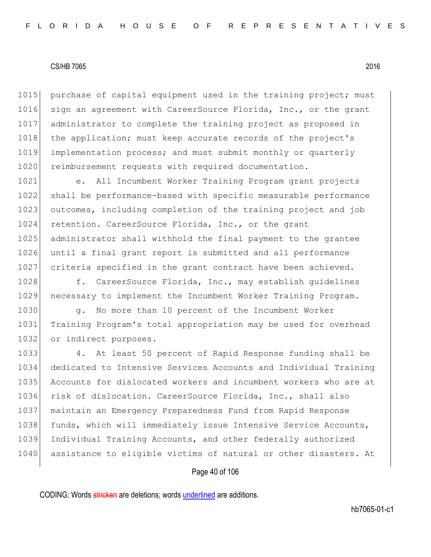1015 purchase of capital equipment used in the training project; must 1016 sign an agreement with CareerSource Florida, Inc., or the grant 1017 administrator to complete the training project as proposed in 1018 the application; must keep accurate records of the project's 1019 implementation process; and must submit monthly or quarterly 1020 reimbursement requests with required documentation.

1021 e. All Incumbent Worker Training Program grant projects 1022 shall be performance-based with specific measurable performance 1023 outcomes, including completion of the training project and job 1024 retention. CareerSource Florida, Inc., or the grant 1025 administrator shall withhold the final payment to the grantee 1026 until a final grant report is submitted and all performance 1027 criteria specified in the grant contract have been achieved.

1028 f. CareerSource Florida, Inc., may establish guidelines 1029 necessary to implement the Incumbent Worker Training Program.

1030 g. No more than 10 percent of the Incumbent Worker 1031 Training Program's total appropriation may be used for overhead 1032 or indirect purposes.

 4. At least 50 percent of Rapid Response funding shall be dedicated to Intensive Services Accounts and Individual Training Accounts for dislocated workers and incumbent workers who are at risk of dislocation. CareerSource Florida, Inc., shall also maintain an Emergency Preparedness Fund from Rapid Response 1038 funds, which will immediately issue Intensive Service Accounts, Individual Training Accounts, and other federally authorized 1040 assistance to eligible victims of natural or other disasters. At

#### Page 40 of 106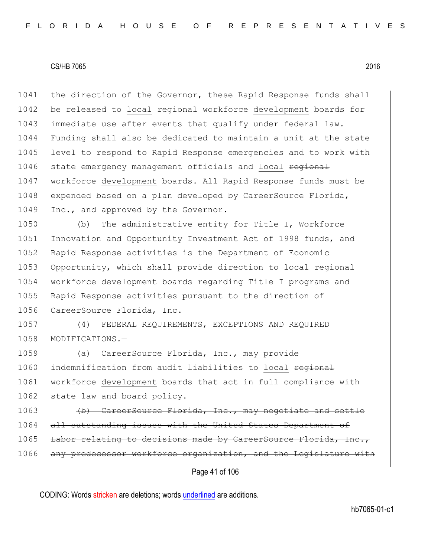1041 the direction of the Governor, these Rapid Response funds shall 1042 be released to local regional workforce development boards for 1043 immediate use after events that qualify under federal law. 1044 Funding shall also be dedicated to maintain a unit at the state 1045 level to respond to Rapid Response emergencies and to work with 1046 state emergency management officials and local regional 1047 workforce development boards. All Rapid Response funds must be 1048 expended based on a plan developed by CareerSource Florida, 1049 Inc., and approved by the Governor.

1050 (b) The administrative entity for Title I, Workforce 1051 Innovation and Opportunity <del>Investment</del> Act of 1998 funds, and 1052 Rapid Response activities is the Department of Economic 1053 Opportunity, which shall provide direction to local regional 1054 workforce development boards regarding Title I programs and 1055 Rapid Response activities pursuant to the direction of 1056 CareerSource Florida, Inc.

1057 (4) FEDERAL REQUIREMENTS, EXCEPTIONS AND REQUIRED 1058 MODIFICATIONS.-

1059 (a) CareerSource Florida, Inc., may provide 1060 indemnification from audit liabilities to local regional 1061 workforce development boards that act in full compliance with 1062 state law and board policy.

1063 (b) CareerSource Florida, Inc., may negotiate and settle 1064 all outstanding issues with the United States Department of 1065 Labor relating to decisions made by CareerSource Florida, Inc., 1066 any predecessor workforce organization, and the Legislature with

Page 41 of 106

CODING: Words stricken are deletions; words underlined are additions.

hb7065-01-c1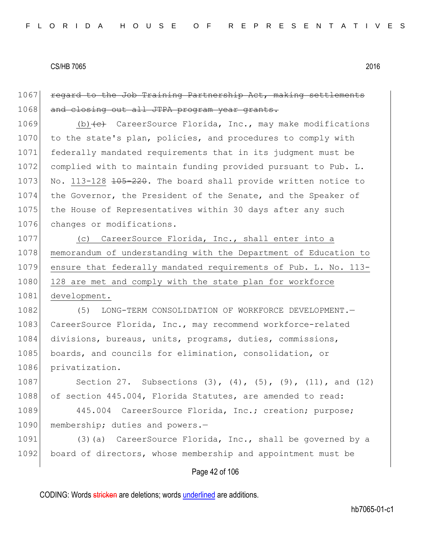1067 regard to the Job Training Partnership Act, making settlements 1068 and closing out all JTPA program year grants. 1069 (b)  $\left\{ \left. e \right\}$  CareerSource Florida, Inc., may make modifications 1070 to the state's plan, policies, and procedures to comply with 1071 federally mandated requirements that in its judgment must be 1072 complied with to maintain funding provided pursuant to Pub. L. 1073 No. 113-128 <del>105-220</del>. The board shall provide written notice to 1074 the Governor, the President of the Senate, and the Speaker of 1075 the House of Representatives within 30 days after any such 1076 changes or modifications. 1077 (c) CareerSource Florida, Inc., shall enter into a 1078 memorandum of understanding with the Department of Education to 1079 ensure that federally mandated requirements of Pub. L. No. 113- 1080 128 are met and comply with the state plan for workforce 1081 development. 1082 (5) LONG-TERM CONSOLIDATION OF WORKFORCE DEVELOPMENT. 1083 CareerSource Florida, Inc., may recommend workforce-related 1084 divisions, bureaus, units, programs, duties, commissions, 1085 boards, and councils for elimination, consolidation, or 1086 privatization. 1087 Section 27. Subsections (3), (4), (5), (9), (11), and (12) 1088 of section 445.004, Florida Statutes, are amended to read: 1089 445.004 CareerSource Florida, Inc.; creation; purpose; 1090 membership; duties and powers.-1091 (3)(a) CareerSource Florida, Inc., shall be governed by a 1092 board of directors, whose membership and appointment must be

Page 42 of 106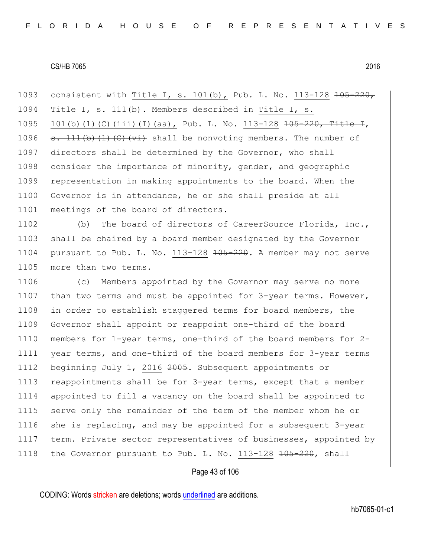1093 consistent with Title I, s. 101(b), Pub. L. No. 113-128 <del>105-220,</del> 1094  $T$  Title I, s. 111(b). Members described in Title I, s. 1095 101(b)(1)(C)(iii)(I)(aa), Pub. L. No. 113-128  $\frac{105-220}{\text{Title}}$ , 1096  $s. 111(b)(1)(c)(\overline{v_i})$  shall be nonvoting members. The number of 1097 directors shall be determined by the Governor, who shall 1098 consider the importance of minority, gender, and geographic 1099 representation in making appointments to the board. When the 1100 Governor is in attendance, he or she shall preside at all 1101 meetings of the board of directors.

1102 (b) The board of directors of CareerSource Florida, Inc., 1103 shall be chaired by a board member designated by the Governor 1104 pursuant to Pub. L. No. 113-128  $\frac{105-220}{100}$ . A member may not serve 1105 more than two terms.

1106 (c) Members appointed by the Governor may serve no more 1107 than two terms and must be appointed for 3-year terms. However, 1108 in order to establish staggered terms for board members, the 1109 Governor shall appoint or reappoint one-third of the board 1110 members for 1-year terms, one-third of the board members for 2-1111 year terms, and one-third of the board members for 3-year terms 1112 beginning July 1, 2016 2005. Subsequent appointments or 1113 reappointments shall be for 3-year terms, except that a member 1114 appointed to fill a vacancy on the board shall be appointed to 1115 serve only the remainder of the term of the member whom he or 1116 she is replacing, and may be appointed for a subsequent 3-year 1117 term. Private sector representatives of businesses, appointed by 1118 the Governor pursuant to Pub. L. No.  $113-128$   $\overline{105-220}$ , shall

## Page 43 of 106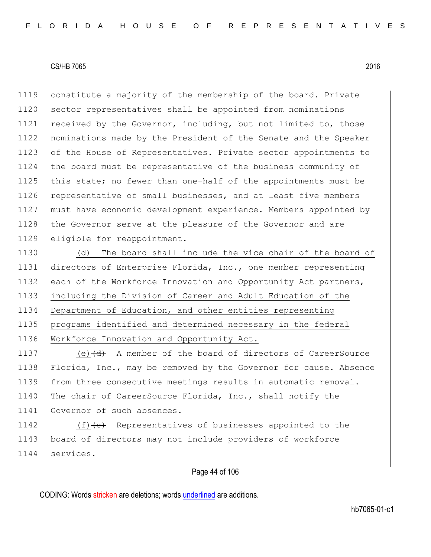1119 constitute a majority of the membership of the board. Private 1120 sector representatives shall be appointed from nominations 1121 received by the Governor, including, but not limited to, those 1122 nominations made by the President of the Senate and the Speaker 1123 of the House of Representatives. Private sector appointments to 1124 the board must be representative of the business community of 1125 this state; no fewer than one-half of the appointments must be 1126 representative of small businesses, and at least five members 1127 must have economic development experience. Members appointed by 1128 the Governor serve at the pleasure of the Governor and are 1129 eligible for reappointment.

 (d) The board shall include the vice chair of the board of directors of Enterprise Florida, Inc., one member representing 1132 each of the Workforce Innovation and Opportunity Act partners, including the Division of Career and Adult Education of the Department of Education, and other entities representing programs identified and determined necessary in the federal Workforce Innovation and Opportunity Act.

1137 (e) (d) A member of the board of directors of CareerSource 1138 Florida, Inc., may be removed by the Governor for cause. Absence 1139 from three consecutive meetings results in automatic removal. 1140 The chair of CareerSource Florida, Inc., shall notify the 1141 Governor of such absences.

1142 (f)<del>(e)</del> Representatives of businesses appointed to the 1143 board of directors may not include providers of workforce 1144 services.

# Page 44 of 106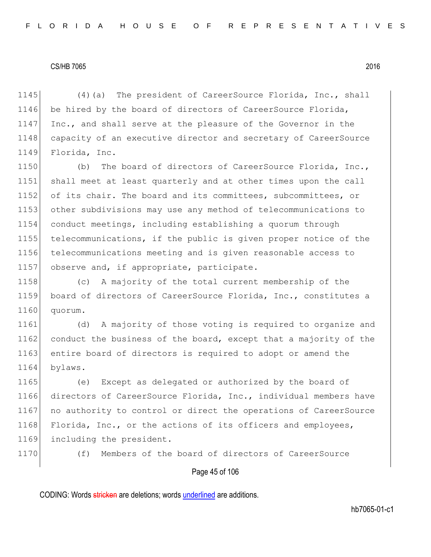1145 (4)(a) The president of CareerSource Florida, Inc., shall 1146 be hired by the board of directors of CareerSource Florida, 1147 Inc., and shall serve at the pleasure of the Governor in the 1148 capacity of an executive director and secretary of CareerSource 1149 Florida, Inc.

 (b) The board of directors of CareerSource Florida, Inc., shall meet at least quarterly and at other times upon the call 1152 of its chair. The board and its committees, subcommittees, or other subdivisions may use any method of telecommunications to conduct meetings, including establishing a quorum through telecommunications, if the public is given proper notice of the telecommunications meeting and is given reasonable access to 1157 observe and, if appropriate, participate.

1158 (c) A majority of the total current membership of the 1159 board of directors of CareerSource Florida, Inc., constitutes a 1160 quorum.

1161 (d) A majority of those voting is required to organize and 1162 conduct the business of the board, except that a majority of the 1163 entire board of directors is required to adopt or amend the 1164 bylaws.

1165 (e) Except as delegated or authorized by the board of 1166 directors of CareerSource Florida, Inc., individual members have 1167 no authority to control or direct the operations of CareerSource 1168 Florida, Inc., or the actions of its officers and employees, 1169 including the president.

1170 (f) Members of the board of directors of CareerSource

#### Page 45 of 106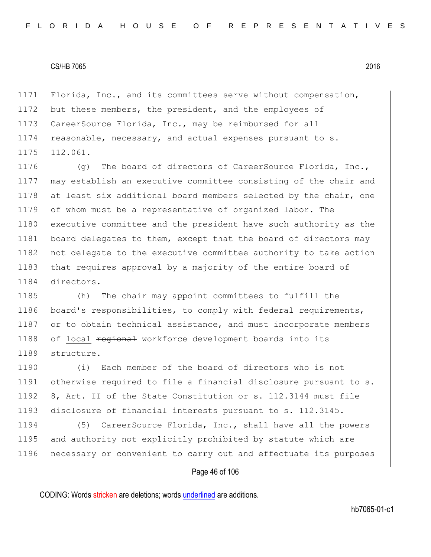1171 Florida, Inc., and its committees serve without compensation, 1172 but these members, the president, and the employees of 1173 CareerSource Florida, Inc., may be reimbursed for all 1174 reasonable, necessary, and actual expenses pursuant to s. 1175 112.061.

1176 (g) The board of directors of CareerSource Florida, Inc., 1177 may establish an executive committee consisting of the chair and 1178 at least six additional board members selected by the chair, one 1179 of whom must be a representative of organized labor. The 1180 executive committee and the president have such authority as the 1181 board delegates to them, except that the board of directors may 1182 not delegate to the executive committee authority to take action 1183 that requires approval by a majority of the entire board of 1184 directors.

1185 (h) The chair may appoint committees to fulfill the 1186 board's responsibilities, to comply with federal requirements, 1187 or to obtain technical assistance, and must incorporate members 1188 of local regional workforce development boards into its 1189 structure.

1190 (i) Each member of the board of directors who is not 1191 otherwise required to file a financial disclosure pursuant to s. 1192 8, Art. II of the State Constitution or s. 112.3144 must file 1193 disclosure of financial interests pursuant to s. 112.3145.

1194 (5) CareerSource Florida, Inc., shall have all the powers 1195 and authority not explicitly prohibited by statute which are 1196 necessary or convenient to carry out and effectuate its purposes

## Page 46 of 106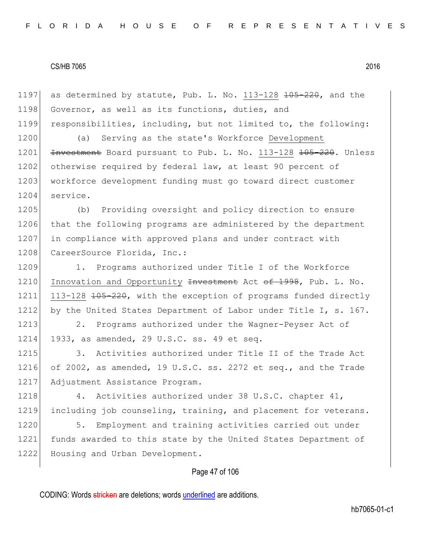Page 47 of 106 1197 as determined by statute, Pub. L. No.  $113-128$   $\overline{105-220}$ , and the 1198 Governor, as well as its functions, duties, and 1199 responsibilities, including, but not limited to, the following: 1200 (a) Serving as the state's Workforce Development 1201 <del>Investment</del> Board pursuant to Pub. L. No. 113-128 <del>105-220</del>. Unless 1202 otherwise required by federal law, at least 90 percent of 1203 workforce development funding must go toward direct customer 1204 service. 1205 (b) Providing oversight and policy direction to ensure 1206 that the following programs are administered by the department 1207 in compliance with approved plans and under contract with 1208 CareerSource Florida, Inc.: 1209 1. Programs authorized under Title I of the Workforce 1210 Innovation and Opportunity <del>Investment</del> Act of 1998, Pub. L. No. 1211 113-128 <del>105-220</del>, with the exception of programs funded directly 1212 by the United States Department of Labor under Title I, s. 167. 1213 2. Programs authorized under the Wagner-Peyser Act of 1214 1933, as amended, 29 U.S.C. ss. 49 et seq. 1215 3. Activities authorized under Title II of the Trade Act 1216 of 2002, as amended, 19 U.S.C. ss. 2272 et seq., and the Trade 1217 Adjustment Assistance Program. 1218 4. Activities authorized under 38 U.S.C. chapter 41, 1219 including job counseling, training, and placement for veterans. 1220 5. Employment and training activities carried out under 1221 funds awarded to this state by the United States Department of 1222 Housing and Urban Development.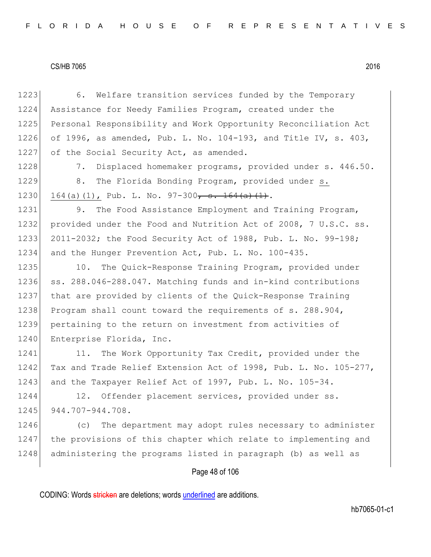| 1223 | Welfare transition services funded by the Temporary<br>6.        |
|------|------------------------------------------------------------------|
| 1224 | Assistance for Needy Families Program, created under the         |
| 1225 | Personal Responsibility and Work Opportunity Reconciliation Act  |
| 1226 | of 1996, as amended, Pub. L. No. 104-193, and Title IV, s. 403,  |
| 1227 | of the Social Security Act, as amended.                          |
| 1228 | Displaced homemaker programs, provided under s. 446.50.<br>7.    |
| 1229 | The Florida Bonding Program, provided under s.<br>8.             |
| 1230 | 164(a)(1), Pub. L. No. $97-300$ , s. $164(a)(1)$ .               |
| 1231 | The Food Assistance Employment and Training Program,<br>9.       |
| 1232 | provided under the Food and Nutrition Act of 2008, 7 U.S.C. ss.  |
| 1233 | 2011-2032; the Food Security Act of 1988, Pub. L. No. 99-198;    |
| 1234 | and the Hunger Prevention Act, Pub. L. No. 100-435.              |
| 1235 | 10.<br>The Quick-Response Training Program, provided under       |
| 1236 | ss. 288.046-288.047. Matching funds and in-kind contributions    |
| 1237 | that are provided by clients of the Quick-Response Training      |
| 1238 | Program shall count toward the requirements of s. 288.904,       |
| 1239 | pertaining to the return on investment from activities of        |
| 1240 | Enterprise Florida, Inc.                                         |
| 1241 | The Work Opportunity Tax Credit, provided under the<br>11.       |
| 1242 | Tax and Trade Relief Extension Act of 1998, Pub. L. No. 105-277, |
| 1243 | and the Taxpayer Relief Act of 1997, Pub. L. No. 105-34.         |
| 1244 | 12. Offender placement services, provided under ss.              |
| 1245 | 944.707-944.708.                                                 |
| 1246 | The department may adopt rules necessary to administer<br>(C)    |
| 1247 | the provisions of this chapter which relate to implementing and  |
| 1248 | administering the programs listed in paragraph (b) as well as    |
|      | Page 48 of 106                                                   |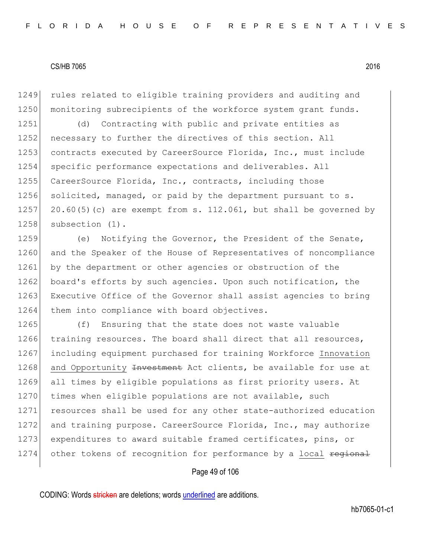1249 rules related to eligible training providers and auditing and 1250 monitoring subrecipients of the workforce system grant funds.

1251 (d) Contracting with public and private entities as 1252 necessary to further the directives of this section. All 1253 contracts executed by CareerSource Florida, Inc., must include 1254 specific performance expectations and deliverables. All 1255 CareerSource Florida, Inc., contracts, including those 1256 solicited, managed, or paid by the department pursuant to s. 1257 20.60(5)(c) are exempt from s. 112.061, but shall be governed by 1258 subsection (1).

1259 (e) Notifying the Governor, the President of the Senate, 1260 and the Speaker of the House of Representatives of noncompliance 1261 by the department or other agencies or obstruction of the 1262 board's efforts by such agencies. Upon such notification, the 1263 Executive Office of the Governor shall assist agencies to bring 1264 them into compliance with board objectives.

1265 (f) Ensuring that the state does not waste valuable 1266 training resources. The board shall direct that all resources, 1267 including equipment purchased for training Workforce Innovation 1268 and Opportunity <del>Investment</del> Act clients, be available for use at 1269 all times by eligible populations as first priority users. At 1270 times when eligible populations are not available, such 1271 resources shall be used for any other state-authorized education 1272 and training purpose. CareerSource Florida, Inc., may authorize 1273 expenditures to award suitable framed certificates, pins, or 1274 other tokens of recognition for performance by a local regional

#### Page 49 of 106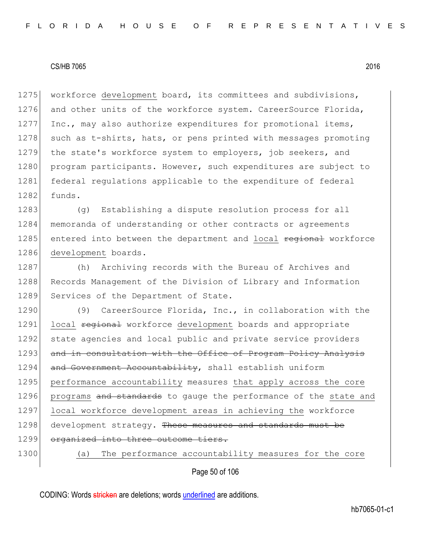1275 workforce development board, its committees and subdivisions, 1276 and other units of the workforce system. CareerSource Florida, 1277 Inc., may also authorize expenditures for promotional items, 1278 such as t-shirts, hats, or pens printed with messages promoting 1279 the state's workforce system to employers, job seekers, and 1280 program participants. However, such expenditures are subject to 1281 federal regulations applicable to the expenditure of federal  $1282$  funds.

1283 (g) Establishing a dispute resolution process for all 1284 memoranda of understanding or other contracts or agreements 1285 entered into between the department and local regional workforce 1286 development boards.

1287 (h) Archiving records with the Bureau of Archives and 1288 Records Management of the Division of Library and Information 1289 Services of the Department of State.

1290 (9) CareerSource Florida, Inc., in collaboration with the 1291 local regional workforce development boards and appropriate 1292 state agencies and local public and private service providers 1293 and in consultation with the Office of Program Policy Analysis 1294 and Government Accountability, shall establish uniform 1295 performance accountability measures that apply across the core 1296 programs and standards to gauge the performance of the state and 1297 local workforce development areas in achieving the workforce 1298 development strategy. These measures and standards must be 1299 organized into three outcome tiers. 1300 (a) The performance accountability measures for the core

Page 50 of 106

CODING: Words stricken are deletions; words underlined are additions.

hb7065-01-c1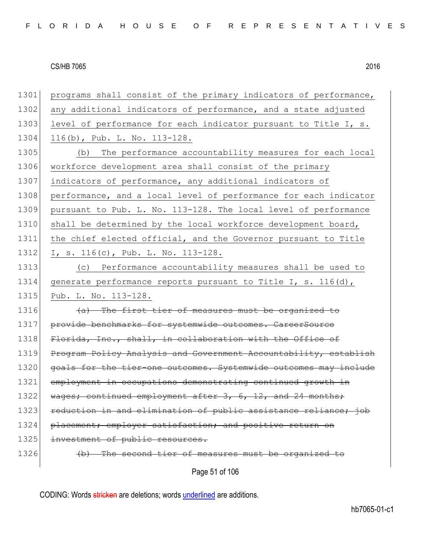| 1301 | programs shall consist of the primary indicators of performance, |
|------|------------------------------------------------------------------|
| 1302 | any additional indicators of performance, and a state adjusted   |
| 1303 | level of performance for each indicator pursuant to Title I, s.  |
| 1304 | 116(b), Pub. L. No. $113-128$ .                                  |
| 1305 | The performance accountability measures for each local<br>(b)    |
| 1306 | workforce development area shall consist of the primary          |
| 1307 | indicators of performance, any additional indicators of          |
| 1308 | performance, and a local level of performance for each indicator |
| 1309 | pursuant to Pub. L. No. 113-128. The local level of performance  |
| 1310 | shall be determined by the local workforce development board,    |
| 1311 | the chief elected official, and the Governor pursuant to Title   |
| 1312 | I, s. $116(c)$ , Pub. L. No. $113-128$ .                         |
| 1313 | Performance accountability measures shall be used to<br>(C)      |
| 1314 | generate performance reports pursuant to Title I, s. 116(d),     |
| 1315 | Pub. L. No. 113-128.                                             |
| 1316 | (a) The first tier of measures must be organized to              |
| 1317 | provide benchmarks for systemwide outcomes. CareerSource         |
| 1318 | Florida, Inc., shall, in collaboration with the Office of        |
| 1319 | Program Policy Analysis and Government Accountability, establish |
| 1320 | goals for the tier-one outcomes. Systemwide outcomes may include |
| 1321 | employment in occupations demonstrating continued growth in      |
| 1322 | wages; continued employment after 3, 6, 12, and 24 months;       |
| 1323 | reduction in and elimination of public assistance reliance; job  |
| 1324 | placement; employer satisfaction; and positive return on         |
| 1325 | investment of public resources.                                  |
| 1326 | (b) The second tier of measures must be organized to             |
|      | Page 51 of 106                                                   |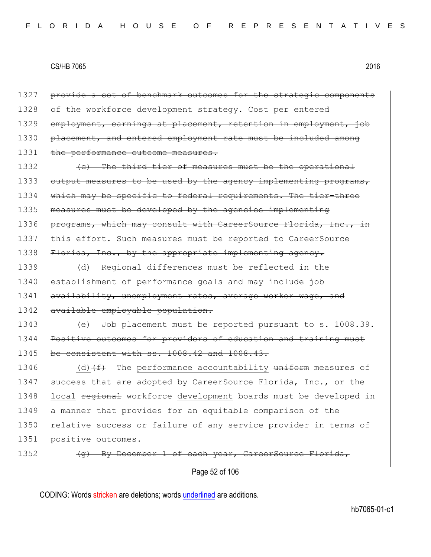Page 52 of 106 1327 provide a set of benchmark outcomes for the strategic components 1328 of the workforce development strategy. Cost per entered 1329 employment, earnings at placement, retention in employment, job 1330 placement, and entered employment rate must be included among 1331 the performance outcome measures. 1332 **(c)** The third tier of measures must be the operational  $1333$  output measures to be used by the agency implementing programs, 1334 which may be specific to federal requirements. The tier-three 1335 measures must be developed by the agencies implementing 1336 programs, which may consult with CareerSource Florida, Inc., in 1337 this effort. Such measures must be reported to CareerSource 1338 Florida, Inc., by the appropriate implementing agency. 1339 (d) Regional differences must be reflected in the 1340 establishment of performance goals and may include job 1341 availability, unemployment rates, average worker wage, and 1342 available employable population. 1343 (e) Job placement must be reported pursuant to s. 1008.39. 1344 Positive outcomes for providers of education and training must 1345 be consistent with ss. 1008.42 and 1008.43. 1346 (d) $(f)$  The performance accountability uniform measures of 1347 success that are adopted by CareerSource Florida, Inc., or the 1348 local regional workforce development boards must be developed in 1349 a manner that provides for an equitable comparison of the 1350 relative success or failure of any service provider in terms of 1351 positive outcomes. 1352 (g) By December 1 of each year, CareerSource Florida,

CODING: Words stricken are deletions; words underlined are additions.

hb7065-01-c1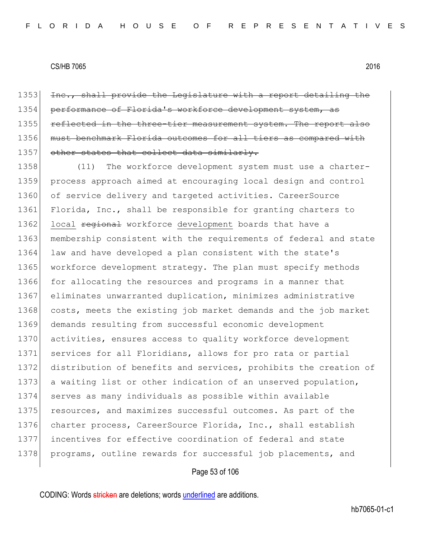1353 Inc., shall provide the Legislature with a report detailing the 1354 performance of Florida's workforce development system, as 1355 reflected in the three-tier measurement system. The report also 1356 must benchmark Florida outcomes for all tiers as compared with 1357 other states that collect data similarly.

1358 (11) The workforce development system must use a charter-1359 process approach aimed at encouraging local design and control 1360 of service delivery and targeted activities. CareerSource 1361 Florida, Inc., shall be responsible for granting charters to 1362 local regional workforce development boards that have a 1363 membership consistent with the requirements of federal and state 1364 law and have developed a plan consistent with the state's 1365 workforce development strategy. The plan must specify methods 1366 for allocating the resources and programs in a manner that 1367 eliminates unwarranted duplication, minimizes administrative 1368 costs, meets the existing job market demands and the job market 1369 demands resulting from successful economic development 1370 activities, ensures access to quality workforce development 1371 services for all Floridians, allows for pro rata or partial 1372 distribution of benefits and services, prohibits the creation of 1373 a waiting list or other indication of an unserved population, 1374 serves as many individuals as possible within available 1375 resources, and maximizes successful outcomes. As part of the 1376 charter process, CareerSource Florida, Inc., shall establish 1377 incentives for effective coordination of federal and state 1378 programs, outline rewards for successful job placements, and

#### Page 53 of 106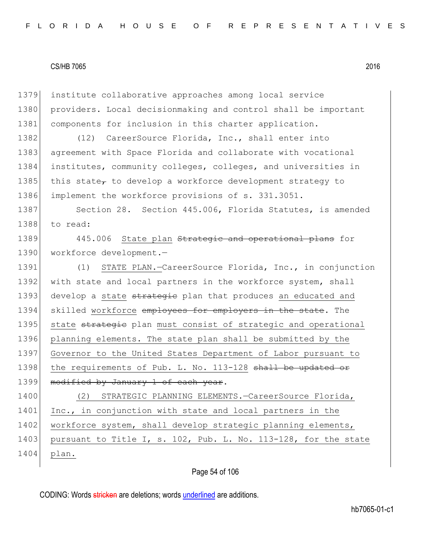1379 institute collaborative approaches among local service 1380 providers. Local decisionmaking and control shall be important 1381 components for inclusion in this charter application. 1382 (12) CareerSource Florida, Inc., shall enter into 1383 agreement with Space Florida and collaborate with vocational 1384 institutes, community colleges, colleges, and universities in 1385 this state<sub> $\tau$ </sub> to develop a workforce development strategy to 1386 implement the workforce provisions of s. 331.3051. 1387 Section 28. Section 445.006, Florida Statutes, is amended 1388 to read: 1389 445.006 State plan Strategic and operational plans for 1390 workforce development.-1391 (1) STATE PLAN.-CareerSource Florida, Inc., in conjunction 1392 with state and local partners in the workforce system, shall 1393 develop a state strategie plan that produces an educated and 1394 skilled workforce employees for employers in the state. The 1395 state strategie plan must consist of strategic and operational 1396 planning elements. The state plan shall be submitted by the 1397 Governor to the United States Department of Labor pursuant to 1398 the requirements of Pub. L. No. 113-128 shall be updated or 1399 modified by January 1 of each year. 1400 (2) STRATEGIC PLANNING ELEMENTS.—CareerSource Florida, 1401 Inc., in conjunction with state and local partners in the 1402 workforce system, shall develop strategic planning elements, 1403 pursuant to Title I, s. 102, Pub. L. No. 113-128, for the state 1404 plan.

Page 54 of 106

CODING: Words stricken are deletions; words underlined are additions.

hb7065-01-c1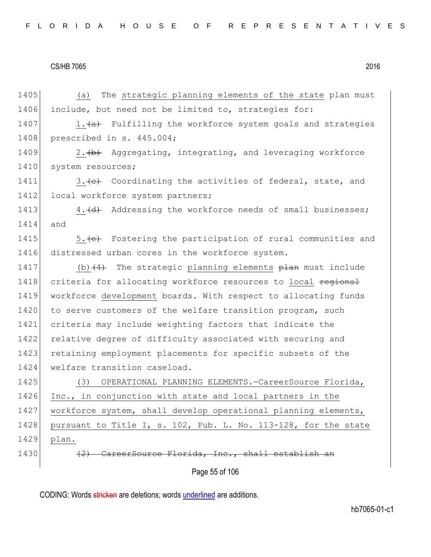Page 55 of 106 1405 (a) The strategic planning elements of the state plan must 1406 include, but need not be limited to, strategies for: 1407  $1.4a$  Fulfilling the workforce system goals and strategies 1408 prescribed in s. 445.004; 1409  $\vert$  2. (b) Aggregating, integrating, and leveraging workforce 1410 system resources; 1411  $\vert$  3. (c) Coordinating the activities of federal, state, and 1412 local workforce system partners; 1413 4. (d) Addressing the workforce needs of small businesses; 1414 and 1415 5. (e) Fostering the participation of rural communities and 1416 distressed urban cores in the workforce system. 1417 (b) $(4)$  The strategic planning elements  $\frac{1}{2}$  must include 1418 criteria for allocating workforce resources to local regional 1419 workforce development boards. With respect to allocating funds 1420 to serve customers of the welfare transition program, such 1421 criteria may include weighting factors that indicate the 1422 relative degree of difficulty associated with securing and 1423 retaining employment placements for specific subsets of the 1424 | welfare transition caseload. 1425 (3) OPERATIONAL PLANNING ELEMENTS.—CareerSource Florida, 1426 Inc., in conjunction with state and local partners in the 1427 workforce system, shall develop operational planning elements, 1428 pursuant to Title I, s. 102, Pub. L. No. 113-128, for the state 1429 plan. 1430 (2) CareerSource Florida, Inc., shall establish an

CODING: Words stricken are deletions; words underlined are additions.

hb7065-01-c1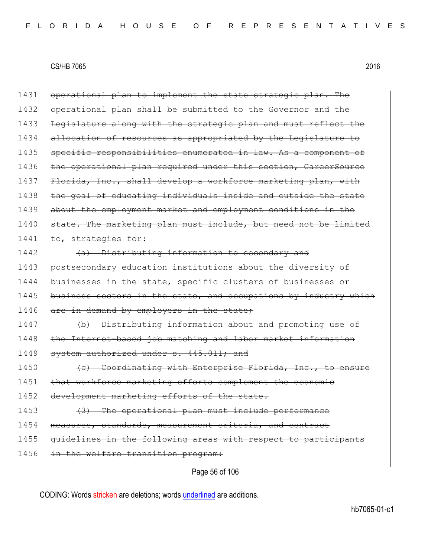1431 operational plan to implement the state strategic plan. The 1432 operational plan shall be submitted to the Governor and the 1433 Legislature along with the strategic plan and must reflect the 1434 allocation of resources as appropriated by the Legislature to 1435 specific responsibilities enumerated in law. As a component of 1436 the operational plan required under this section, CareerSource 1437 Florida, Inc., shall develop a workforce marketing plan, with 1438 the goal of educating individuals inside and outside the state 1439 about the employment market and employment conditions in the 1440 state. The marketing plan must include, but need not be limited 1441 to, strategies for: 1442 (a) Distributing information to secondary and 1443 postsecondary education institutions about the diversity of 1444 businesses in the state, specific clusters of businesses or 1445 business sectors in the state, and occupations by industry which 1446 are in demand by employers in the state; 1447 (b) Distributing information about and promoting use of 1448 the Internet-based job matching and labor market information 1449 system authorized under s. 445.011; and 1450 **(c)** Coordinating with Enterprise Florida, Inc., to ensure 1451 that workforce marketing efforts complement the economic 1452 development marketing efforts of the state. 1453 (3) The operational plan must include performance 1454 measures, standards, measurement criteria, and contract 1455 guidelines in the following areas with respect to participants 1456 in the welfare transition program:

Page 56 of 106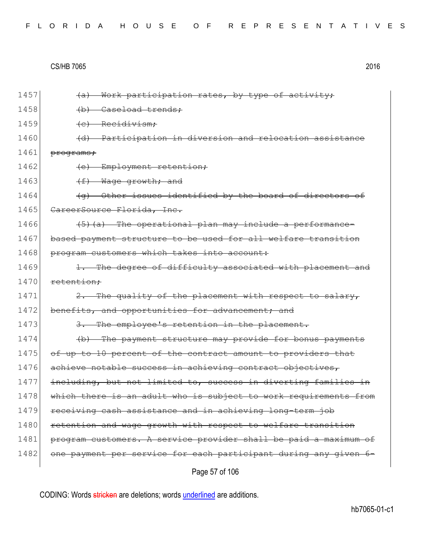|  |  |  |  |  |  |  |  | FLORIDA HOUSE OF REPRESENTATIVES |  |  |  |  |  |  |  |  |  |  |  |  |  |  |  |  |  |  |  |  |  |  |  |  |  |
|--|--|--|--|--|--|--|--|----------------------------------|--|--|--|--|--|--|--|--|--|--|--|--|--|--|--|--|--|--|--|--|--|--|--|--|--|
|--|--|--|--|--|--|--|--|----------------------------------|--|--|--|--|--|--|--|--|--|--|--|--|--|--|--|--|--|--|--|--|--|--|--|--|--|

| 1457 | Work participation rates, by type of activity;<br><del>(a)</del>       |
|------|------------------------------------------------------------------------|
| 1458 | (b) Caseload trends;                                                   |
| 1459 | (e) Recidivism;                                                        |
| 1460 | Participation in diversion and relocation assistance<br><del>(d)</del> |
| 1461 | programs;                                                              |
| 1462 | Employment retention;<br><del>(e)</del>                                |
| 1463 | $\leftrightarrow$<br>Wage growth; and                                  |
| 1464 | (g) Other issues identified by the board of directors of               |
| 1465 | CareerSource Florida, Inc.                                             |
| 1466 | (5) (a) The operational plan may include a performance-                |
| 1467 | based payment structure to be used for all welfare transition          |
| 1468 | program customers which takes into account:                            |
| 1469 | 1. The degree of difficulty associated with placement and              |
| 1470 | retention:                                                             |
| 1471 | 2. The quality of the placement with respect to salary,                |
| 1472 | benefits, and opportunities for advancement; and                       |
| 1473 | The employee's retention in the placement.                             |
| 1474 | (b) The payment structure may provide for bonus payments               |
| 1475 | of up to 10 percent of the contract amount to providers that           |
| 1476 | achieve notable success in achieving contract objectives,              |
| 1477 | including, but not limited to, success in diverting families in        |
| 1478 | which there is an adult who is subject to work requirements from       |
| 1479 | receiving cash assistance and in achieving long-term job               |
| 1480 | retention and wage growth with respect to welfare transition           |
| 1481 | program customers. A service provider shall be paid a maximum of       |
| 1482 | one payment per service for each participant during any given 6-       |
|      | Page 57 of 106                                                         |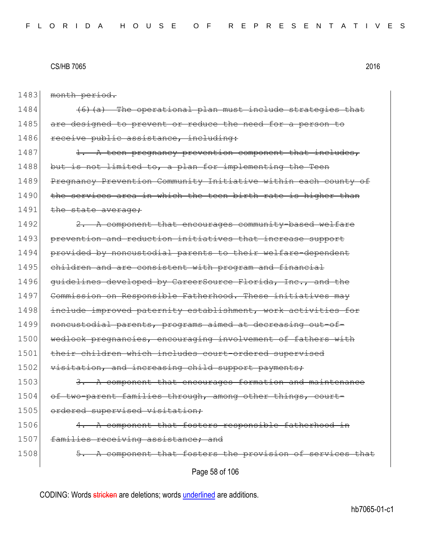1483 month period.

 $1484$  (6)(a) The operational plan must include strategies that 1485 are designed to prevent or reduce the need for a person to 1486 receive public assistance, including:

 $1487$  1. A teen pregnancy prevention component that includes, 1488 but is not limited to, a plan for implementing the Teen 1489 Pregnancy Prevention Community Initiative within each county of 1490 the services area in which the teen birth rate is higher than 1491 the state average;

1492 2. A component that encourages community-based welfare 1493 prevention and reduction initiatives that increase support 1494 provided by noncustodial parents to their welfare-dependent 1495 children and are consistent with program and financial 1496 guidelines developed by CareerSource Florida, Inc., and the 1497 Commission on Responsible Fatherhood. These initiatives may 1498 include improved paternity establishment, work activities for 1499 noncustodial parents, programs aimed at decreasing out-of-1500 wedlock pregnancies, encouraging involvement of fathers with 1501 their children which includes court-ordered supervised 1502 visitation, and increasing child support payments; 1503 3. A component that encourages formation and maintenance 1504 of two-parent families through, among other things, court-1505 ordered supervised visitation;  $1506$  4. A component that fosters responsible fatherhood in 1507 families receiving assistance; and 1508 5. A component that fosters the provision of services

Page 58 of 106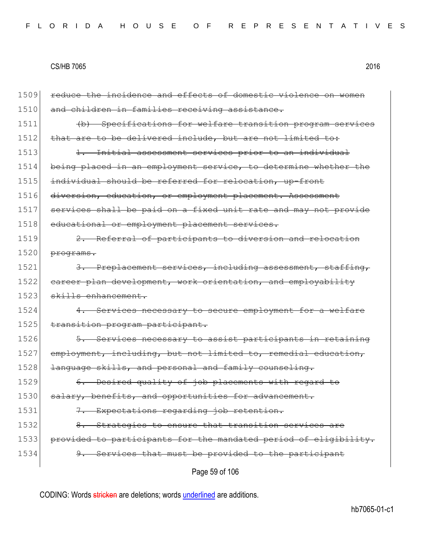|      | Page 59 of 106                                                   |
|------|------------------------------------------------------------------|
| 1534 | 9. Services that must be provided to the participant             |
| 1533 | provided to participants for the mandated period of eligibility. |
| 1532 | Strategies to ensure that transition services are                |
| 1531 | Expectations regarding job retention.                            |
| 1530 | salary, benefits, and opportunities for advancement.             |
| 1529 | 6. Desired quality of job placements with regard to              |
| 1528 | language skills, and personal and family counseling.             |
| 1527 | employment, including, but not limited to, remedial education,   |
| 1526 | 5. Services necessary to assist participants in retaining        |
| 1525 | transition program participant.                                  |
| 1524 | 4. Services necessary to secure employment for a welfare         |
| 1523 | skills enhancement.                                              |
| 1522 | eareer plan development, work orientation, and employability     |
| 1521 | 3. Preplacement services, including assessment, staffing,        |
| 1520 | programs.                                                        |
| 1519 | 2. Referral of participants to diversion and relocation          |
| 1518 | educational or employment placement services.                    |
| 1517 | services shall be paid on a fixed unit rate and may not provide  |
| 1516 | diversion, education, or employment placement. Assessment        |
| 1515 | individual should be referred for relocation, up-front           |
| 1514 | being placed in an employment service, to determine whether the  |
| 1513 | <u>Initial assessment services prior to an individual</u>        |
| 1512 | that are to be delivered include, but are not limited to:        |
| 1511 | (b) Specifications for welfare transition program services       |
| 1510 | and children in families receiving assistance.                   |
| 1509 | reduce the incidence and effects of domestic violence on women   |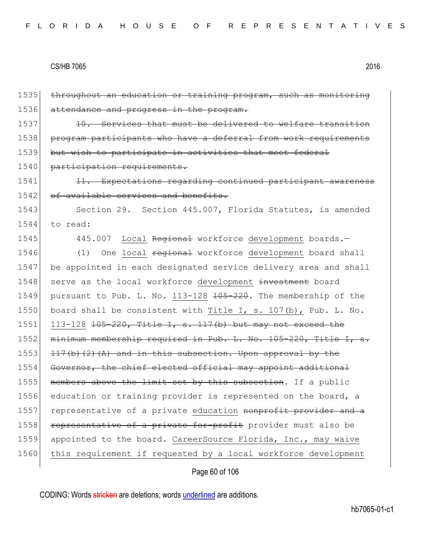1535 throughout an education or training program, such as monitoring 1536 attendance and progress in the program. 1537 10. Services that must be delivered to welfare transition 1538 program participants who have a deferral from work requirements 1539 but wish to participate in activities that meet federal 1540 participation requirements. 1541 1541 11. Expectations regarding continued participant awareness 1542 of available services and benefits. 1543 Section 29. Section 445.007, Florida Statutes, is amended 1544 to read: 1545 445.007 Local Regional workforce development boards. 1546 (1) One local <del>regional</del> workforce development board shall 1547 be appointed in each designated service delivery area and shall 1548 serve as the local workforce development investment board 1549 pursuant to Pub. L. No. 113-128 <del>105-220</del>. The membership of the 1550 board shall be consistent with Title I, s. 107(b), Pub. L. No. 1551 113-128  $105 - 220$ , Title I, s. 117(b) but may not exceed the 1552 minimum membership required in Pub. L. No. 105-220, Title I, s. 1553  $117(b)(2)(A)$  and in this subsection. Upon approval by the 1554 Governor, the chief elected official may appoint additional 1555 members above the limit set by this subsection. If a public 1556 education or training provider is represented on the board, a 1557 representative of a private education nonprofit provider and a 1558 representative of a private for-profit provider must also be 1559 appointed to the board. CareerSource Florida, Inc., may waive 1560 this requirement if requested by a local workforce development

Page 60 of 106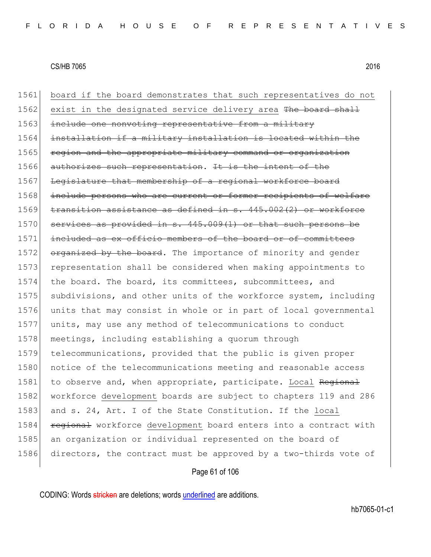| 1561 | board if the board demonstrates that such representatives do not |
|------|------------------------------------------------------------------|
| 1562 | exist in the designated service delivery area The board shall    |
| 1563 | include one nonvoting representative from a military             |
| 1564 | installation if a military installation is located within the    |
| 1565 | region and the appropriate military command or organization      |
| 1566 | authorizes such representation. It is the intent of the          |
| 1567 | Legislature that membership of a regional workforce board        |
| 1568 | include persons who are current or former recipients of welfare  |
| 1569 | transition assistance as defined in s. 445.002(2) or workforce   |
| 1570 | services as provided in s. 445.009(1) or that such persons be    |
| 1571 | included as ex officio members of the board or of committees     |
| 1572 | organized by the board. The importance of minority and gender    |
| 1573 | representation shall be considered when making appointments to   |
| 1574 | the board. The board, its committees, subcommittees, and         |
| 1575 | subdivisions, and other units of the workforce system, including |
| 1576 | units that may consist in whole or in part of local governmental |
| 1577 | units, may use any method of telecommunications to conduct       |
| 1578 | meetings, including establishing a quorum through                |
| 1579 | telecommunications, provided that the public is given proper     |
| 1580 | notice of the telecommunications meeting and reasonable access   |
| 1581 | to observe and, when appropriate, participate. Local Regional    |
| 1582 | workforce development boards are subject to chapters 119 and 286 |
| 1583 | and s. 24, Art. I of the State Constitution. If the local        |
| 1584 | regional workforce development board enters into a contract with |
| 1585 | an organization or individual represented on the board of        |
| 1586 | directors, the contract must be approved by a two-thirds vote of |
|      |                                                                  |

# Page 61 of 106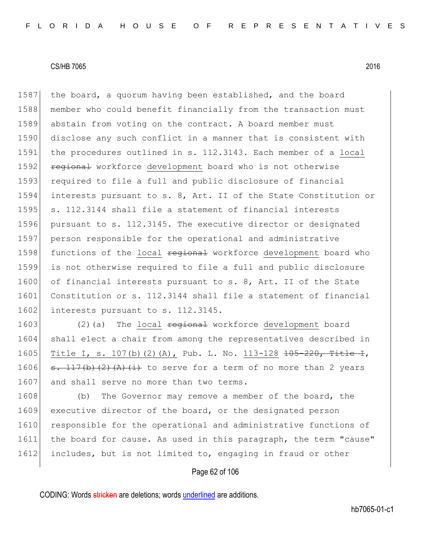1587 the board, a quorum having been established, and the board 1588 member who could benefit financially from the transaction must 1589 abstain from voting on the contract. A board member must 1590 disclose any such conflict in a manner that is consistent with 1591 the procedures outlined in s. 112.3143. Each member of a local 1592 **regional** workforce development board who is not otherwise 1593 required to file a full and public disclosure of financial 1594 interests pursuant to s. 8, Art. II of the State Constitution or 1595 s. 112.3144 shall file a statement of financial interests 1596 pursuant to s. 112.3145. The executive director or designated 1597 person responsible for the operational and administrative 1598 functions of the local regional workforce development board who 1599 is not otherwise required to file a full and public disclosure 1600 of financial interests pursuant to s. 8, Art. II of the State 1601 Constitution or s. 112.3144 shall file a statement of financial 1602 interests pursuant to s. 112.3145.

1603  $(2)(a)$  The local  $\frac{1}{1603}$  workforce development board 1604 shall elect a chair from among the representatives described in 1605 Title I, s. 107(b)(2)(A), Pub. L. No. 113-128 <del>105-220, Title I</del>, 1606  $\sigma$ . 117(b)(2)(A)(i) to serve for a term of no more than 2 years 1607 and shall serve no more than two terms.

1608 (b) The Governor may remove a member of the board, the 1609 executive director of the board, or the designated person 1610 responsible for the operational and administrative functions of 1611 the board for cause. As used in this paragraph, the term "cause" 1612 includes, but is not limited to, engaging in fraud or other

## Page 62 of 106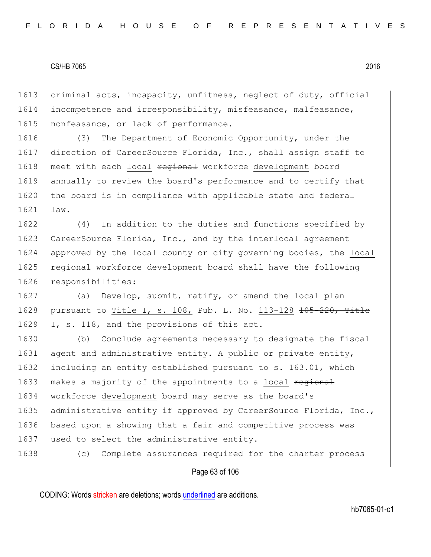1613 criminal acts, incapacity, unfitness, neglect of duty, official 1614 incompetence and irresponsibility, misfeasance, malfeasance, 1615 nonfeasance, or lack of performance.

1616 (3) The Department of Economic Opportunity, under the 1617 direction of CareerSource Florida, Inc., shall assign staff to 1618 meet with each local regional workforce development board 1619 annually to review the board's performance and to certify that 1620 the board is in compliance with applicable state and federal 1621 law.

 (4) In addition to the duties and functions specified by 1623 CareerSource Florida, Inc., and by the interlocal agreement approved by the local county or city governing bodies, the local **regional** workforce development board shall have the following responsibilities:

1627 (a) Develop, submit, ratify, or amend the local plan 1628 pursuant to Title I, s. 108, Pub. L. No. 113-128 <del>105-220, Title</del> 1629  $\left| \frac{1}{2} \right|$ , and the provisions of this act.

1630 (b) Conclude agreements necessary to designate the fiscal 1631 agent and administrative entity. A public or private entity, 1632 including an entity established pursuant to s. 163.01, which 1633 makes a majority of the appointments to a local regional 1634 workforce development board may serve as the board's 1635 administrative entity if approved by CareerSource Florida, Inc., 1636 based upon a showing that a fair and competitive process was 1637 used to select the administrative entity.

1638 (c) Complete assurances required for the charter process

#### Page 63 of 106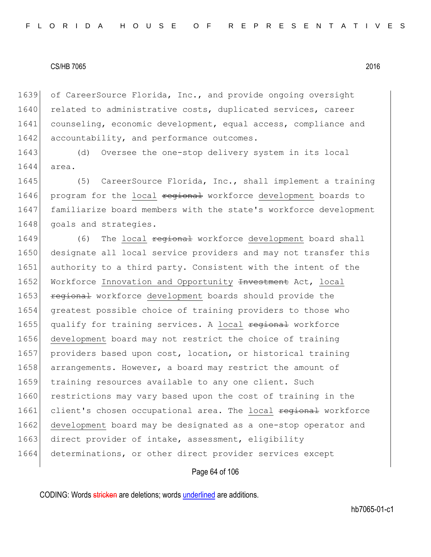1639 of CareerSource Florida, Inc., and provide ongoing oversight 1640 related to administrative costs, duplicated services, career 1641 counseling, economic development, equal access, compliance and 1642 accountability, and performance outcomes.

1643 (d) Oversee the one-stop delivery system in its local 1644 area.

1645 (5) CareerSource Florida, Inc., shall implement a training 1646 program for the local regional workforce development boards to 1647 familiarize board members with the state's workforce development 1648 goals and strategies.

1649 (6) The local <del>regional</del> workforce development board shall 1650 designate all local service providers and may not transfer this 1651 authority to a third party. Consistent with the intent of the 1652 Workforce Innovation and Opportunity Investment Act, local 1653 regional workforce development boards should provide the 1654 greatest possible choice of training providers to those who 1655 qualify for training services. A local regional workforce 1656 development board may not restrict the choice of training 1657 providers based upon cost, location, or historical training 1658 arrangements. However, a board may restrict the amount of 1659 training resources available to any one client. Such 1660 restrictions may vary based upon the cost of training in the 1661 client's chosen occupational area. The local regional workforce 1662 development board may be designated as a one-stop operator and 1663 direct provider of intake, assessment, eligibility 1664 determinations, or other direct provider services except

#### Page 64 of 106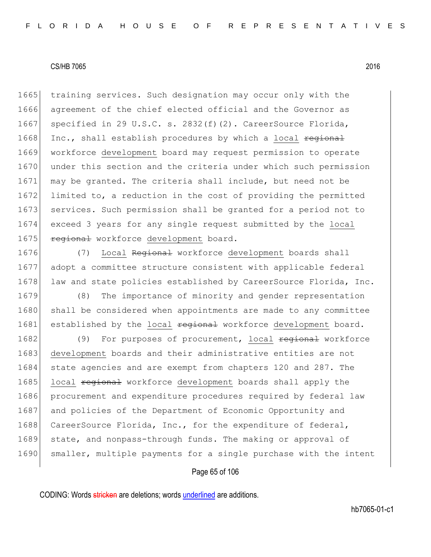1665 training services. Such designation may occur only with the 1666 agreement of the chief elected official and the Governor as 1667 specified in 29 U.S.C. s. 2832(f)(2). CareerSource Florida, 1668 Inc., shall establish procedures by which a local regional 1669 workforce development board may request permission to operate 1670 under this section and the criteria under which such permission 1671 may be granted. The criteria shall include, but need not be 1672 limited to, a reduction in the cost of providing the permitted 1673 services. Such permission shall be granted for a period not to 1674 exceed 3 years for any single request submitted by the local 1675 regional workforce development board.

1676 (7) Local Regional workforce development boards shall 1677 adopt a committee structure consistent with applicable federal 1678 law and state policies established by CareerSource Florida, Inc.

1679 (8) The importance of minority and gender representation 1680 shall be considered when appointments are made to any committee 1681 established by the local regional workforce development board.

1682 (9) For purposes of procurement, local regional workforce 1683 development boards and their administrative entities are not 1684 state agencies and are exempt from chapters 120 and 287. The 1685 local regional workforce development boards shall apply the 1686 procurement and expenditure procedures required by federal law 1687 and policies of the Department of Economic Opportunity and 1688 CareerSource Florida, Inc., for the expenditure of federal, 1689 state, and nonpass-through funds. The making or approval of 1690 smaller, multiple payments for a single purchase with the intent

## Page 65 of 106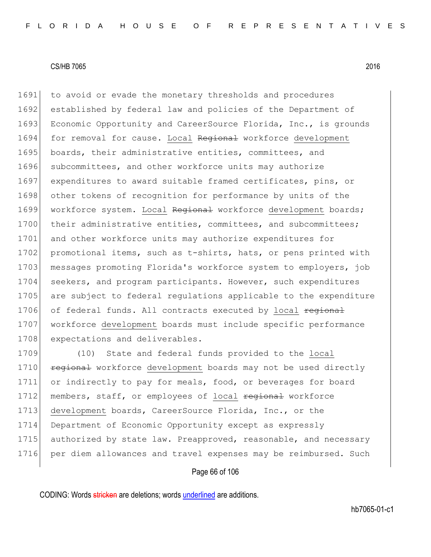1691 to avoid or evade the monetary thresholds and procedures 1692 established by federal law and policies of the Department of 1693 Economic Opportunity and CareerSource Florida, Inc., is grounds 1694 for removal for cause. Local Regional workforce development 1695 boards, their administrative entities, committees, and 1696 subcommittees, and other workforce units may authorize 1697 expenditures to award suitable framed certificates, pins, or 1698 other tokens of recognition for performance by units of the 1699 workforce system. Local Regional workforce development boards; 1700 their administrative entities, committees, and subcommittees; 1701 and other workforce units may authorize expenditures for 1702 promotional items, such as t-shirts, hats, or pens printed with 1703 messages promoting Florida's workforce system to employers, job 1704 seekers, and program participants. However, such expenditures 1705 are subject to federal regulations applicable to the expenditure 1706 of federal funds. All contracts executed by local regional 1707 workforce development boards must include specific performance 1708 expectations and deliverables.

1709 (10) State and federal funds provided to the local 1710 **regional** workforce development boards may not be used directly 1711 or indirectly to pay for meals, food, or beverages for board 1712 members, staff, or employees of local regional workforce 1713 development boards, CareerSource Florida, Inc., or the 1714 Department of Economic Opportunity except as expressly 1715 authorized by state law. Preapproved, reasonable, and necessary 1716 per diem allowances and travel expenses may be reimbursed. Such

## Page 66 of 106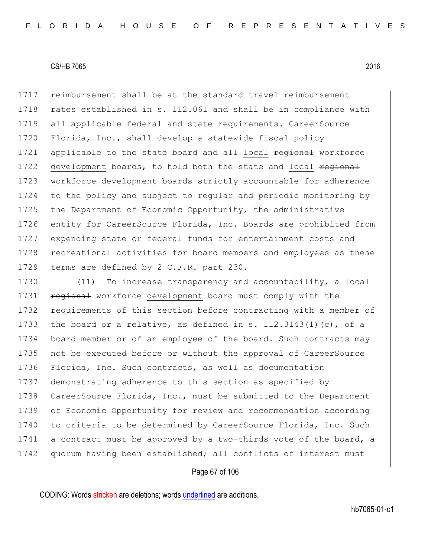1717 reimbursement shall be at the standard travel reimbursement 1718 rates established in s. 112.061 and shall be in compliance with 1719 all applicable federal and state requirements. CareerSource 1720 Florida, Inc., shall develop a statewide fiscal policy 1721 applicable to the state board and all local regional workforce 1722 development boards, to hold both the state and local regional 1723 workforce development boards strictly accountable for adherence 1724 to the policy and subject to regular and periodic monitoring by 1725 the Department of Economic Opportunity, the administrative 1726 entity for CareerSource Florida, Inc. Boards are prohibited from 1727 expending state or federal funds for entertainment costs and 1728 recreational activities for board members and employees as these 1729 terms are defined by 2 C.F.R. part 230.

1730 (11) To increase transparency and accountability, a local 1731 **regional** workforce development board must comply with the 1732 requirements of this section before contracting with a member of 1733 the board or a relative, as defined in s.  $112.3143(1)(c)$ , of a 1734 board member or of an employee of the board. Such contracts may 1735 not be executed before or without the approval of CareerSource 1736 Florida, Inc. Such contracts, as well as documentation 1737 demonstrating adherence to this section as specified by 1738 CareerSource Florida, Inc., must be submitted to the Department 1739 of Economic Opportunity for review and recommendation according 1740 to criteria to be determined by CareerSource Florida, Inc. Such 1741 a contract must be approved by a two-thirds vote of the board, a 1742 quorum having been established; all conflicts of interest must

## Page 67 of 106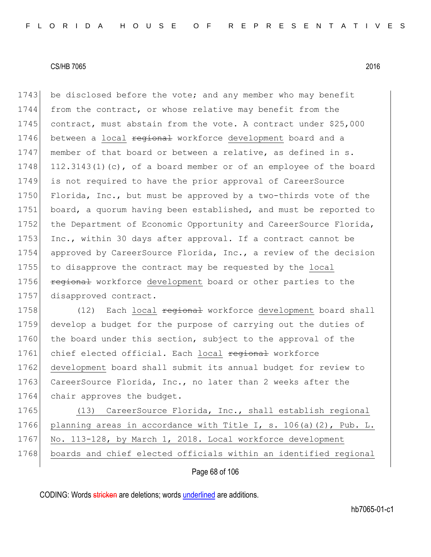1743 be disclosed before the vote; and any member who may benefit 1744 from the contract, or whose relative may benefit from the 1745 contract, must abstain from the vote. A contract under \$25,000 1746 between a local regional workforce development board and a 1747 member of that board or between a relative, as defined in s. 1748 112.3143(1)(c), of a board member or of an employee of the board 1749 is not required to have the prior approval of CareerSource 1750 Florida, Inc., but must be approved by a two-thirds vote of the 1751 board, a quorum having been established, and must be reported to 1752 the Department of Economic Opportunity and CareerSource Florida, 1753 Inc., within 30 days after approval. If a contract cannot be 1754 approved by CareerSource Florida, Inc., a review of the decision 1755 to disapprove the contract may be requested by the local 1756 **regional** workforce development board or other parties to the 1757 disapproved contract.

1758 (12) Each local regional workforce development board shall 1759 develop a budget for the purpose of carrying out the duties of 1760 the board under this section, subject to the approval of the 1761 chief elected official. Each local regional workforce 1762 development board shall submit its annual budget for review to 1763 CareerSource Florida, Inc., no later than 2 weeks after the 1764 chair approves the budget.

1765 (13) CareerSource Florida, Inc., shall establish regional 1766 planning areas in accordance with Title I, s. 106(a)(2), Pub. L. 1767 No. 113-128, by March 1, 2018. Local workforce development 1768 boards and chief elected officials within an identified regional

Page 68 of 106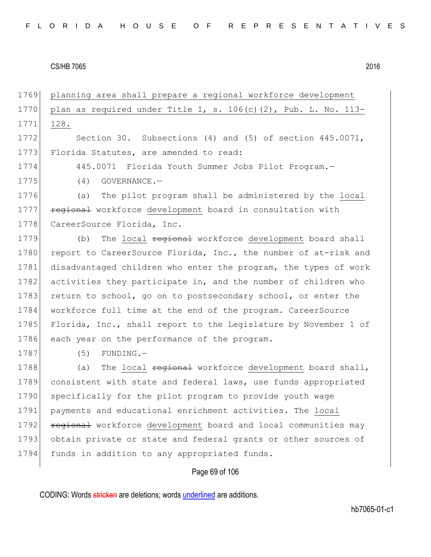1769 planning area shall prepare a regional workforce development 1770 plan as required under Title I, s.  $106(c)$  (2), Pub. L. No. 113-1771 128. 1772 Section 30. Subsections (4) and (5) of section 445.0071, 1773 Florida Statutes, are amended to read: 1774 445.0071 Florida Youth Summer Jobs Pilot Program. 1775 (4) GOVERNANCE. 1776 (a) The pilot program shall be administered by the local 1777 **regional** workforce development board in consultation with 1778 CareerSource Florida, Inc. 1779 (b) The local <del>regional</del> workforce development board shall 1780 report to CareerSource Florida, Inc., the number of at-risk and 1781 disadvantaged children who enter the program, the types of work 1782 activities they participate in, and the number of children who 1783 return to school, go on to postsecondary school, or enter the 1784 workforce full time at the end of the program. CareerSource 1785 Florida, Inc., shall report to the Legislature by November 1 of 1786 each year on the performance of the program. 1787 (5) FUNDING.— 1788 (a) The local regional workforce development board shall, 1789 consistent with state and federal laws, use funds appropriated 1790 specifically for the pilot program to provide youth wage 1791 payments and educational enrichment activities. The local 1792 **regional** workforce development board and local communities may 1793 obtain private or state and federal grants or other sources of 1794 funds in addition to any appropriated funds.

## Page 69 of 106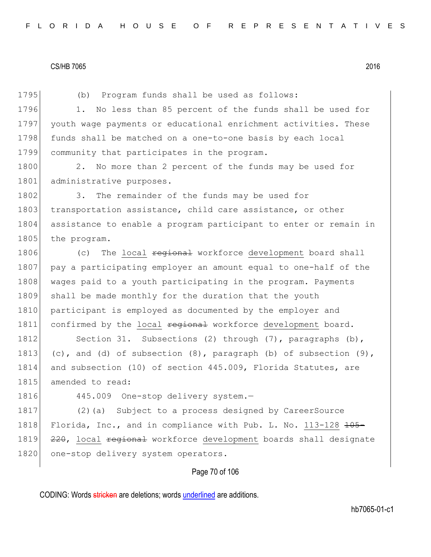Page 70 of 106 1795 (b) Program funds shall be used as follows: 1796 1. No less than 85 percent of the funds shall be used for 1797 youth wage payments or educational enrichment activities. These 1798 funds shall be matched on a one-to-one basis by each local 1799 community that participates in the program. 1800 2. No more than 2 percent of the funds may be used for 1801 administrative purposes. 1802 3. The remainder of the funds may be used for 1803 transportation assistance, child care assistance, or other 1804 assistance to enable a program participant to enter or remain in 1805 the program. 1806 (c) The local <del>regional</del> workforce development board shall 1807 pay a participating employer an amount equal to one-half of the 1808 wages paid to a youth participating in the program. Payments 1809 shall be made monthly for the duration that the youth 1810 participant is employed as documented by the employer and 1811 confirmed by the local regional workforce development board. 1812 Section 31. Subsections (2) through (7), paragraphs (b), 1813 (c), and (d) of subsection  $(8)$ , paragraph (b) of subsection  $(9)$ , 1814 and subsection (10) of section 445.009, Florida Statutes, are 1815 amended to read: 1816 445.009 One-stop delivery system.-1817 (2)(a) Subject to a process designed by CareerSource 1818 Florida, Inc., and in compliance with Pub. L. No. 113-128 <del>105-</del> 1819 <del>220</del>, local regional workforce development boards shall designate 1820 one-stop delivery system operators.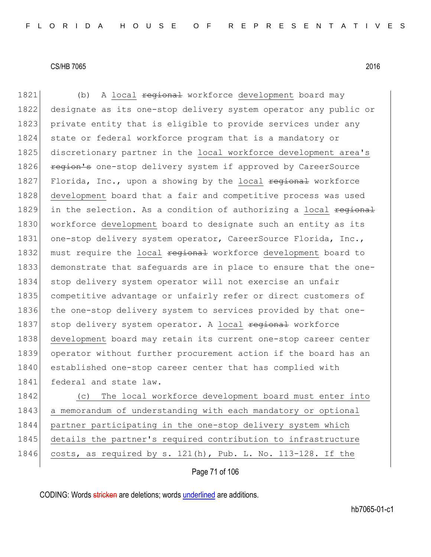1821 (b) A local regional workforce development board may 1822 designate as its one-stop delivery system operator any public or 1823 private entity that is eligible to provide services under any 1824 state or federal workforce program that is a mandatory or 1825 discretionary partner in the local workforce development area's 1826 region's one-stop delivery system if approved by CareerSource 1827 Florida, Inc., upon a showing by the local regional workforce 1828 development board that a fair and competitive process was used 1829 in the selection. As a condition of authorizing a local regional 1830 workforce development board to designate such an entity as its 1831 one-stop delivery system operator, CareerSource Florida, Inc., 1832 must require the local regional workforce development board to 1833 demonstrate that safeguards are in place to ensure that the one-1834 stop delivery system operator will not exercise an unfair 1835 competitive advantage or unfairly refer or direct customers of 1836 the one-stop delivery system to services provided by that one-1837 stop delivery system operator. A local regional workforce 1838 development board may retain its current one-stop career center 1839 operator without further procurement action if the board has an 1840 established one-stop career center that has complied with 1841 federal and state law.

1842 (c) The local workforce development board must enter into 1843 a memorandum of understanding with each mandatory or optional 1844 partner participating in the one-stop delivery system which 1845 details the partner's required contribution to infrastructure 1846 costs, as required by s.  $121(h)$ , Pub. L. No.  $113-128$ . If the

Page 71 of 106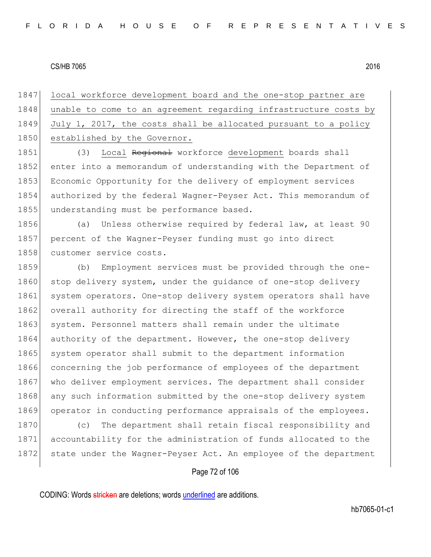1847 local workforce development board and the one-stop partner are 1848 unable to come to an agreement regarding infrastructure costs by 1849 July 1, 2017, the costs shall be allocated pursuant to a policy 1850 established by the Governor.

1851 (3) Local Regional workforce development boards shall 1852 enter into a memorandum of understanding with the Department of 1853 Economic Opportunity for the delivery of employment services 1854 authorized by the federal Wagner-Peyser Act. This memorandum of 1855 understanding must be performance based.

1856 (a) Unless otherwise required by federal law, at least 90 1857 percent of the Wagner-Peyser funding must go into direct 1858 customer service costs.

1859 (b) Employment services must be provided through the one-1860 stop delivery system, under the guidance of one-stop delivery 1861 system operators. One-stop delivery system operators shall have 1862 overall authority for directing the staff of the workforce 1863 system. Personnel matters shall remain under the ultimate 1864 authority of the department. However, the one-stop delivery 1865 system operator shall submit to the department information 1866 concerning the job performance of employees of the department 1867 who deliver employment services. The department shall consider 1868 any such information submitted by the one-stop delivery system 1869 operator in conducting performance appraisals of the employees.

1870 (c) The department shall retain fiscal responsibility and 1871 accountability for the administration of funds allocated to the 1872 state under the Wagner-Peyser Act. An employee of the department

# Page 72 of 106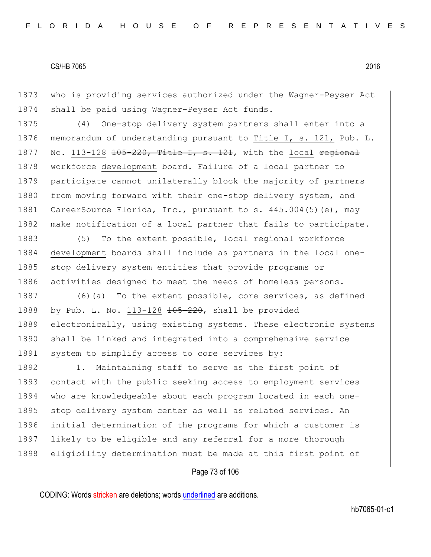1873 who is providing services authorized under the Wagner-Peyser Act 1874 shall be paid using Wagner-Peyser Act funds.

1875 (4) One-stop delivery system partners shall enter into a 1876 memorandum of understanding pursuant to Title I, s. 121, Pub. L. 1877 No. 113-128  $\frac{105-220}{105}$  Title I, s. 121, with the local regional 1878 workforce development board. Failure of a local partner to 1879 participate cannot unilaterally block the majority of partners 1880 from moving forward with their one-stop delivery system, and 1881 CareerSource Florida, Inc., pursuant to s. 445.004(5) (e), may 1882 make notification of a local partner that fails to participate.

1883 (5) To the extent possible, local regional workforce 1884 development boards shall include as partners in the local one-1885 stop delivery system entities that provide programs or 1886 activities designed to meet the needs of homeless persons.

1887 (6)(a) To the extent possible, core services, as defined 1888 by Pub. L. No.  $113-128$   $\overline{+65-220}$ , shall be provided 1889 electronically, using existing systems. These electronic systems 1890 shall be linked and integrated into a comprehensive service 1891 system to simplify access to core services by:

1892 1. Maintaining staff to serve as the first point of 1893 contact with the public seeking access to employment services 1894 who are knowledgeable about each program located in each one-1895 stop delivery system center as well as related services. An 1896 initial determination of the programs for which a customer is 1897 likely to be eligible and any referral for a more thorough 1898 eligibility determination must be made at this first point of

# Page 73 of 106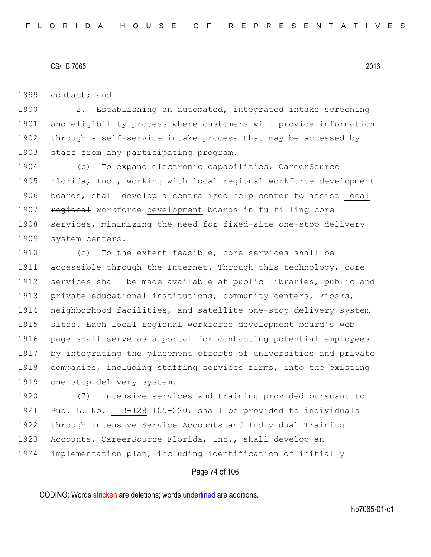1899 contact; and

1900 2. Establishing an automated, integrated intake screening 1901 and eligibility process where customers will provide information 1902 through a self-service intake process that may be accessed by 1903 staff from any participating program.

1904 (b) To expand electronic capabilities, CareerSource 1905 Florida, Inc., working with local regional workforce development 1906 boards, shall develop a centralized help center to assist local 1907 regional workforce development boards in fulfilling core 1908 services, minimizing the need for fixed-site one-stop delivery 1909 system centers.

1910 (c) To the extent feasible, core services shall be 1911 accessible through the Internet. Through this technology, core 1912 services shall be made available at public libraries, public and 1913 private educational institutions, community centers, kiosks, 1914 neighborhood facilities, and satellite one-stop delivery system 1915 sites. Each local regional workforce development board's web 1916 page shall serve as a portal for contacting potential employees 1917 by integrating the placement efforts of universities and private 1918 companies, including staffing services firms, into the existing 1919 one-stop delivery system.

1920 (7) Intensive services and training provided pursuant to 1921 Pub. L. No. 113-128  $\pm 0.5 - 220$ , shall be provided to individuals 1922 through Intensive Service Accounts and Individual Training 1923 Accounts. CareerSource Florida, Inc., shall develop an 1924 implementation plan, including identification of initially

## Page 74 of 106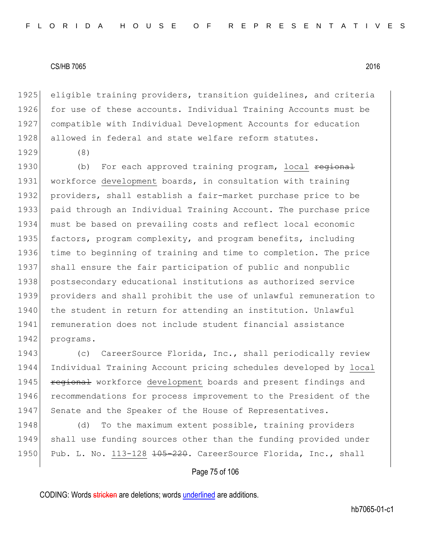1925 eligible training providers, transition guidelines, and criteria 1926 for use of these accounts. Individual Training Accounts must be 1927 compatible with Individual Development Accounts for education 1928 allowed in federal and state welfare reform statutes.

1929 (8)

1930 (b) For each approved training program, local regional workforce development boards, in consultation with training providers, shall establish a fair-market purchase price to be paid through an Individual Training Account. The purchase price must be based on prevailing costs and reflect local economic 1935 factors, program complexity, and program benefits, including time to beginning of training and time to completion. The price shall ensure the fair participation of public and nonpublic 1938 postsecondary educational institutions as authorized service providers and shall prohibit the use of unlawful remuneration to 1940 the student in return for attending an institution. Unlawful remuneration does not include student financial assistance 1942 programs.

1943 (c) CareerSource Florida, Inc., shall periodically review 1944 Individual Training Account pricing schedules developed by local 1945 **regional** workforce development boards and present findings and 1946 recommendations for process improvement to the President of the 1947 Senate and the Speaker of the House of Representatives.

1948 (d) To the maximum extent possible, training providers 1949 shall use funding sources other than the funding provided under 1950 Pub. L. No. 113-128 <del>105-220</del>. CareerSource Florida, Inc., shall

## Page 75 of 106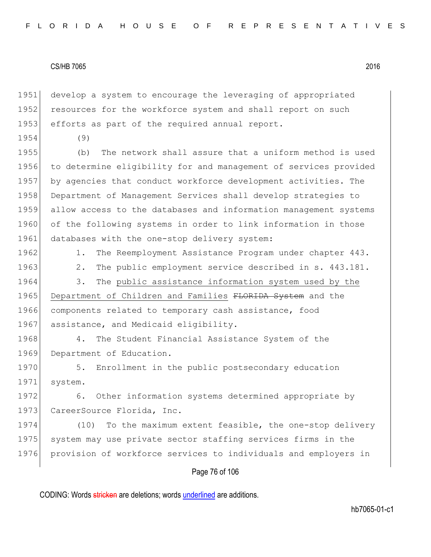1951 develop a system to encourage the leveraging of appropriated 1952 resources for the workforce system and shall report on such 1953 efforts as part of the required annual report.

1954 (9)

1955 (b) The network shall assure that a uniform method is used 1956 to determine eligibility for and management of services provided 1957 by agencies that conduct workforce development activities. The 1958 Department of Management Services shall develop strategies to 1959 allow access to the databases and information management systems 1960 of the following systems in order to link information in those 1961 databases with the one-stop delivery system:

1962 1. The Reemployment Assistance Program under chapter 443.

1963 2. The public employment service described in s. 443.181.

1964 3. The public assistance information system used by the 1965 Department of Children and Families FLORIDA System and the 1966 components related to temporary cash assistance, food 1967 assistance, and Medicaid eligibility.

1968 4. The Student Financial Assistance System of the 1969 Department of Education.

1970 5. Enrollment in the public postsecondary education 1971 system.

1972 6. Other information systems determined appropriate by 1973 CareerSource Florida, Inc.

1974 (10) To the maximum extent feasible, the one-stop delivery 1975 system may use private sector staffing services firms in the 1976 provision of workforce services to individuals and employers in

## Page 76 of 106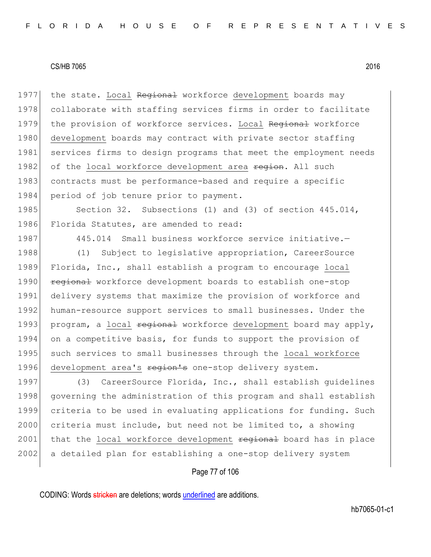1977 the state. Local Regional workforce development boards may 1978 collaborate with staffing services firms in order to facilitate 1979 the provision of workforce services. Local Regional workforce 1980 development boards may contract with private sector staffing 1981 services firms to design programs that meet the employment needs 1982 of the local workforce development area region. All such 1983 contracts must be performance-based and require a specific 1984 period of job tenure prior to payment.

1985 Section 32. Subsections (1) and (3) of section 445.014, 1986 Florida Statutes, are amended to read:

1987 445.014 Small business workforce service initiative.-

1988 (1) Subject to legislative appropriation, CareerSource 1989 Florida, Inc., shall establish a program to encourage local 1990 **regional** workforce development boards to establish one-stop 1991 delivery systems that maximize the provision of workforce and 1992 human-resource support services to small businesses. Under the 1993 program, a local  $f{eq}$ ional workforce development board may apply, 1994 on a competitive basis, for funds to support the provision of 1995 such services to small businesses through the local workforce 1996 development area's region's one-stop delivery system.

1997 (3) CareerSource Florida, Inc., shall establish quidelines 1998 governing the administration of this program and shall establish 1999 criteria to be used in evaluating applications for funding. Such 2000 criteria must include, but need not be limited to, a showing 2001 that the local workforce development regional board has in place 2002 a detailed plan for establishing a one-stop delivery system

## Page 77 of 106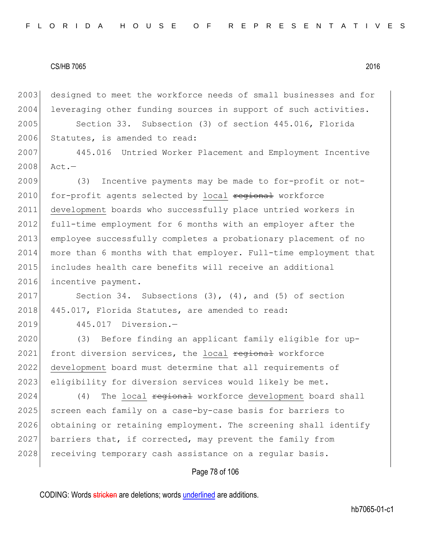2003 designed to meet the workforce needs of small businesses and for 2004 leveraging other funding sources in support of such activities.

2005 Section 33. Subsection (3) of section 445.016, Florida 2006 Statutes, is amended to read:

2007 445.016 Untried Worker Placement and Employment Incentive 2008 Act.—

2009 (3) Incentive payments may be made to for-profit or not-2010 for-profit agents selected by local regional workforce 2011 development boards who successfully place untried workers in 2012 full-time employment for 6 months with an employer after the 2013 employee successfully completes a probationary placement of no 2014 more than 6 months with that employer. Full-time employment that 2015 includes health care benefits will receive an additional 2016 incentive payment.

2017 Section 34. Subsections (3), (4), and (5) of section 2018 445.017, Florida Statutes, are amended to read:

2019 445.017 Diversion.—

2020 (3) Before finding an applicant family eligible for up-2021 front diversion services, the local regional workforce 2022 development board must determine that all requirements of 2023 eligibility for diversion services would likely be met.

2024 (4) The local <del>regional</del> workforce development board shall 2025 screen each family on a case-by-case basis for barriers to 2026 obtaining or retaining employment. The screening shall identify 2027 barriers that, if corrected, may prevent the family from 2028 receiving temporary cash assistance on a regular basis.

## Page 78 of 106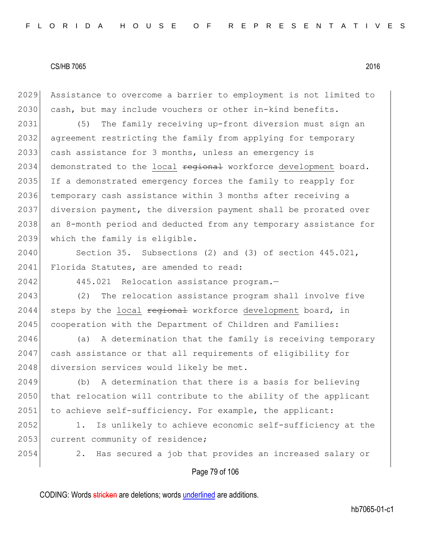2029 Assistance to overcome a barrier to employment is not limited to 2030 cash, but may include vouchers or other in-kind benefits.

2031 (5) The family receiving up-front diversion must sign an 2032 agreement restricting the family from applying for temporary 2033 cash assistance for 3 months, unless an emergency is 2034 demonstrated to the local regional workforce development board. 2035 If a demonstrated emergency forces the family to reapply for 2036 temporary cash assistance within 3 months after receiving a 2037 diversion payment, the diversion payment shall be prorated over 2038 an 8-month period and deducted from any temporary assistance for 2039 which the family is eligible.

2040 Section 35. Subsections (2) and (3) of section 445.021, 2041 Florida Statutes, are amended to read:

2042 445.021 Relocation assistance program.-

2043 (2) The relocation assistance program shall involve five 2044 steps by the local  $\frac{1}{204}$  workforce development board, in 2045 cooperation with the Department of Children and Families:

 $2046$  (a) A determination that the family is receiving temporary 2047 cash assistance or that all requirements of eligibility for 2048 diversion services would likely be met.

2049 (b) A determination that there is a basis for believing 2050 that relocation will contribute to the ability of the applicant 2051 to achieve self-sufficiency. For example, the applicant:

2052 1. Is unlikely to achieve economic self-sufficiency at the 2053 current community of residence;

2054 2. Has secured a job that provides an increased salary or

#### Page 79 of 106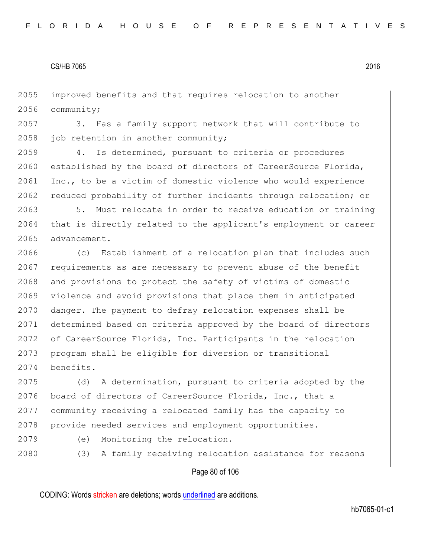2055 improved benefits and that requires relocation to another 2056 community;

2057 3. Has a family support network that will contribute to 2058 job retention in another community;

2059 4. Is determined, pursuant to criteria or procedures 2060 established by the board of directors of CareerSource Florida, 2061 Inc., to be a victim of domestic violence who would experience 2062 reduced probability of further incidents through relocation; or

2063 5. Must relocate in order to receive education or training 2064 that is directly related to the applicant's employment or career 2065 advancement.

2066 (c) Establishment of a relocation plan that includes such  $2067$  requirements as are necessary to prevent abuse of the benefit 2068 and provisions to protect the safety of victims of domestic 2069 violence and avoid provisions that place them in anticipated 2070 danger. The payment to defray relocation expenses shall be 2071 determined based on criteria approved by the board of directors 2072 of CareerSource Florida, Inc. Participants in the relocation 2073 program shall be eligible for diversion or transitional 2074 benefits.

2075 (d) A determination, pursuant to criteria adopted by the 2076 board of directors of CareerSource Florida, Inc., that a 2077 community receiving a relocated family has the capacity to 2078 provide needed services and employment opportunities.

- 
- 2079 (e) Monitoring the relocation.
- 

2080 (3) A family receiving relocation assistance for reasons

#### Page 80 of 106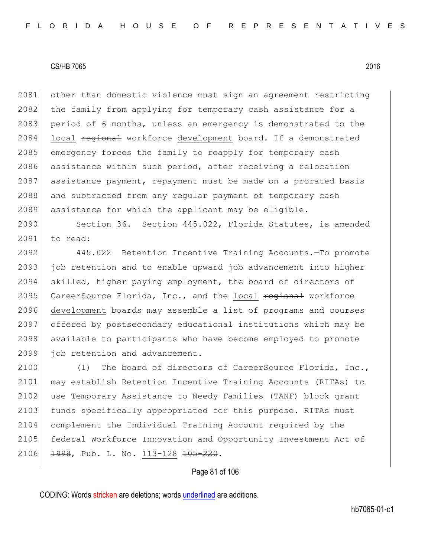2081 other than domestic violence must sign an agreement restricting 2082 the family from applying for temporary cash assistance for a 2083 period of 6 months, unless an emergency is demonstrated to the 2084 local regional workforce development board. If a demonstrated 2085 emergency forces the family to reapply for temporary cash 2086 assistance within such period, after receiving a relocation 2087 assistance payment, repayment must be made on a prorated basis 2088 and subtracted from any regular payment of temporary cash 2089 assistance for which the applicant may be eligible.

2090 Section 36. Section 445.022, Florida Statutes, is amended 2091 to read:

2092 445.022 Retention Incentive Training Accounts.—To promote 2093 job retention and to enable upward job advancement into higher 2094 skilled, higher paying employment, the board of directors of 2095 CareerSource Florida, Inc., and the local regional workforce 2096 development boards may assemble a list of programs and courses 2097 offered by postsecondary educational institutions which may be 2098 available to participants who have become employed to promote 2099 job retention and advancement.

2100 (1) The board of directors of CareerSource Florida, Inc., 2101 may establish Retention Incentive Training Accounts (RITAs) to 2102 use Temporary Assistance to Needy Families (TANF) block grant 2103 funds specifically appropriated for this purpose. RITAs must 2104 complement the Individual Training Account required by the 2105 federal Workforce Innovation and Opportunity Investment Act of 2106 1998, Pub. L. No. 113-128 105-220.

## Page 81 of 106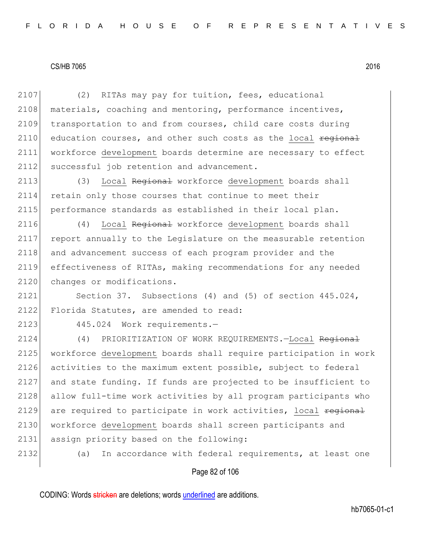2107 (2) RITAs may pay for tuition, fees, educational 2108 materials, coaching and mentoring, performance incentives, 2109 transportation to and from courses, child care costs during 2110 education courses, and other such costs as the local regional 2111 workforce development boards determine are necessary to effect 2112 successful job retention and advancement. 2113 (3) Local Regional workforce development boards shall 2114 retain only those courses that continue to meet their 2115 performance standards as established in their local plan. 2116 (4) Local Regional workforce development boards shall 2117 report annually to the Legislature on the measurable retention 2118 and advancement success of each program provider and the 2119 effectiveness of RITAs, making recommendations for any needed 2120 changes or modifications. 2121 Section 37. Subsections (4) and (5) of section 445.024, 2122 Florida Statutes, are amended to read: 2123 445.024 Work requirements.—

2124 (4) PRIORITIZATION OF WORK REQUIREMENTS. -Local Regional 2125 workforce development boards shall require participation in work 2126 activities to the maximum extent possible, subject to federal 2127 and state funding. If funds are projected to be insufficient to 2128 allow full-time work activities by all program participants who 2129 are required to participate in work activities, local regional 2130 workforce development boards shall screen participants and 2131 assign priority based on the following:

2132 (a) In accordance with federal requirements, at least one

#### Page 82 of 106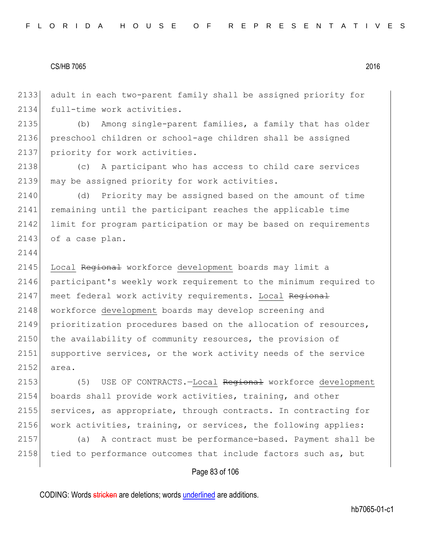2144

2133 adult in each two-parent family shall be assigned priority for 2134 full-time work activities.

2135 (b) Among single-parent families, a family that has older 2136 preschool children or school-age children shall be assigned 2137 priority for work activities.

2138 (c) A participant who has access to child care services 2139 may be assigned priority for work activities.

2140 (d) Priority may be assigned based on the amount of time 2141 remaining until the participant reaches the applicable time 2142 limit for program participation or may be based on requirements 2143 of a case plan.

2145 Local Regional workforce development boards may limit a 2146 participant's weekly work requirement to the minimum required to 2147 meet federal work activity requirements. Local Regional 2148 workforce development boards may develop screening and 2149 prioritization procedures based on the allocation of resources, 2150 the availability of community resources, the provision of 2151 supportive services, or the work activity needs of the service 2152 area.

2153 (5) USE OF CONTRACTS.-Local Regional workforce development 2154 boards shall provide work activities, training, and other 2155 services, as appropriate, through contracts. In contracting for 2156 work activities, training, or services, the following applies:

2157 (a) A contract must be performance-based. Payment shall be 2158 tied to performance outcomes that include factors such as, but

## Page 83 of 106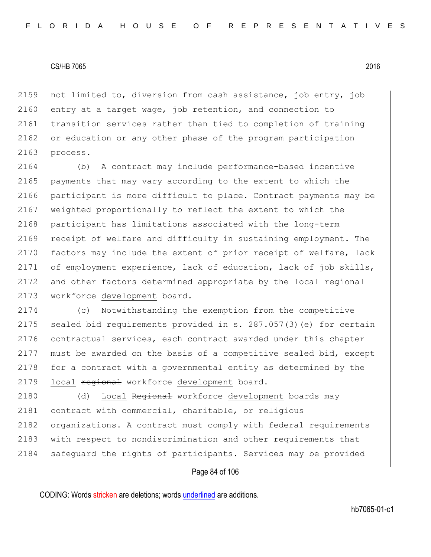2159 not limited to, diversion from cash assistance, job entry, job 2160 entry at a target wage, job retention, and connection to 2161 transition services rather than tied to completion of training 2162 or education or any other phase of the program participation 2163 process.

2164 (b) A contract may include performance-based incentive 2165 payments that may vary according to the extent to which the 2166 participant is more difficult to place. Contract payments may be 2167 weighted proportionally to reflect the extent to which the 2168 participant has limitations associated with the long-term 2169 receipt of welfare and difficulty in sustaining employment. The 2170 factors may include the extent of prior receipt of welfare, lack 2171 of employment experience, lack of education, lack of job skills, 2172 and other factors determined appropriate by the local regional 2173 workforce development board.

 (c) Notwithstanding the exemption from the competitive sealed bid requirements provided in s. 287.057(3)(e) for certain contractual services, each contract awarded under this chapter must be awarded on the basis of a competitive sealed bid, except 2178 for a contract with a governmental entity as determined by the 2179 local regional workforce development board.

2180 (d) Local Regional workforce development boards may 2181 contract with commercial, charitable, or religious 2182 organizations. A contract must comply with federal requirements 2183 with respect to nondiscrimination and other requirements that 2184 safeguard the rights of participants. Services may be provided

## Page 84 of 106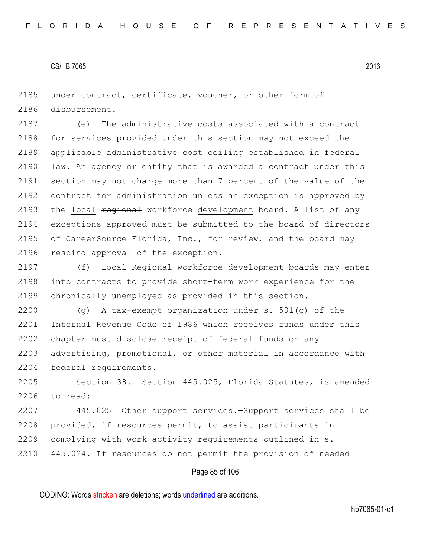2185 under contract, certificate, voucher, or other form of 2186 disbursement.

2187 (e) The administrative costs associated with a contract 2188 for services provided under this section may not exceed the 2189 applicable administrative cost ceiling established in federal 2190 law. An agency or entity that is awarded a contract under this 2191 section may not charge more than 7 percent of the value of the 2192 contract for administration unless an exception is approved by 2193 the local regional workforce development board. A list of any 2194 exceptions approved must be submitted to the board of directors 2195 of CareerSource Florida, Inc., for review, and the board may 2196 rescind approval of the exception.

2197 (f) Local Regional workforce development boards may enter 2198 into contracts to provide short-term work experience for the 2199 chronically unemployed as provided in this section.

2200 (g) A tax-exempt organization under s. 501(c) of the 2201 Internal Revenue Code of 1986 which receives funds under this 2202 chapter must disclose receipt of federal funds on any 2203 advertising, promotional, or other material in accordance with 2204 federal requirements.

2205 Section 38. Section 445.025, Florida Statutes, is amended 2206 to read:

2207 445.025 Other support services.—Support services shall be 2208 provided, if resources permit, to assist participants in 2209 complying with work activity requirements outlined in s. 2210 445.024. If resources do not permit the provision of needed

## Page 85 of 106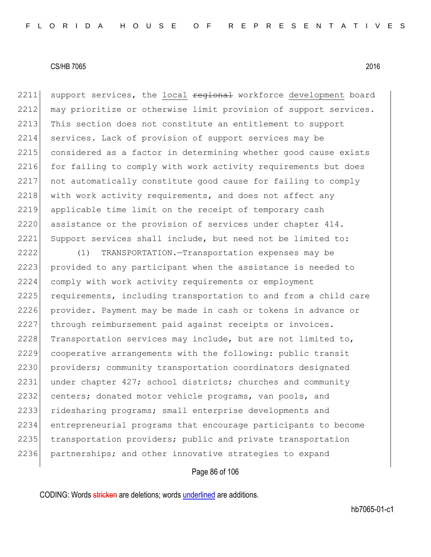2211 support services, the local regional workforce development board 2212 may prioritize or otherwise limit provision of support services. 2213 This section does not constitute an entitlement to support 2214 services. Lack of provision of support services may be 2215 considered as a factor in determining whether good cause exists 2216 for failing to comply with work activity requirements but does 2217 not automatically constitute good cause for failing to comply 2218 with work activity requirements, and does not affect any 2219 applicable time limit on the receipt of temporary cash 2220 assistance or the provision of services under chapter 414. 2221 Support services shall include, but need not be limited to:

2222 (1) TRANSPORTATION.—Transportation expenses may be 2223 provided to any participant when the assistance is needed to 2224 comply with work activity requirements or employment 2225 requirements, including transportation to and from a child care 2226 provider. Payment may be made in cash or tokens in advance or 2227 through reimbursement paid against receipts or invoices. 2228 Transportation services may include, but are not limited to, 2229 cooperative arrangements with the following: public transit 2230 providers; community transportation coordinators designated 2231 under chapter 427; school districts; churches and community 2232 centers; donated motor vehicle programs, van pools, and 2233 ridesharing programs; small enterprise developments and 2234 entrepreneurial programs that encourage participants to become 2235 transportation providers; public and private transportation 2236 partnerships; and other innovative strategies to expand

## Page 86 of 106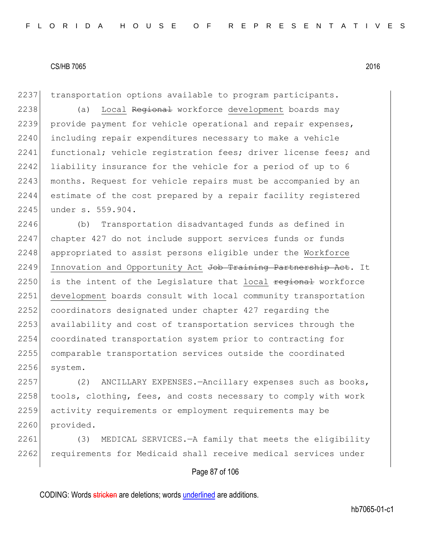2237 transportation options available to program participants.

2238 (a) Local Regional workforce development boards may 2239 provide payment for vehicle operational and repair expenses, 2240 including repair expenditures necessary to make a vehicle 2241 functional; vehicle registration fees; driver license fees; and 2242 liability insurance for the vehicle for a period of up to 6 2243 months. Request for vehicle repairs must be accompanied by an 2244 estimate of the cost prepared by a repair facility registered 2245 under s. 559.904.

2246 (b) Transportation disadvantaged funds as defined in 2247 chapter 427 do not include support services funds or funds 2248 appropriated to assist persons eligible under the Workforce 2249 Innovation and Opportunity Act Job Training Partnership Act. It  $2250$  is the intent of the Legislature that local  $\frac{1}{2}$  regional workforce 2251 development boards consult with local community transportation 2252 coordinators designated under chapter 427 regarding the 2253 availability and cost of transportation services through the 2254 coordinated transportation system prior to contracting for 2255 comparable transportation services outside the coordinated 2256 system.

2257 (2) ANCILLARY EXPENSES.—Ancillary expenses such as books, 2258 tools, clothing, fees, and costs necessary to comply with work 2259 activity requirements or employment requirements may be 2260 provided.

2261 (3) MEDICAL SERVICES.—A family that meets the eligibility 2262 requirements for Medicaid shall receive medical services under

# Page 87 of 106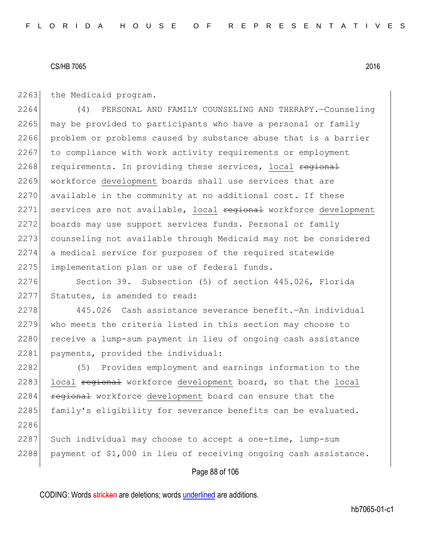2263 the Medicaid program.

2264 (4) PERSONAL AND FAMILY COUNSELING AND THERAPY.—Counseling 2265 may be provided to participants who have a personal or family 2266 problem or problems caused by substance abuse that is a barrier 2267 to compliance with work activity requirements or employment 2268 requirements. In providing these services, local regional 2269 workforce development boards shall use services that are 2270 available in the community at no additional cost. If these 2271 services are not available, local regional workforce development 2272 boards may use support services funds. Personal or family 2273 counseling not available through Medicaid may not be considered 2274 a medical service for purposes of the required statewide 2275 implementation plan or use of federal funds.

2276 Section 39. Subsection (5) of section 445.026, Florida 2277 Statutes, is amended to read:

2278 445.026 Cash assistance severance benefit.—An individual 2279 who meets the criteria listed in this section may choose to 2280 receive a lump-sum payment in lieu of ongoing cash assistance 2281 payments, provided the individual:

2282 (5) Provides employment and earnings information to the 2283 local regional workforce development board, so that the local 2284 **regional** workforce development board can ensure that the 2285 family's eligibility for severance benefits can be evaluated. 2286

 $2287$  Such individual may choose to accept a one-time, lump-sum 2288 payment of \$1,000 in lieu of receiving ongoing cash assistance.

## Page 88 of 106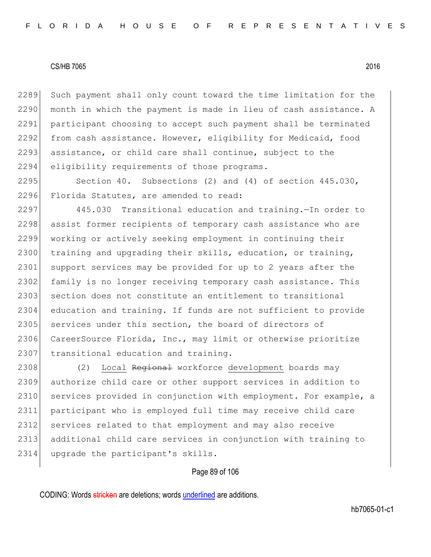2289 Such payment shall only count toward the time limitation for the  $2290$  month in which the payment is made in lieu of cash assistance. A 2291 participant choosing to accept such payment shall be terminated 2292 from cash assistance. However, eligibility for Medicaid, food 2293 assistance, or child care shall continue, subject to the 2294 eligibility requirements of those programs.

2295 Section 40. Subsections (2) and (4) of section 445.030, 2296 Florida Statutes, are amended to read:

2297 445.030 Transitional education and training.—In order to 2298 assist former recipients of temporary cash assistance who are 2299 working or actively seeking employment in continuing their 2300 training and upgrading their skills, education, or training, 2301 support services may be provided for up to 2 years after the 2302 family is no longer receiving temporary cash assistance. This 2303 section does not constitute an entitlement to transitional 2304 education and training. If funds are not sufficient to provide 2305 services under this section, the board of directors of 2306 CareerSource Florida, Inc., may limit or otherwise prioritize 2307 transitional education and training.

2308 (2) Local Regional workforce development boards may 2309 authorize child care or other support services in addition to 2310 services provided in conjunction with employment. For example, a 2311 participant who is employed full time may receive child care 2312 services related to that employment and may also receive 2313 additional child care services in conjunction with training to 2314 upgrade the participant's skills.

#### Page 89 of 106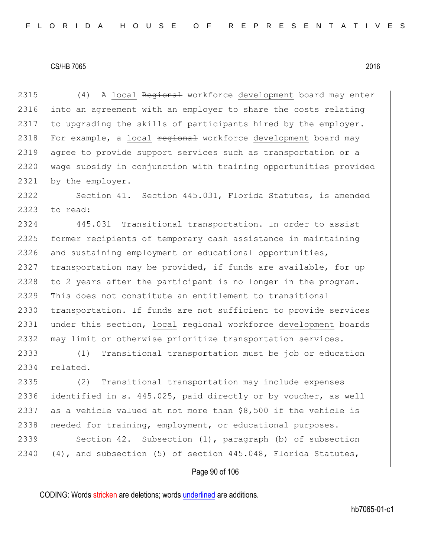2315 (4) A local Regional workforce development board may enter 2316 into an agreement with an employer to share the costs relating 2317 to upgrading the skills of participants hired by the employer. 2318 For example, a local regional workforce development board may 2319 agree to provide support services such as transportation or a 2320 wage subsidy in conjunction with training opportunities provided 2321 by the employer.

2322 Section 41. Section 445.031, Florida Statutes, is amended 2323 to read:

2324 445.031 Transitional transportation.—In order to assist 2325 former recipients of temporary cash assistance in maintaining 2326 and sustaining employment or educational opportunities, 2327 transportation may be provided, if funds are available, for up 2328 to 2 years after the participant is no longer in the program. 2329 This does not constitute an entitlement to transitional 2330 transportation. If funds are not sufficient to provide services 2331 under this section, local regional workforce development boards 2332 may limit or otherwise prioritize transportation services.

2333 (1) Transitional transportation must be job or education 2334 related.

 (2) Transitional transportation may include expenses identified in s. 445.025, paid directly or by voucher, as well 2337 as a vehicle valued at not more than  $$8,500$  if the vehicle is 2338 | needed for training, employment, or educational purposes. Section 42. Subsection (1), paragraph (b) of subsection  $(4)$ , and subsection  $(5)$  of section 445.048, Florida Statutes,

#### Page 90 of 106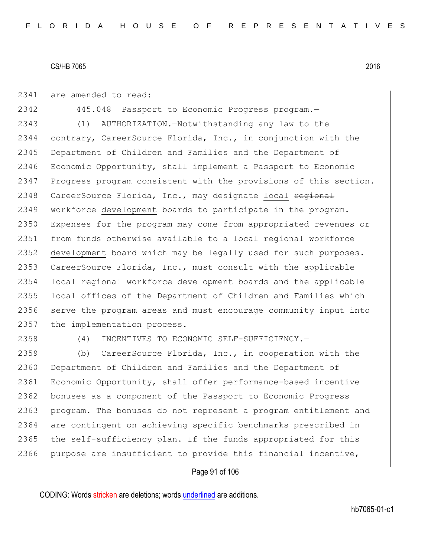2341 are amended to read:

2342 445.048 Passport to Economic Progress program. 2343 (1) AUTHORIZATION.—Notwithstanding any law to the 2344 contrary, CareerSource Florida, Inc., in conjunction with the 2345 Department of Children and Families and the Department of 2346 Economic Opportunity, shall implement a Passport to Economic 2347 Progress program consistent with the provisions of this section. 2348 CareerSource Florida, Inc., may designate local regional 2349 workforce development boards to participate in the program. 2350 Expenses for the program may come from appropriated revenues or 2351 from funds otherwise available to a local regional workforce 2352 development board which may be legally used for such purposes. 2353 CareerSource Florida, Inc., must consult with the applicable 2354 local regional workforce development boards and the applicable 2355 local offices of the Department of Children and Families which 2356 serve the program areas and must encourage community input into 2357 the implementation process.

2358 (4) INCENTIVES TO ECONOMIC SELF-SUFFICIENCY.—

2359 (b) CareerSource Florida, Inc., in cooperation with the 2360 Department of Children and Families and the Department of 2361 Economic Opportunity, shall offer performance-based incentive 2362 bonuses as a component of the Passport to Economic Progress 2363 program. The bonuses do not represent a program entitlement and 2364 are contingent on achieving specific benchmarks prescribed in 2365 the self-sufficiency plan. If the funds appropriated for this 2366 purpose are insufficient to provide this financial incentive,

## Page 91 of 106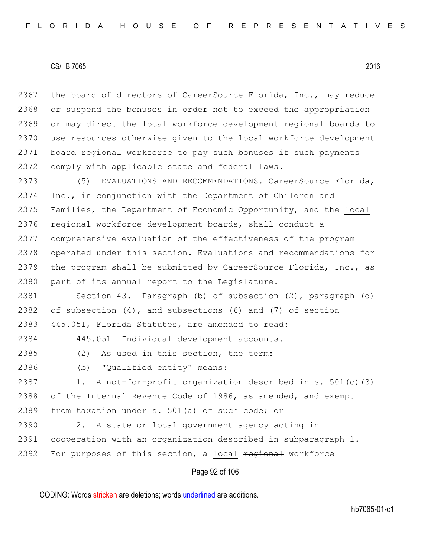2367 the board of directors of CareerSource Florida, Inc., may reduce 2368 or suspend the bonuses in order not to exceed the appropriation 2369 or may direct the local workforce development regional boards to 2370 use resources otherwise given to the local workforce development 2371 board regional workforce to pay such bonuses if such payments 2372 comply with applicable state and federal laws.

2373 (5) EVALUATIONS AND RECOMMENDATIONS. - CareerSource Florida, 2374 Inc., in conjunction with the Department of Children and 2375 Families, the Department of Economic Opportunity, and the local 2376 regional workforce development boards, shall conduct a 2377 comprehensive evaluation of the effectiveness of the program 2378 operated under this section. Evaluations and recommendations for 2379 the program shall be submitted by CareerSource Florida, Inc., as 2380 part of its annual report to the Legislature.

2381 Section 43. Paragraph (b) of subsection (2), paragraph (d) 2382 of subsection  $(4)$ , and subsections  $(6)$  and  $(7)$  of section 2383 445.051, Florida Statutes, are amended to read:

2384 445.051 Individual development accounts.-

- 2385 (2) As used in this section, the term:
- 2386 (b) "Qualified entity" means:

2387 1. A not-for-profit organization described in s. 501(c)(3) 2388 of the Internal Revenue Code of 1986, as amended, and exempt 2389 from taxation under s. 501(a) of such code; or

2390 2. A state or local government agency acting in 2391 cooperation with an organization described in subparagraph 1. 2392 For purposes of this section, a local regional workforce

Page 92 of 106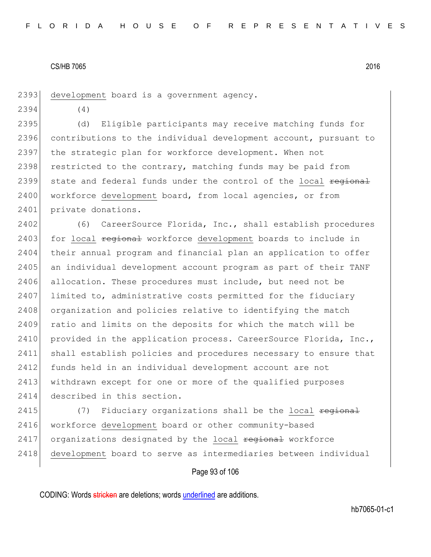2393 development board is a government agency.

2394 (4)

2395 (d) Eligible participants may receive matching funds for 2396 contributions to the individual development account, pursuant to 2397 the strategic plan for workforce development. When not 2398 restricted to the contrary, matching funds may be paid from 2399 state and federal funds under the control of the local regional 2400 workforce development board, from local agencies, or from 2401 private donations.

2402 (6) CareerSource Florida, Inc., shall establish procedures 2403 for local regional workforce development boards to include in 2404 their annual program and financial plan an application to offer 2405 an individual development account program as part of their TANF 2406 allocation. These procedures must include, but need not be 2407 limited to, administrative costs permitted for the fiduciary 2408 organization and policies relative to identifying the match 2409 ratio and limits on the deposits for which the match will be 2410 provided in the application process. CareerSource Florida, Inc., 2411 shall establish policies and procedures necessary to ensure that 2412 funds held in an individual development account are not 2413 withdrawn except for one or more of the qualified purposes 2414 described in this section.

2415  $(7)$  Fiduciary organizations shall be the local  $\frac{1}{2}$ 2416 workforce development board or other community-based 2417 organizations designated by the local regional workforce 2418 development board to serve as intermediaries between individual

## Page 93 of 106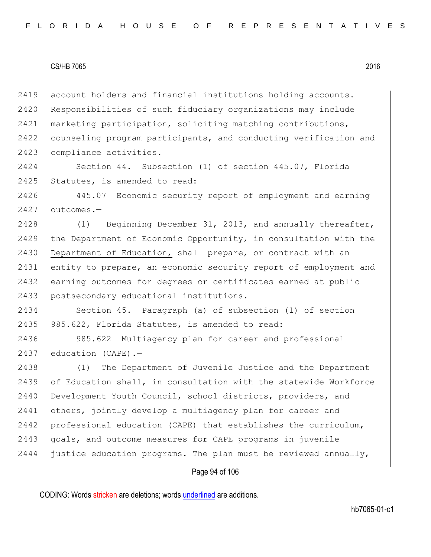2419 account holders and financial institutions holding accounts. 2420 Responsibilities of such fiduciary organizations may include 2421 marketing participation, soliciting matching contributions, 2422 counseling program participants, and conducting verification and 2423 compliance activities.

2424 Section 44. Subsection (1) of section 445.07, Florida 2425 Statutes, is amended to read:

2426 445.07 Economic security report of employment and earning 2427 outcomes.—

2428 (1) Beginning December 31, 2013, and annually thereafter, 2429 the Department of Economic Opportunity, in consultation with the 2430 Department of Education, shall prepare, or contract with an 2431 entity to prepare, an economic security report of employment and 2432 earning outcomes for degrees or certificates earned at public 2433 postsecondary educational institutions.

2434 Section 45. Paragraph (a) of subsection (1) of section 2435 985.622, Florida Statutes, is amended to read:

2436 985.622 Multiagency plan for career and professional 2437 education (CAPE).-

2438 (1) The Department of Juvenile Justice and the Department 2439 of Education shall, in consultation with the statewide Workforce 2440 Development Youth Council, school districts, providers, and 2441 others, jointly develop a multiagency plan for career and 2442 professional education (CAPE) that establishes the curriculum, 2443 goals, and outcome measures for CAPE programs in juvenile 2444 justice education programs. The plan must be reviewed annually,

## Page 94 of 106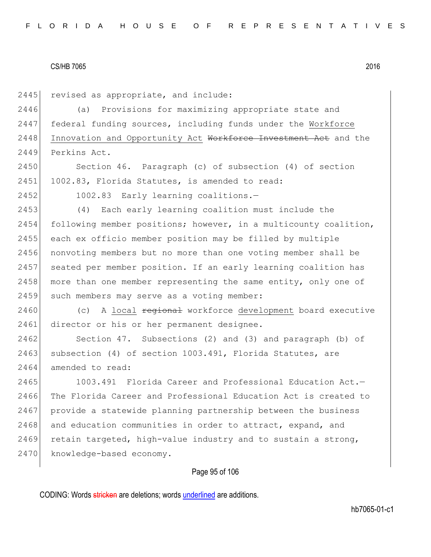2445 revised as appropriate, and include:

2446 (a) Provisions for maximizing appropriate state and 2447 federal funding sources, including funds under the Workforce 2448 Innovation and Opportunity Act Workforce Investment Act and the 2449 Perkins Act.

2450 Section 46. Paragraph (c) of subsection (4) of section 2451 1002.83, Florida Statutes, is amended to read:

2452 1002.83 Early learning coalitions.—

2453 (4) Each early learning coalition must include the 2454 following member positions; however, in a multicounty coalition, 2455 each ex officio member position may be filled by multiple 2456 nonvoting members but no more than one voting member shall be 2457 seated per member position. If an early learning coalition has 2458 more than one member representing the same entity, only one of 2459 such members may serve as a voting member:

2460 (c) A local regional workforce development board executive 2461 director or his or her permanent designee.

2462 Section 47. Subsections (2) and (3) and paragraph (b) of 2463 subsection (4) of section 1003.491, Florida Statutes, are 2464 amended to read:

2465 1003.491 Florida Career and Professional Education Act.-2466 The Florida Career and Professional Education Act is created to 2467 provide a statewide planning partnership between the business 2468 and education communities in order to attract, expand, and 2469 retain targeted, high-value industry and to sustain a strong, 2470 knowledge-based economy.

## Page 95 of 106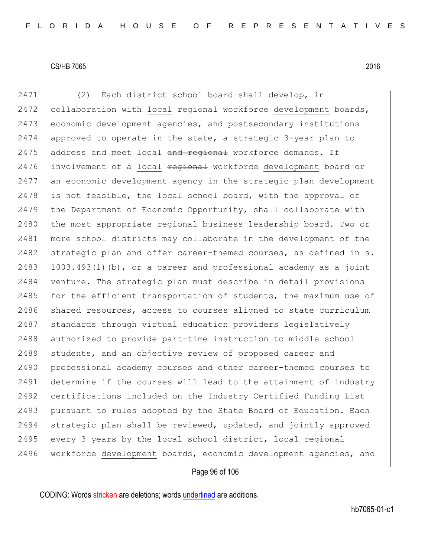2471 (2) Each district school board shall develop, in 2472 collaboration with local  $\frac{1}{100}$  regional workforce development boards, 2473 economic development agencies, and postsecondary institutions 2474 approved to operate in the state, a strategic 3-year plan to 2475 address and meet local and regional workforce demands. If 2476 involvement of a local regional workforce development board or 2477 an economic development agency in the strategic plan development 2478 is not feasible, the local school board, with the approval of 2479 the Department of Economic Opportunity, shall collaborate with 2480 the most appropriate regional business leadership board. Two or 2481 more school districts may collaborate in the development of the 2482 strategic plan and offer career-themed courses, as defined in s. 2483 1003.493(1)(b), or a career and professional academy as a joint 2484 venture. The strategic plan must describe in detail provisions 2485 for the efficient transportation of students, the maximum use of 2486 shared resources, access to courses aligned to state curriculum 2487 standards through virtual education providers legislatively 2488 authorized to provide part-time instruction to middle school 2489 students, and an objective review of proposed career and 2490 professional academy courses and other career-themed courses to 2491 determine if the courses will lead to the attainment of industry 2492 certifications included on the Industry Certified Funding List 2493 pursuant to rules adopted by the State Board of Education. Each 2494 strategic plan shall be reviewed, updated, and jointly approved 2495 every 3 years by the local school district, local <del>regional</del> 2496 workforce development boards, economic development agencies, and

# Page 96 of 106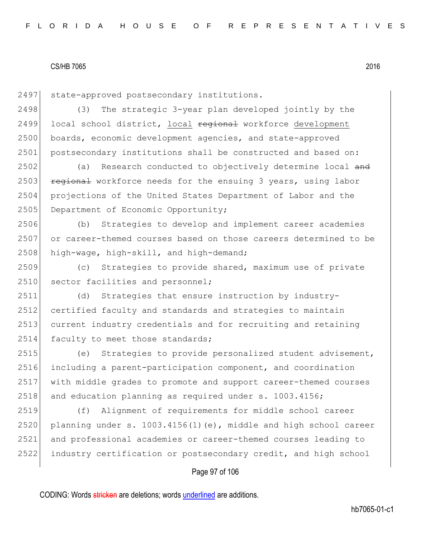2497 state-approved postsecondary institutions.

2498 (3) The strategic 3-year plan developed jointly by the 2499 local school district, local regional workforce development 2500 boards, economic development agencies, and state-approved 2501 postsecondary institutions shall be constructed and based on:

2502 (a) Research conducted to objectively determine local and 2503  $r$  regional workforce needs for the ensuing 3 years, using labor 2504 projections of the United States Department of Labor and the 2505 Department of Economic Opportunity;

2506 (b) Strategies to develop and implement career academies 2507 or career-themed courses based on those careers determined to be 2508 high-wage, high-skill, and high-demand;

2509 (c) Strategies to provide shared, maximum use of private 2510 sector facilities and personnel;

2511 (d) Strategies that ensure instruction by industry-2512 certified faculty and standards and strategies to maintain 2513 current industry credentials and for recruiting and retaining 2514 faculty to meet those standards;

 (e) Strategies to provide personalized student advisement, including a parent-participation component, and coordination with middle grades to promote and support career-themed courses 2518 and education planning as required under s. 1003.4156;

 (f) Alignment of requirements for middle school career 2520 planning under s.  $1003.4156(1)(e)$ , middle and high school career and professional academies or career-themed courses leading to industry certification or postsecondary credit, and high school

## Page 97 of 106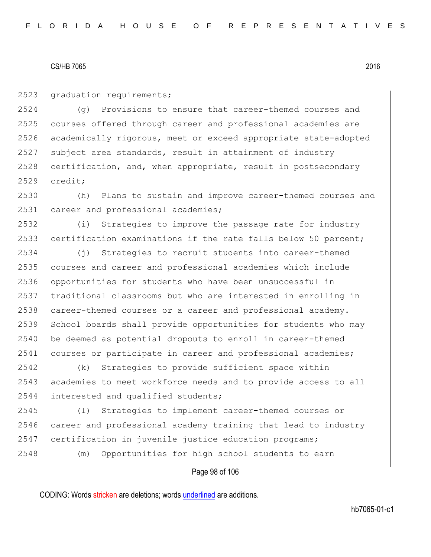2523 graduation requirements;

 (g) Provisions to ensure that career-themed courses and courses offered through career and professional academies are academically rigorous, meet or exceed appropriate state-adopted subject area standards, result in attainment of industry 2528 certification, and, when appropriate, result in postsecondary 2529 credit;

2530 (h) Plans to sustain and improve career-themed courses and 2531 career and professional academies;

2532 (i) Strategies to improve the passage rate for industry 2533 certification examinations if the rate falls below 50 percent;

 (j) Strategies to recruit students into career-themed courses and career and professional academies which include opportunities for students who have been unsuccessful in traditional classrooms but who are interested in enrolling in 2538 career-themed courses or a career and professional academy. School boards shall provide opportunities for students who may 2540 be deemed as potential dropouts to enroll in career-themed 2541 courses or participate in career and professional academies;

2542 (k) Strategies to provide sufficient space within 2543 academies to meet workforce needs and to provide access to all 2544 interested and qualified students;

2545 (l) Strategies to implement career-themed courses or 2546 career and professional academy training that lead to industry 2547 certification in juvenile justice education programs;

2548 (m) Opportunities for high school students to earn

Page 98 of 106

CODING: Words stricken are deletions; words underlined are additions.

hb7065-01-c1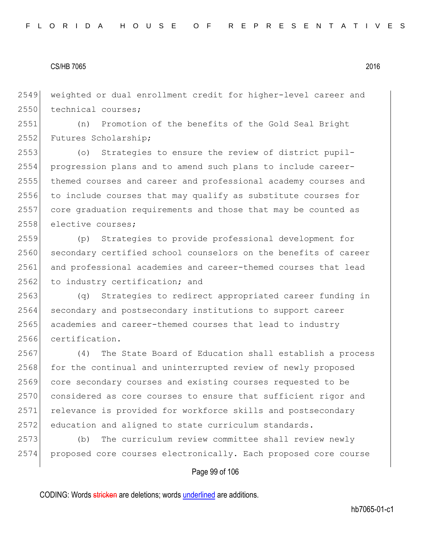2549 weighted or dual enrollment credit for higher-level career and 2550 technical courses:

2551 (n) Promotion of the benefits of the Gold Seal Bright 2552 Futures Scholarship;

 (o) Strategies to ensure the review of district pupil- progression plans and to amend such plans to include career- themed courses and career and professional academy courses and to include courses that may qualify as substitute courses for core graduation requirements and those that may be counted as 2558 elective courses;

2559 (p) Strategies to provide professional development for 2560 secondary certified school counselors on the benefits of career 2561 and professional academies and career-themed courses that lead 2562 to industry certification; and

2563 (q) Strategies to redirect appropriated career funding in 2564 secondary and postsecondary institutions to support career 2565 academies and career-themed courses that lead to industry 2566 certification.

2567 (4) The State Board of Education shall establish a process 2568 for the continual and uninterrupted review of newly proposed 2569 core secondary courses and existing courses requested to be 2570 considered as core courses to ensure that sufficient rigor and 2571 relevance is provided for workforce skills and postsecondary 2572 education and aligned to state curriculum standards.

2573 (b) The curriculum review committee shall review newly 2574 proposed core courses electronically. Each proposed core course

## Page 99 of 106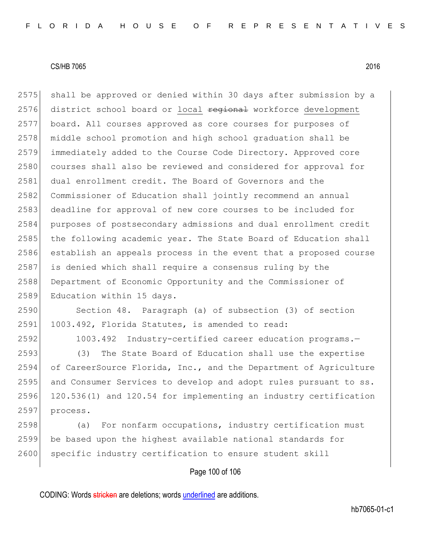2575 shall be approved or denied within 30 days after submission by a 2576 district school board or local regional workforce development 2577 board. All courses approved as core courses for purposes of 2578 middle school promotion and high school graduation shall be 2579 immediately added to the Course Code Directory. Approved core 2580 courses shall also be reviewed and considered for approval for 2581 dual enrollment credit. The Board of Governors and the 2582 Commissioner of Education shall jointly recommend an annual 2583 deadline for approval of new core courses to be included for 2584 purposes of postsecondary admissions and dual enrollment credit 2585 the following academic year. The State Board of Education shall 2586 establish an appeals process in the event that a proposed course 2587 is denied which shall require a consensus ruling by the 2588 Department of Economic Opportunity and the Commissioner of 2589 Education within 15 days.

2590 Section 48. Paragraph (a) of subsection (3) of section 2591 1003.492, Florida Statutes, is amended to read:

2592 1003.492 Industry-certified career education programs.-

 (3) The State Board of Education shall use the expertise of CareerSource Florida, Inc., and the Department of Agriculture and Consumer Services to develop and adopt rules pursuant to ss. 120.536(1) and 120.54 for implementing an industry certification 2597 process.

2598 (a) For nonfarm occupations, industry certification must 2599 be based upon the highest available national standards for 2600 specific industry certification to ensure student skill

# Page 100 of 106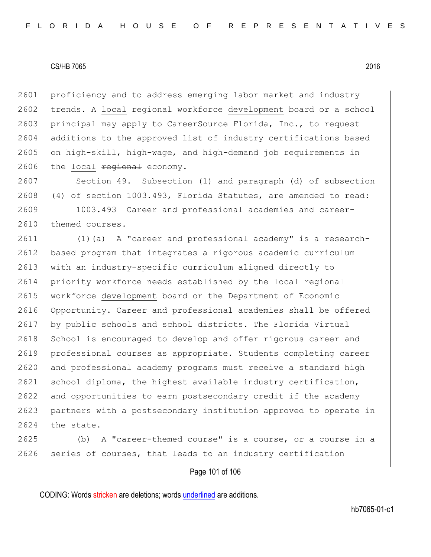proficiency and to address emerging labor market and industry 2602 trends. A local regional workforce development board or a school 2603 principal may apply to CareerSource Florida, Inc., to request additions to the approved list of industry certifications based on high-skill, high-wage, and high-demand job requirements in the local regional economy.

2607 Section 49. Subsection (1) and paragraph (d) of subsection 2608 (4) of section 1003.493, Florida Statutes, are amended to read:

2609 1003.493 Career and professional academies and career-2610 themed courses.-

 (1)(a) A "career and professional academy" is a research-2612 based program that integrates a rigorous academic curriculum 2613 with an industry-specific curriculum aligned directly to 2614 priority workforce needs established by the local regional workforce development board or the Department of Economic Opportunity. Career and professional academies shall be offered by public schools and school districts. The Florida Virtual 2618 School is encouraged to develop and offer rigorous career and professional courses as appropriate. Students completing career and professional academy programs must receive a standard high school diploma, the highest available industry certification, and opportunities to earn postsecondary credit if the academy partners with a postsecondary institution approved to operate in 2624 the state.

2625 (b) A "career-themed course" is a course, or a course in a 2626 series of courses, that leads to an industry certification

# Page 101 of 106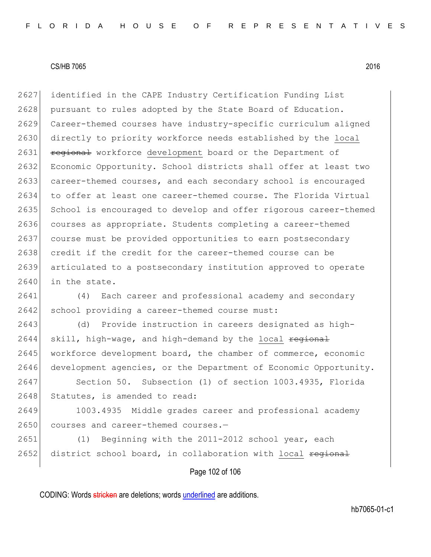2627 identified in the CAPE Industry Certification Funding List 2628 pursuant to rules adopted by the State Board of Education. 2629 Career-themed courses have industry-specific curriculum aligned 2630 directly to priority workforce needs established by the local 2631 regional workforce development board or the Department of 2632 Economic Opportunity. School districts shall offer at least two 2633 career-themed courses, and each secondary school is encouraged 2634 to offer at least one career-themed course. The Florida Virtual 2635 School is encouraged to develop and offer rigorous career-themed 2636 courses as appropriate. Students completing a career-themed 2637 course must be provided opportunities to earn postsecondary 2638 credit if the credit for the career-themed course can be 2639 articulated to a postsecondary institution approved to operate 2640 in the state.

2641 (4) Each career and professional academy and secondary 2642 school providing a career-themed course must:

2643 (d) Provide instruction in careers designated as high- $2644$  skill, high-wage, and high-demand by the local regional 2645 workforce development board, the chamber of commerce, economic 2646 development agencies, or the Department of Economic Opportunity.

2647 Section 50. Subsection (1) of section 1003.4935, Florida 2648 Statutes, is amended to read:

2649 1003.4935 Middle grades career and professional academy 2650 courses and career-themed courses.-

2651 (1) Beginning with the 2011-2012 school year, each 2652 district school board, in collaboration with local regional

# Page 102 of 106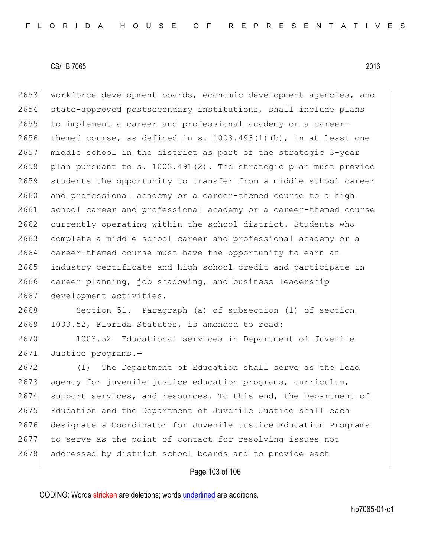2653 workforce development boards, economic development agencies, and 2654 state-approved postsecondary institutions, shall include plans 2655 to implement a career and professional academy or a career-2656 themed course, as defined in s.  $1003.493(1)$  (b), in at least one 2657 middle school in the district as part of the strategic 3-year 2658 plan pursuant to s.  $1003.491(2)$ . The strategic plan must provide 2659 students the opportunity to transfer from a middle school career 2660 and professional academy or a career-themed course to a high 2661 school career and professional academy or a career-themed course 2662 currently operating within the school district. Students who 2663 complete a middle school career and professional academy or a 2664 career-themed course must have the opportunity to earn an 2665 industry certificate and high school credit and participate in 2666 career planning, job shadowing, and business leadership 2667 development activities.

2668 Section 51. Paragraph (a) of subsection (1) of section 2669 1003.52, Florida Statutes, is amended to read:

2670 1003.52 Educational services in Department of Juvenile 2671 Justice programs.-

2672 (1) The Department of Education shall serve as the lead 2673 agency for juvenile justice education programs, curriculum, 2674 support services, and resources. To this end, the Department of 2675 Education and the Department of Juvenile Justice shall each 2676 designate a Coordinator for Juvenile Justice Education Programs 2677 to serve as the point of contact for resolving issues not 2678 addressed by district school boards and to provide each

# Page 103 of 106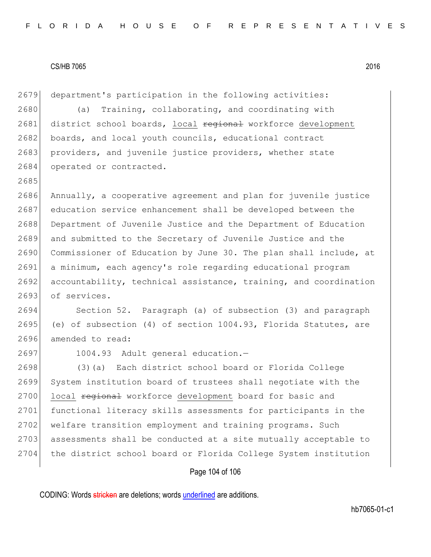2679 department's participation in the following activities:

2680 (a) Training, collaborating, and coordinating with 2681 district school boards, local regional workforce development 2682 boards, and local youth councils, educational contract 2683 providers, and juvenile justice providers, whether state 2684 operated or contracted.

 Annually, a cooperative agreement and plan for juvenile justice 2687 education service enhancement shall be developed between the Department of Juvenile Justice and the Department of Education and submitted to the Secretary of Juvenile Justice and the Commissioner of Education by June 30. The plan shall include, at a minimum, each agency's role regarding educational program 2692 accountability, technical assistance, training, and coordination 2693 of services.

2694 Section 52. Paragraph (a) of subsection (3) and paragraph 2695 (e) of subsection (4) of section 1004.93, Florida Statutes, are 2696 amended to read:

2685

2697 1004.93 Adult general education.-

2698 (3)(a) Each district school board or Florida College 2699 System institution board of trustees shall negotiate with the 2700 local regional workforce development board for basic and 2701 functional literacy skills assessments for participants in the 2702 welfare transition employment and training programs. Such 2703 assessments shall be conducted at a site mutually acceptable to 2704 the district school board or Florida College System institution

## Page 104 of 106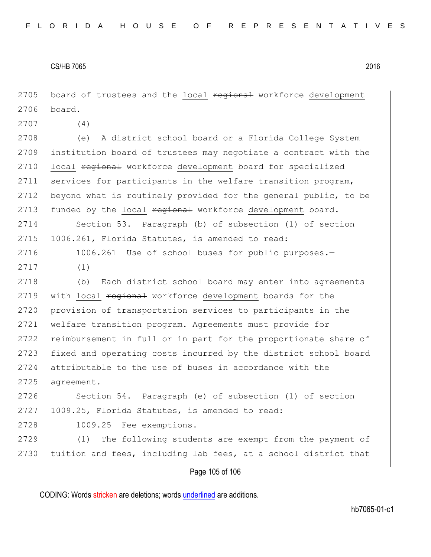Page 105 of 106 2705 board of trustees and the local regional workforce development 2706 board. 2707 (4) 2708 (e) A district school board or a Florida College System 2709 institution board of trustees may negotiate a contract with the 2710 local regional workforce development board for specialized 2711 services for participants in the welfare transition program, 2712 beyond what is routinely provided for the general public, to be 2713 funded by the local regional workforce development board. 2714 Section 53. Paragraph (b) of subsection (1) of section 2715 1006.261, Florida Statutes, is amended to read: 2716 1006.261 Use of school buses for public purposes.-2717 (1) 2718 (b) Each district school board may enter into agreements 2719 with local regional workforce development boards for the 2720 provision of transportation services to participants in the 2721 welfare transition program. Agreements must provide for 2722 reimbursement in full or in part for the proportionate share of 2723 fixed and operating costs incurred by the district school board 2724 attributable to the use of buses in accordance with the 2725 agreement. 2726 Section 54. Paragraph (e) of subsection (1) of section 2727 1009.25, Florida Statutes, is amended to read: 2728 1009.25 Fee exemptions.— 2729 (1) The following students are exempt from the payment of 2730 tuition and fees, including lab fees, at a school district that